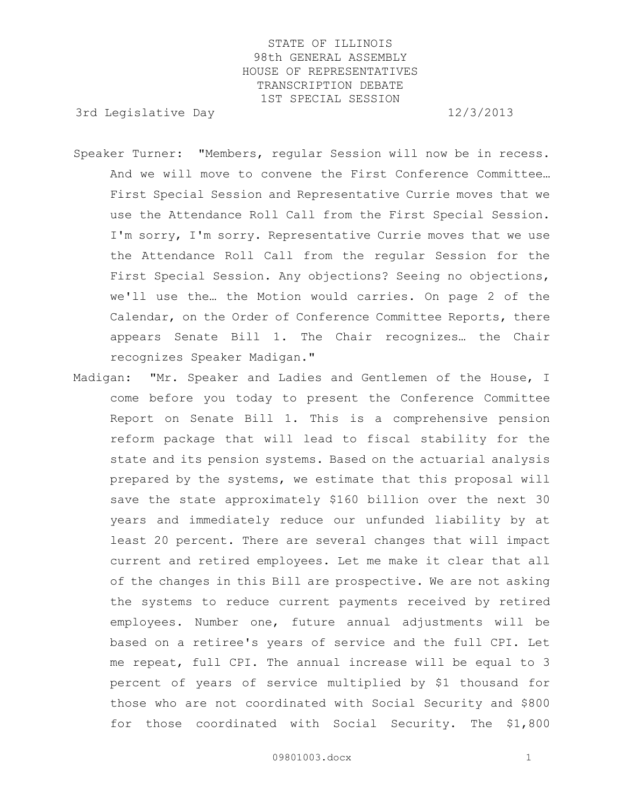3rd Legislative Day 12/3/2013

- Speaker Turner: "Members, regular Session will now be in recess. And we will move to convene the First Conference Committee… First Special Session and Representative Currie moves that we use the Attendance Roll Call from the First Special Session. I'm sorry, I'm sorry. Representative Currie moves that we use the Attendance Roll Call from the regular Session for the First Special Session. Any objections? Seeing no objections, we'll use the… the Motion would carries. On page 2 of the Calendar, on the Order of Conference Committee Reports, there appears Senate Bill 1. The Chair recognizes… the Chair recognizes Speaker Madigan."
- Madigan: "Mr. Speaker and Ladies and Gentlemen of the House, I come before you today to present the Conference Committee Report on Senate Bill 1. This is a comprehensive pension reform package that will lead to fiscal stability for the state and its pension systems. Based on the actuarial analysis prepared by the systems, we estimate that this proposal will save the state approximately \$160 billion over the next 30 years and immediately reduce our unfunded liability by at least 20 percent. There are several changes that will impact current and retired employees. Let me make it clear that all of the changes in this Bill are prospective. We are not asking the systems to reduce current payments received by retired employees. Number one, future annual adjustments will be based on a retiree's years of service and the full CPI. Let me repeat, full CPI. The annual increase will be equal to 3 percent of years of service multiplied by \$1 thousand for those who are not coordinated with Social Security and \$800 for those coordinated with Social Security. The \$1,800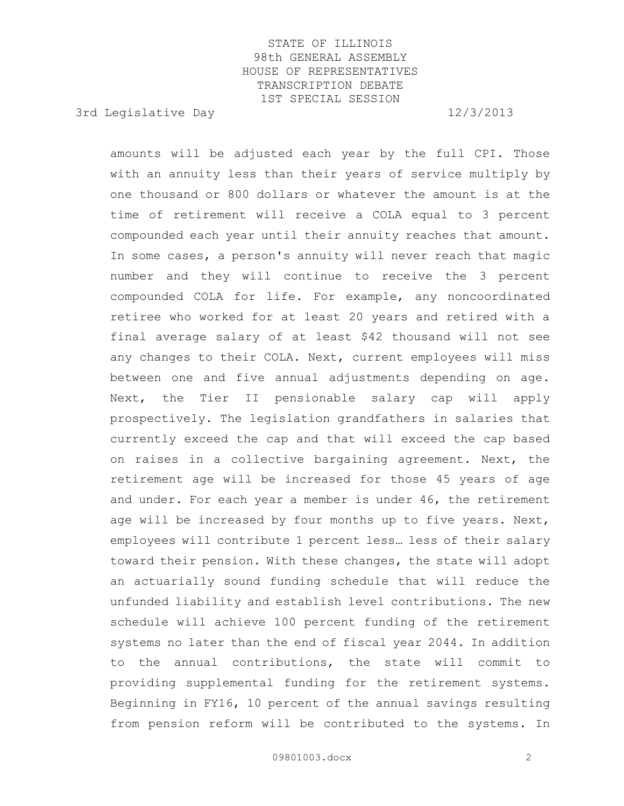3rd Legislative Day 12/3/2013

amounts will be adjusted each year by the full CPI. Those with an annuity less than their years of service multiply by one thousand or 800 dollars or whatever the amount is at the time of retirement will receive a COLA equal to 3 percent compounded each year until their annuity reaches that amount. In some cases, a person's annuity will never reach that magic number and they will continue to receive the 3 percent compounded COLA for life. For example, any noncoordinated retiree who worked for at least 20 years and retired with a final average salary of at least \$42 thousand will not see any changes to their COLA. Next, current employees will miss between one and five annual adjustments depending on age. Next, the Tier II pensionable salary cap will apply prospectively. The legislation grandfathers in salaries that currently exceed the cap and that will exceed the cap based on raises in a collective bargaining agreement. Next, the retirement age will be increased for those 45 years of age and under. For each year a member is under 46, the retirement age will be increased by four months up to five years. Next, employees will contribute 1 percent less… less of their salary toward their pension. With these changes, the state will adopt an actuarially sound funding schedule that will reduce the unfunded liability and establish level contributions. The new schedule will achieve 100 percent funding of the retirement systems no later than the end of fiscal year 2044. In addition to the annual contributions, the state will commit to providing supplemental funding for the retirement systems. Beginning in FY16, 10 percent of the annual savings resulting from pension reform will be contributed to the systems. In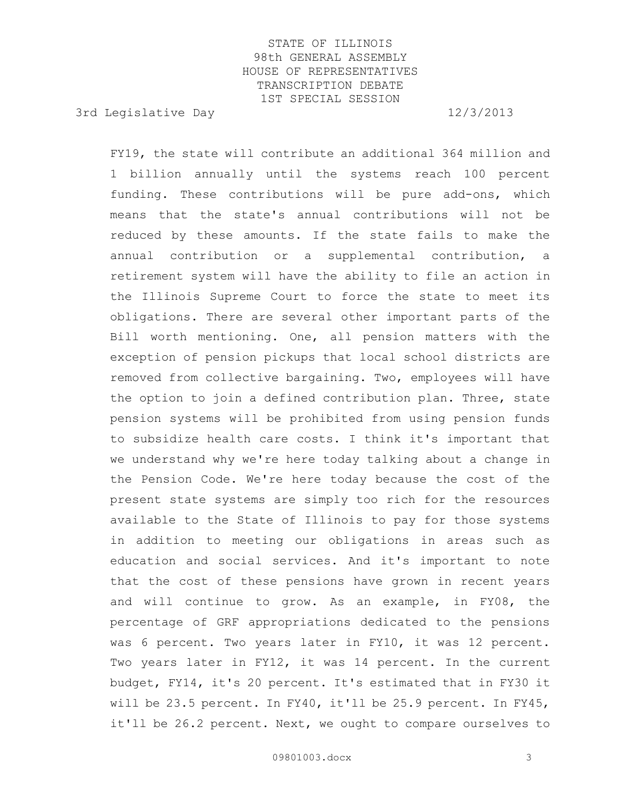3rd Legislative Day 12/3/2013

FY19, the state will contribute an additional 364 million and 1 billion annually until the systems reach 100 percent funding. These contributions will be pure add-ons, which means that the state's annual contributions will not be reduced by these amounts. If the state fails to make the annual contribution or a supplemental contribution, a retirement system will have the ability to file an action in the Illinois Supreme Court to force the state to meet its obligations. There are several other important parts of the Bill worth mentioning. One, all pension matters with the exception of pension pickups that local school districts are removed from collective bargaining. Two, employees will have the option to join a defined contribution plan. Three, state pension systems will be prohibited from using pension funds to subsidize health care costs. I think it's important that we understand why we're here today talking about a change in the Pension Code. We're here today because the cost of the present state systems are simply too rich for the resources available to the State of Illinois to pay for those systems in addition to meeting our obligations in areas such as education and social services. And it's important to note that the cost of these pensions have grown in recent years and will continue to grow. As an example, in FY08, the percentage of GRF appropriations dedicated to the pensions was 6 percent. Two years later in FY10, it was 12 percent. Two years later in FY12, it was 14 percent. In the current budget, FY14, it's 20 percent. It's estimated that in FY30 it will be 23.5 percent. In FY40, it'll be 25.9 percent. In FY45, it'll be 26.2 percent. Next, we ought to compare ourselves to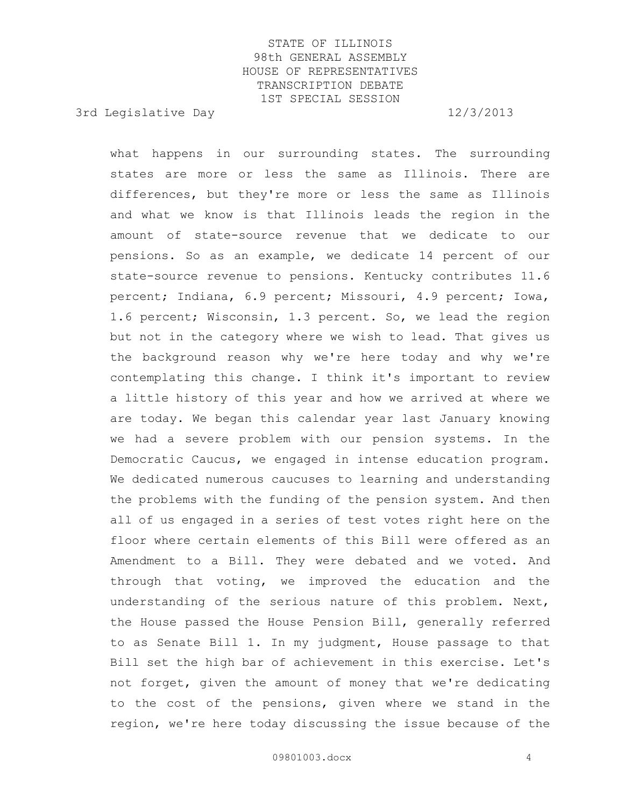3rd Legislative Day 12/3/2013

what happens in our surrounding states. The surrounding states are more or less the same as Illinois. There are differences, but they're more or less the same as Illinois and what we know is that Illinois leads the region in the amount of state-source revenue that we dedicate to our pensions. So as an example, we dedicate 14 percent of our state-source revenue to pensions. Kentucky contributes 11.6 percent; Indiana, 6.9 percent; Missouri, 4.9 percent; Iowa, 1.6 percent; Wisconsin, 1.3 percent. So, we lead the region but not in the category where we wish to lead. That gives us the background reason why we're here today and why we're contemplating this change. I think it's important to review a little history of this year and how we arrived at where we are today. We began this calendar year last January knowing we had a severe problem with our pension systems. In the Democratic Caucus, we engaged in intense education program. We dedicated numerous caucuses to learning and understanding the problems with the funding of the pension system. And then all of us engaged in a series of test votes right here on the floor where certain elements of this Bill were offered as an Amendment to a Bill. They were debated and we voted. And through that voting, we improved the education and the understanding of the serious nature of this problem. Next, the House passed the House Pension Bill, generally referred to as Senate Bill 1. In my judgment, House passage to that Bill set the high bar of achievement in this exercise. Let's not forget, given the amount of money that we're dedicating to the cost of the pensions, given where we stand in the region, we're here today discussing the issue because of the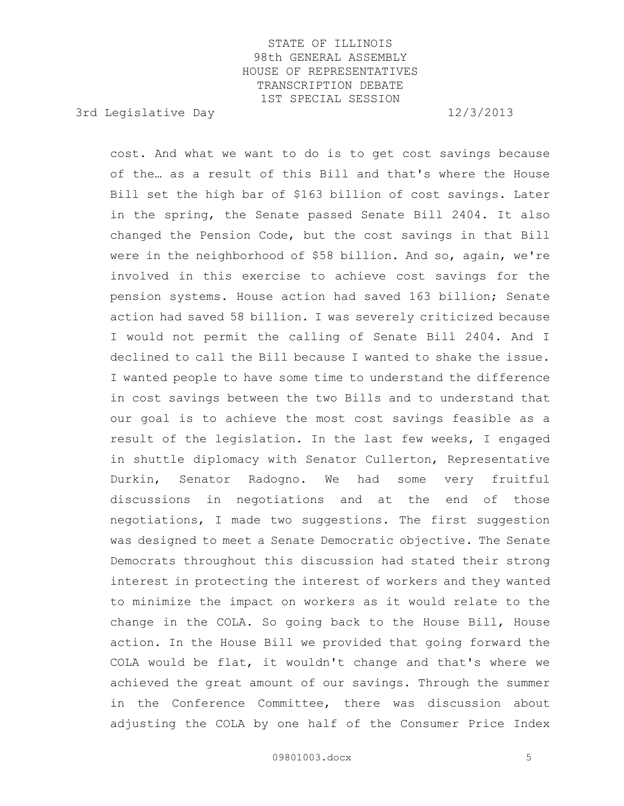3rd Legislative Day 12/3/2013

cost. And what we want to do is to get cost savings because of the… as a result of this Bill and that's where the House Bill set the high bar of \$163 billion of cost savings. Later in the spring, the Senate passed Senate Bill 2404. It also changed the Pension Code, but the cost savings in that Bill were in the neighborhood of \$58 billion. And so, again, we're involved in this exercise to achieve cost savings for the pension systems. House action had saved 163 billion; Senate action had saved 58 billion. I was severely criticized because I would not permit the calling of Senate Bill 2404. And I declined to call the Bill because I wanted to shake the issue. I wanted people to have some time to understand the difference in cost savings between the two Bills and to understand that our goal is to achieve the most cost savings feasible as a result of the legislation. In the last few weeks, I engaged in shuttle diplomacy with Senator Cullerton, Representative Durkin, Senator Radogno. We had some very fruitful discussions in negotiations and at the end of those negotiations, I made two suggestions. The first suggestion was designed to meet a Senate Democratic objective. The Senate Democrats throughout this discussion had stated their strong interest in protecting the interest of workers and they wanted to minimize the impact on workers as it would relate to the change in the COLA. So going back to the House Bill, House action. In the House Bill we provided that going forward the COLA would be flat, it wouldn't change and that's where we achieved the great amount of our savings. Through the summer in the Conference Committee, there was discussion about adjusting the COLA by one half of the Consumer Price Index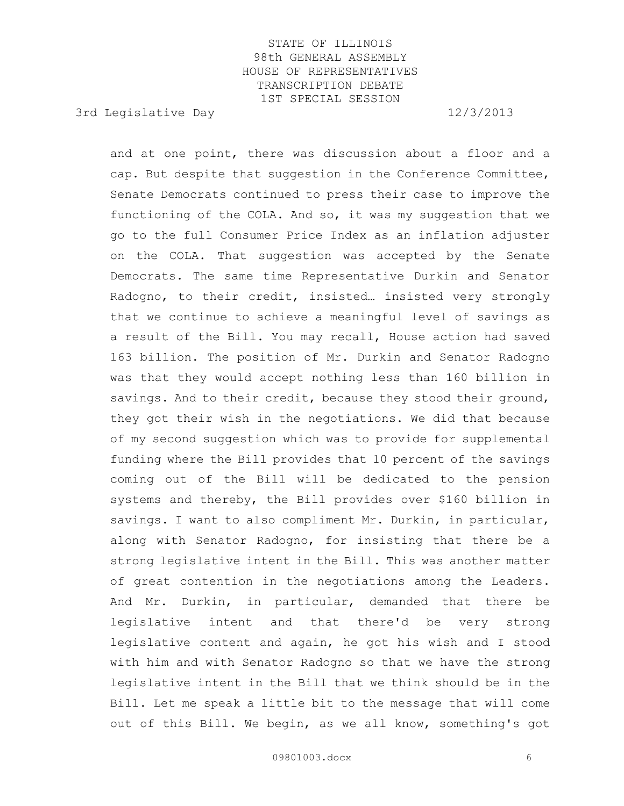3rd Legislative Day 12/3/2013

and at one point, there was discussion about a floor and a cap. But despite that suggestion in the Conference Committee, Senate Democrats continued to press their case to improve the functioning of the COLA. And so, it was my suggestion that we go to the full Consumer Price Index as an inflation adjuster on the COLA. That suggestion was accepted by the Senate Democrats. The same time Representative Durkin and Senator Radogno, to their credit, insisted… insisted very strongly that we continue to achieve a meaningful level of savings as a result of the Bill. You may recall, House action had saved 163 billion. The position of Mr. Durkin and Senator Radogno was that they would accept nothing less than 160 billion in savings. And to their credit, because they stood their ground, they got their wish in the negotiations. We did that because of my second suggestion which was to provide for supplemental funding where the Bill provides that 10 percent of the savings coming out of the Bill will be dedicated to the pension systems and thereby, the Bill provides over \$160 billion in savings. I want to also compliment Mr. Durkin, in particular, along with Senator Radogno, for insisting that there be a strong legislative intent in the Bill. This was another matter of great contention in the negotiations among the Leaders. And Mr. Durkin, in particular, demanded that there be legislative intent and that there'd be very strong legislative content and again, he got his wish and I stood with him and with Senator Radogno so that we have the strong legislative intent in the Bill that we think should be in the Bill. Let me speak a little bit to the message that will come out of this Bill. We begin, as we all know, something's got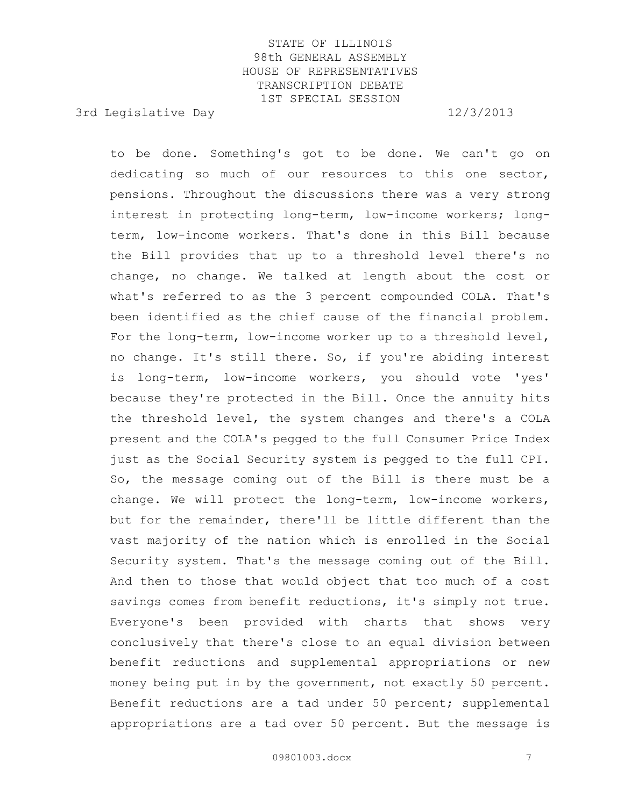3rd Legislative Day 12/3/2013

to be done. Something's got to be done. We can't go on dedicating so much of our resources to this one sector, pensions. Throughout the discussions there was a very strong interest in protecting long-term, low-income workers; longterm, low-income workers. That's done in this Bill because the Bill provides that up to a threshold level there's no change, no change. We talked at length about the cost or what's referred to as the 3 percent compounded COLA. That's been identified as the chief cause of the financial problem. For the long-term, low-income worker up to a threshold level, no change. It's still there. So, if you're abiding interest is long-term, low-income workers, you should vote 'yes' because they're protected in the Bill. Once the annuity hits the threshold level, the system changes and there's a COLA present and the COLA's pegged to the full Consumer Price Index just as the Social Security system is pegged to the full CPI. So, the message coming out of the Bill is there must be a change. We will protect the long-term, low-income workers, but for the remainder, there'll be little different than the vast majority of the nation which is enrolled in the Social Security system. That's the message coming out of the Bill. And then to those that would object that too much of a cost savings comes from benefit reductions, it's simply not true. Everyone's been provided with charts that shows very conclusively that there's close to an equal division between benefit reductions and supplemental appropriations or new money being put in by the government, not exactly 50 percent. Benefit reductions are a tad under 50 percent; supplemental appropriations are a tad over 50 percent. But the message is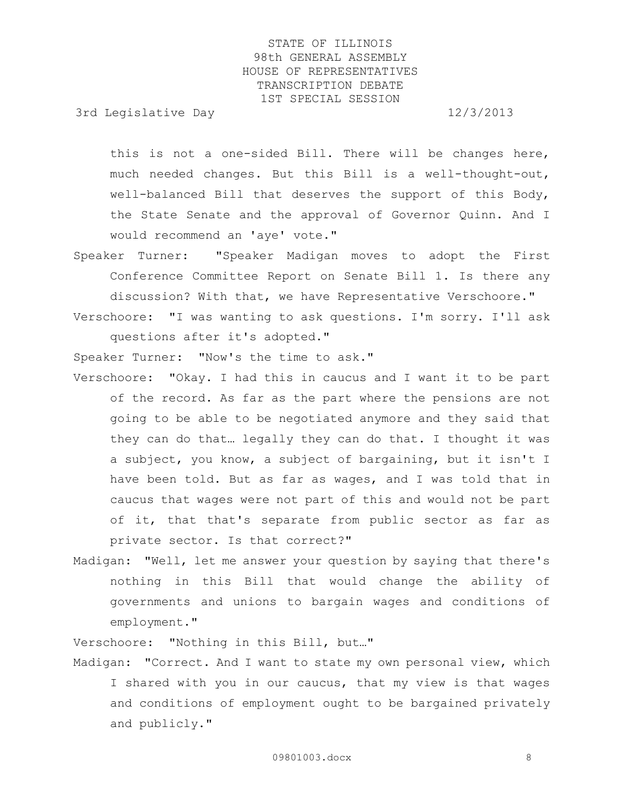3rd Legislative Day 12/3/2013

this is not a one-sided Bill. There will be changes here, much needed changes. But this Bill is a well-thought-out, well-balanced Bill that deserves the support of this Body, the State Senate and the approval of Governor Quinn. And I would recommend an 'aye' vote."

- Speaker Turner: "Speaker Madigan moves to adopt the First Conference Committee Report on Senate Bill 1. Is there any discussion? With that, we have Representative Verschoore."
- Verschoore: "I was wanting to ask questions. I'm sorry. I'll ask questions after it's adopted."

Speaker Turner: "Now's the time to ask."

- Verschoore: "Okay. I had this in caucus and I want it to be part of the record. As far as the part where the pensions are not going to be able to be negotiated anymore and they said that they can do that… legally they can do that. I thought it was a subject, you know, a subject of bargaining, but it isn't I have been told. But as far as wages, and I was told that in caucus that wages were not part of this and would not be part of it, that that's separate from public sector as far as private sector. Is that correct?"
- Madigan: "Well, let me answer your question by saying that there's nothing in this Bill that would change the ability of governments and unions to bargain wages and conditions of employment."

Verschoore: "Nothing in this Bill, but…"

Madigan: "Correct. And I want to state my own personal view, which I shared with you in our caucus, that my view is that wages and conditions of employment ought to be bargained privately and publicly."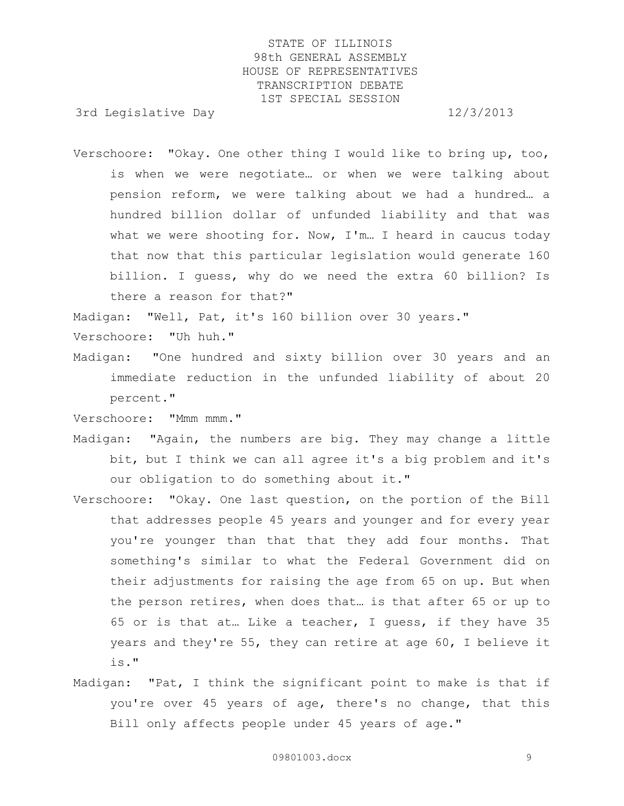3rd Legislative Day 12/3/2013

Verschoore: "Okay. One other thing I would like to bring up, too, is when we were negotiate… or when we were talking about pension reform, we were talking about we had a hundred… a hundred billion dollar of unfunded liability and that was what we were shooting for. Now, I'm… I heard in caucus today that now that this particular legislation would generate 160 billion. I guess, why do we need the extra 60 billion? Is there a reason for that?"

Madigan: "Well, Pat, it's 160 billion over 30 years."

Verschoore: "Uh huh."

Madigan: "One hundred and sixty billion over 30 years and an immediate reduction in the unfunded liability of about 20 percent."

Verschoore: "Mmm mmm."

- Madigan: "Again, the numbers are big. They may change a little bit, but I think we can all agree it's a big problem and it's our obligation to do something about it."
- Verschoore: "Okay. One last question, on the portion of the Bill that addresses people 45 years and younger and for every year you're younger than that that they add four months. That something's similar to what the Federal Government did on their adjustments for raising the age from 65 on up. But when the person retires, when does that… is that after 65 or up to 65 or is that at… Like a teacher, I guess, if they have 35 years and they're 55, they can retire at age 60, I believe it is."
- Madigan: "Pat, I think the significant point to make is that if you're over 45 years of age, there's no change, that this Bill only affects people under 45 years of age."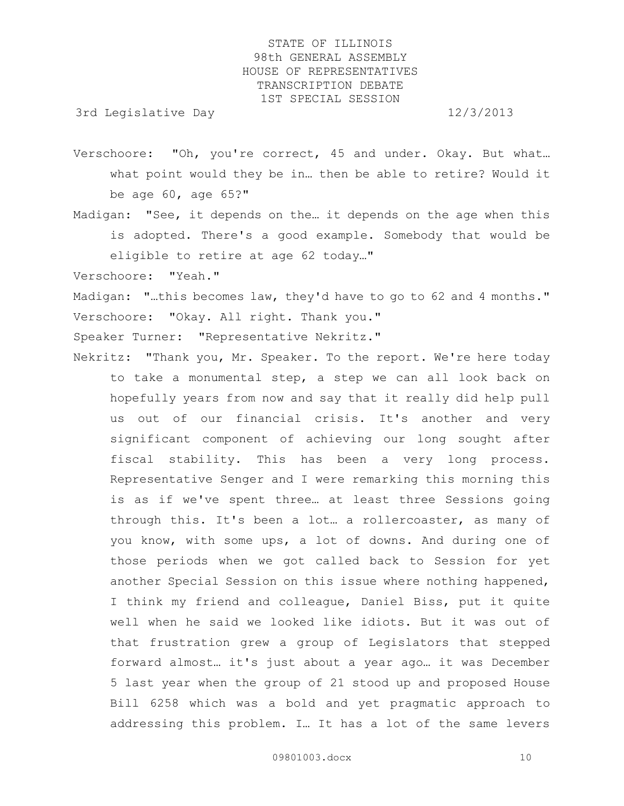3rd Legislative Day 12/3/2013

- Verschoore: "Oh, you're correct, 45 and under. Okay. But what… what point would they be in… then be able to retire? Would it be age 60, age 65?"
- Madigan: "See, it depends on the… it depends on the age when this is adopted. There's a good example. Somebody that would be eligible to retire at age 62 today…"
- Verschoore: "Yeah."

Madigan: "…this becomes law, they'd have to go to 62 and 4 months." Verschoore: "Okay. All right. Thank you."

Speaker Turner: "Representative Nekritz."

Nekritz: "Thank you, Mr. Speaker. To the report. We're here today to take a monumental step, a step we can all look back on hopefully years from now and say that it really did help pull us out of our financial crisis. It's another and very significant component of achieving our long sought after fiscal stability. This has been a very long process. Representative Senger and I were remarking this morning this is as if we've spent three… at least three Sessions going through this. It's been a lot… a rollercoaster, as many of you know, with some ups, a lot of downs. And during one of those periods when we got called back to Session for yet another Special Session on this issue where nothing happened, I think my friend and colleague, Daniel Biss, put it quite well when he said we looked like idiots. But it was out of that frustration grew a group of Legislators that stepped forward almost… it's just about a year ago… it was December 5 last year when the group of 21 stood up and proposed House Bill 6258 which was a bold and yet pragmatic approach to addressing this problem. I… It has a lot of the same levers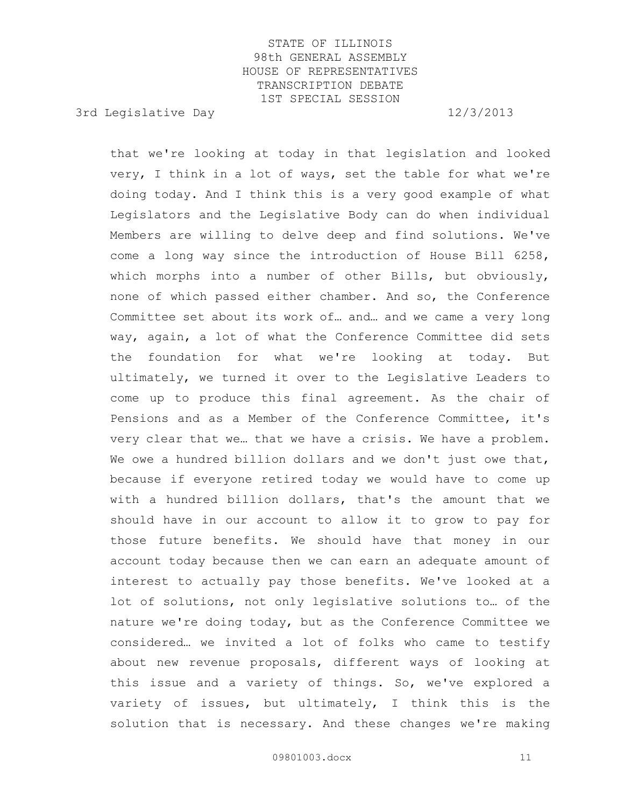3rd Legislative Day 12/3/2013

that we're looking at today in that legislation and looked very, I think in a lot of ways, set the table for what we're doing today. And I think this is a very good example of what Legislators and the Legislative Body can do when individual Members are willing to delve deep and find solutions. We've come a long way since the introduction of House Bill 6258, which morphs into a number of other Bills, but obviously, none of which passed either chamber. And so, the Conference Committee set about its work of… and… and we came a very long way, again, a lot of what the Conference Committee did sets the foundation for what we're looking at today. But ultimately, we turned it over to the Legislative Leaders to come up to produce this final agreement. As the chair of Pensions and as a Member of the Conference Committee, it's very clear that we… that we have a crisis. We have a problem. We owe a hundred billion dollars and we don't just owe that, because if everyone retired today we would have to come up with a hundred billion dollars, that's the amount that we should have in our account to allow it to grow to pay for those future benefits. We should have that money in our account today because then we can earn an adequate amount of interest to actually pay those benefits. We've looked at a lot of solutions, not only legislative solutions to… of the nature we're doing today, but as the Conference Committee we considered… we invited a lot of folks who came to testify about new revenue proposals, different ways of looking at this issue and a variety of things. So, we've explored a variety of issues, but ultimately, I think this is the solution that is necessary. And these changes we're making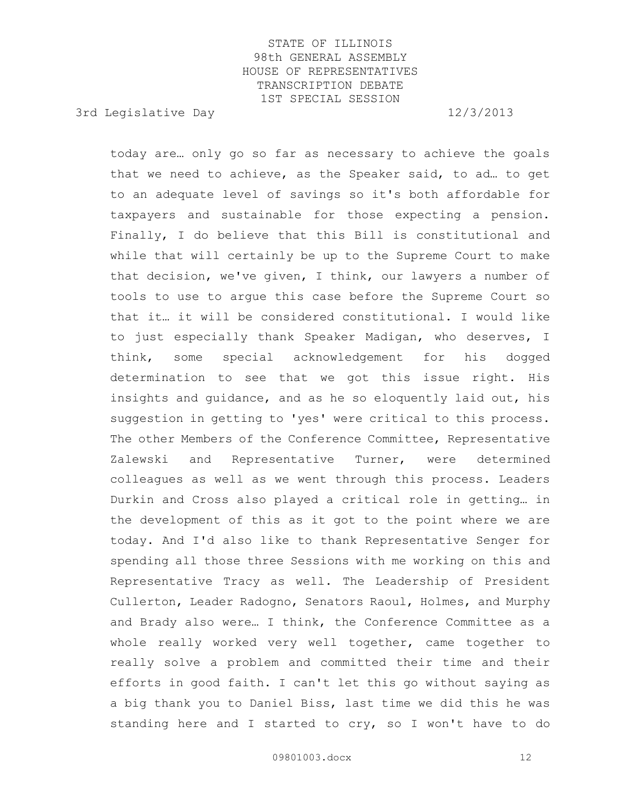3rd Legislative Day 12/3/2013

today are… only go so far as necessary to achieve the goals that we need to achieve, as the Speaker said, to ad… to get to an adequate level of savings so it's both affordable for taxpayers and sustainable for those expecting a pension. Finally, I do believe that this Bill is constitutional and while that will certainly be up to the Supreme Court to make that decision, we've given, I think, our lawyers a number of tools to use to argue this case before the Supreme Court so that it… it will be considered constitutional. I would like to just especially thank Speaker Madigan, who deserves, I think, some special acknowledgement for his dogged determination to see that we got this issue right. His insights and guidance, and as he so eloquently laid out, his suggestion in getting to 'yes' were critical to this process. The other Members of the Conference Committee, Representative Zalewski and Representative Turner, were determined colleagues as well as we went through this process. Leaders Durkin and Cross also played a critical role in getting… in the development of this as it got to the point where we are today. And I'd also like to thank Representative Senger for spending all those three Sessions with me working on this and Representative Tracy as well. The Leadership of President Cullerton, Leader Radogno, Senators Raoul, Holmes, and Murphy and Brady also were… I think, the Conference Committee as a whole really worked very well together, came together to really solve a problem and committed their time and their efforts in good faith. I can't let this go without saying as a big thank you to Daniel Biss, last time we did this he was standing here and I started to cry, so I won't have to do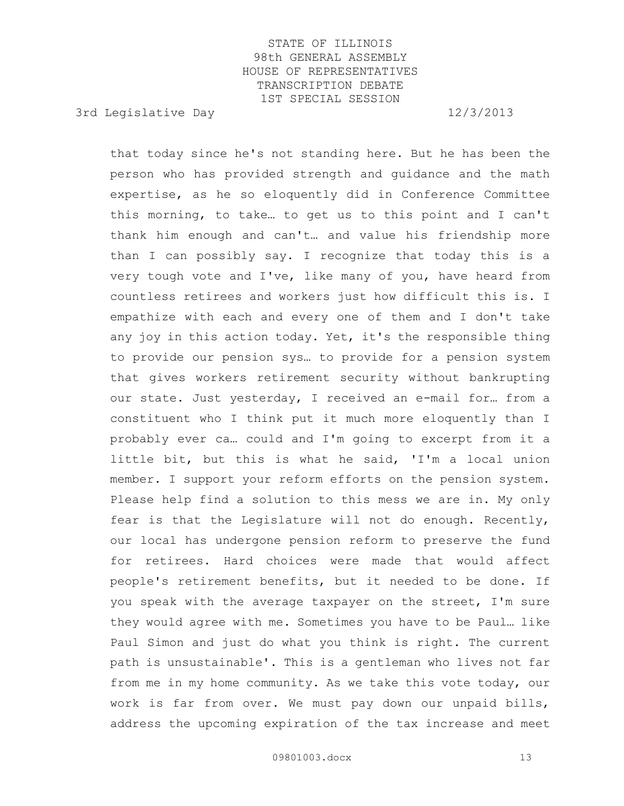3rd Legislative Day 12/3/2013

that today since he's not standing here. But he has been the person who has provided strength and guidance and the math expertise, as he so eloquently did in Conference Committee this morning, to take… to get us to this point and I can't thank him enough and can't… and value his friendship more than I can possibly say. I recognize that today this is a very tough vote and I've, like many of you, have heard from countless retirees and workers just how difficult this is. I empathize with each and every one of them and I don't take any joy in this action today. Yet, it's the responsible thing to provide our pension sys… to provide for a pension system that gives workers retirement security without bankrupting our state. Just yesterday, I received an e-mail for… from a constituent who I think put it much more eloquently than I probably ever ca… could and I'm going to excerpt from it a little bit, but this is what he said, 'I'm a local union member. I support your reform efforts on the pension system. Please help find a solution to this mess we are in. My only fear is that the Legislature will not do enough. Recently, our local has undergone pension reform to preserve the fund for retirees. Hard choices were made that would affect people's retirement benefits, but it needed to be done. If you speak with the average taxpayer on the street, I'm sure they would agree with me. Sometimes you have to be Paul… like Paul Simon and just do what you think is right. The current path is unsustainable'. This is a gentleman who lives not far from me in my home community. As we take this vote today, our work is far from over. We must pay down our unpaid bills, address the upcoming expiration of the tax increase and meet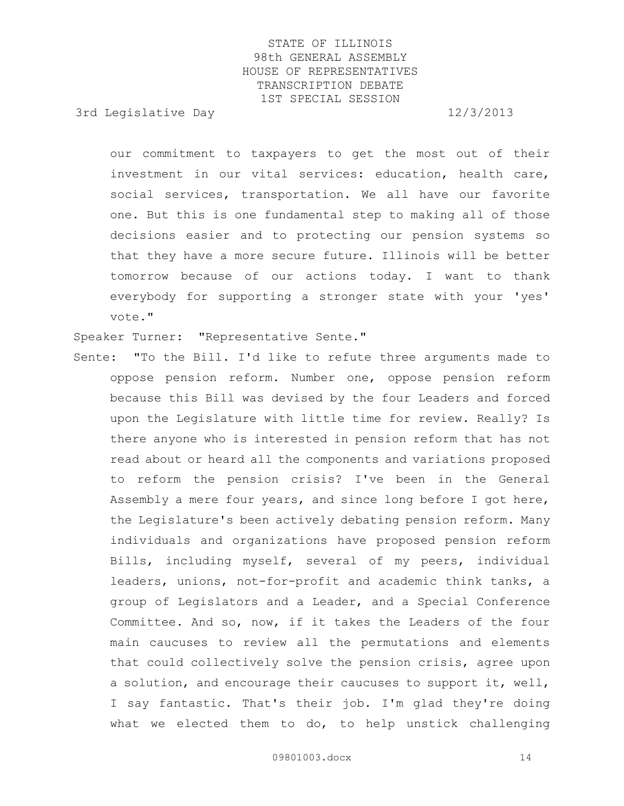3rd Legislative Day 12/3/2013

our commitment to taxpayers to get the most out of their investment in our vital services: education, health care, social services, transportation. We all have our favorite one. But this is one fundamental step to making all of those decisions easier and to protecting our pension systems so that they have a more secure future. Illinois will be better tomorrow because of our actions today. I want to thank everybody for supporting a stronger state with your 'yes' vote."

Speaker Turner: "Representative Sente."

Sente: "To the Bill. I'd like to refute three arguments made to oppose pension reform. Number one, oppose pension reform because this Bill was devised by the four Leaders and forced upon the Legislature with little time for review. Really? Is there anyone who is interested in pension reform that has not read about or heard all the components and variations proposed to reform the pension crisis? I've been in the General Assembly a mere four years, and since long before I got here, the Legislature's been actively debating pension reform. Many individuals and organizations have proposed pension reform Bills, including myself, several of my peers, individual leaders, unions, not-for-profit and academic think tanks, a group of Legislators and a Leader, and a Special Conference Committee. And so, now, if it takes the Leaders of the four main caucuses to review all the permutations and elements that could collectively solve the pension crisis, agree upon a solution, and encourage their caucuses to support it, well, I say fantastic. That's their job. I'm glad they're doing what we elected them to do, to help unstick challenging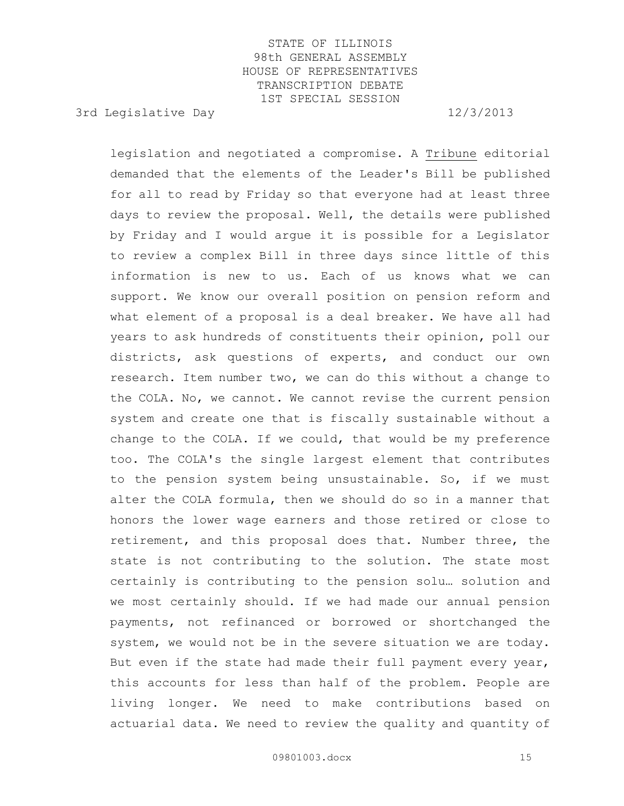3rd Legislative Day 12/3/2013

legislation and negotiated a compromise. A Tribune editorial demanded that the elements of the Leader's Bill be published for all to read by Friday so that everyone had at least three days to review the proposal. Well, the details were published by Friday and I would argue it is possible for a Legislator to review a complex Bill in three days since little of this information is new to us. Each of us knows what we can support. We know our overall position on pension reform and what element of a proposal is a deal breaker. We have all had years to ask hundreds of constituents their opinion, poll our districts, ask questions of experts, and conduct our own research. Item number two, we can do this without a change to the COLA. No, we cannot. We cannot revise the current pension system and create one that is fiscally sustainable without a change to the COLA. If we could, that would be my preference too. The COLA's the single largest element that contributes to the pension system being unsustainable. So, if we must alter the COLA formula, then we should do so in a manner that honors the lower wage earners and those retired or close to retirement, and this proposal does that. Number three, the state is not contributing to the solution. The state most certainly is contributing to the pension solu… solution and we most certainly should. If we had made our annual pension payments, not refinanced or borrowed or shortchanged the system, we would not be in the severe situation we are today. But even if the state had made their full payment every year, this accounts for less than half of the problem. People are living longer. We need to make contributions based on actuarial data. We need to review the quality and quantity of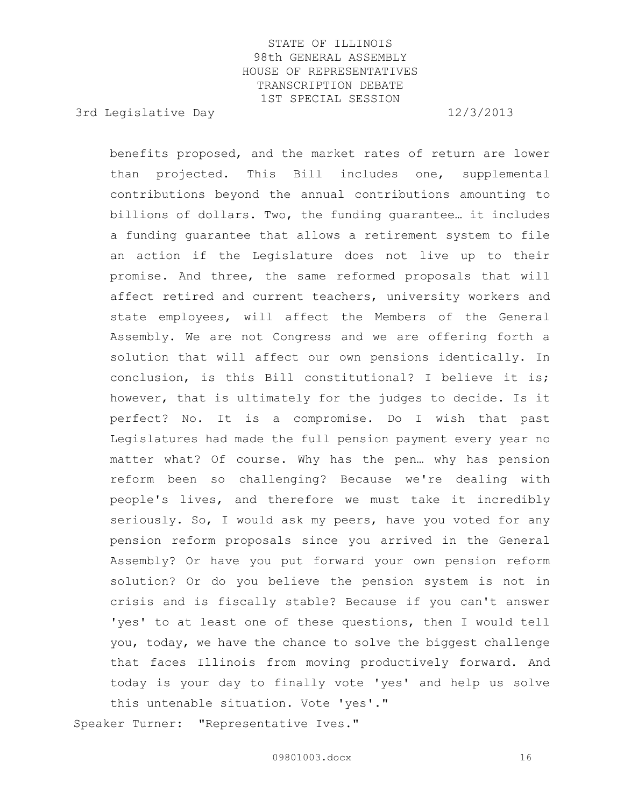3rd Legislative Day 12/3/2013

benefits proposed, and the market rates of return are lower than projected. This Bill includes one, supplemental contributions beyond the annual contributions amounting to billions of dollars. Two, the funding guarantee… it includes a funding guarantee that allows a retirement system to file an action if the Legislature does not live up to their promise. And three, the same reformed proposals that will affect retired and current teachers, university workers and state employees, will affect the Members of the General Assembly. We are not Congress and we are offering forth a solution that will affect our own pensions identically. In conclusion, is this Bill constitutional? I believe it is; however, that is ultimately for the judges to decide. Is it perfect? No. It is a compromise. Do I wish that past Legislatures had made the full pension payment every year no matter what? Of course. Why has the pen… why has pension reform been so challenging? Because we're dealing with people's lives, and therefore we must take it incredibly seriously. So, I would ask my peers, have you voted for any pension reform proposals since you arrived in the General Assembly? Or have you put forward your own pension reform solution? Or do you believe the pension system is not in crisis and is fiscally stable? Because if you can't answer 'yes' to at least one of these questions, then I would tell you, today, we have the chance to solve the biggest challenge that faces Illinois from moving productively forward. And today is your day to finally vote 'yes' and help us solve this untenable situation. Vote 'yes'."

Speaker Turner: "Representative Ives."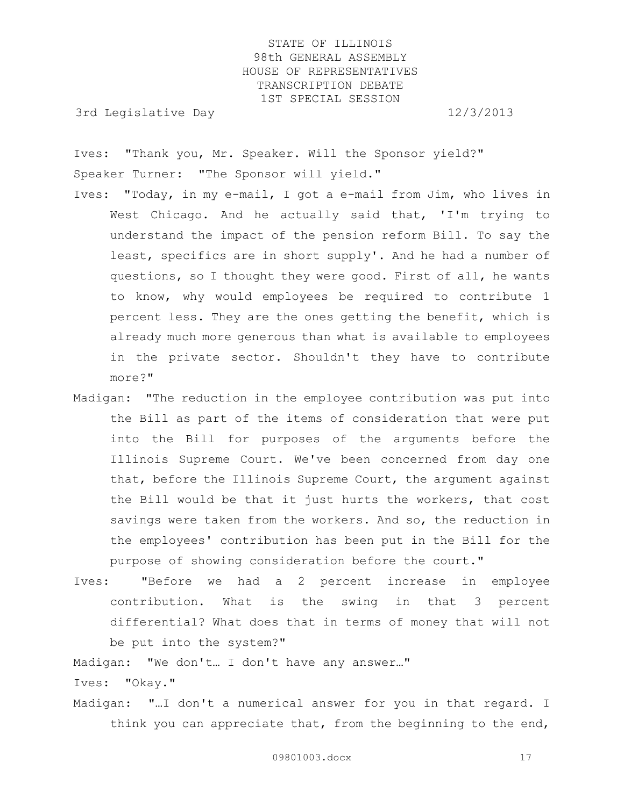3rd Legislative Day 12/3/2013

Ives: "Thank you, Mr. Speaker. Will the Sponsor yield?" Speaker Turner: "The Sponsor will yield."

- Ives: "Today, in my e-mail, I got a e-mail from Jim, who lives in West Chicago. And he actually said that, 'I'm trying to understand the impact of the pension reform Bill. To say the least, specifics are in short supply'. And he had a number of questions, so I thought they were good. First of all, he wants to know, why would employees be required to contribute 1 percent less. They are the ones getting the benefit, which is already much more generous than what is available to employees in the private sector. Shouldn't they have to contribute more?"
- Madigan: "The reduction in the employee contribution was put into the Bill as part of the items of consideration that were put into the Bill for purposes of the arguments before the Illinois Supreme Court. We've been concerned from day one that, before the Illinois Supreme Court, the argument against the Bill would be that it just hurts the workers, that cost savings were taken from the workers. And so, the reduction in the employees' contribution has been put in the Bill for the purpose of showing consideration before the court."
- Ives: "Before we had a 2 percent increase in employee contribution. What is the swing in that 3 percent differential? What does that in terms of money that will not be put into the system?"

Madigan: "We don't… I don't have any answer…"

Ives: "Okay."

Madigan: "…I don't a numerical answer for you in that regard. I think you can appreciate that, from the beginning to the end,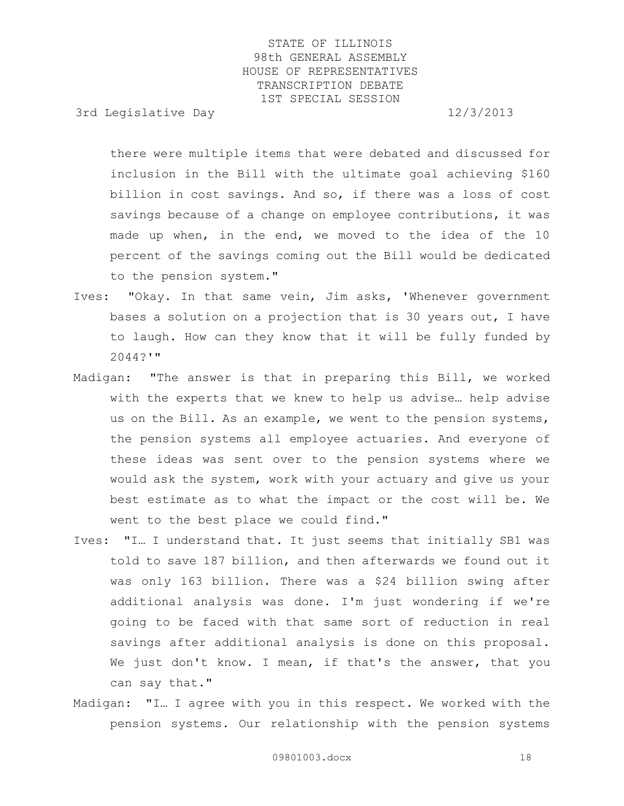3rd Legislative Day 12/3/2013

there were multiple items that were debated and discussed for inclusion in the Bill with the ultimate goal achieving \$160 billion in cost savings. And so, if there was a loss of cost savings because of a change on employee contributions, it was made up when, in the end, we moved to the idea of the 10 percent of the savings coming out the Bill would be dedicated to the pension system."

- Ives: "Okay. In that same vein, Jim asks, 'Whenever government bases a solution on a projection that is 30 years out, I have to laugh. How can they know that it will be fully funded by 2044?'"
- Madigan: "The answer is that in preparing this Bill, we worked with the experts that we knew to help us advise… help advise us on the Bill. As an example, we went to the pension systems, the pension systems all employee actuaries. And everyone of these ideas was sent over to the pension systems where we would ask the system, work with your actuary and give us your best estimate as to what the impact or the cost will be. We went to the best place we could find."
- Ives: "I… I understand that. It just seems that initially SB1 was told to save 187 billion, and then afterwards we found out it was only 163 billion. There was a \$24 billion swing after additional analysis was done. I'm just wondering if we're going to be faced with that same sort of reduction in real savings after additional analysis is done on this proposal. We just don't know. I mean, if that's the answer, that you can say that."
- Madigan: "I… I agree with you in this respect. We worked with the pension systems. Our relationship with the pension systems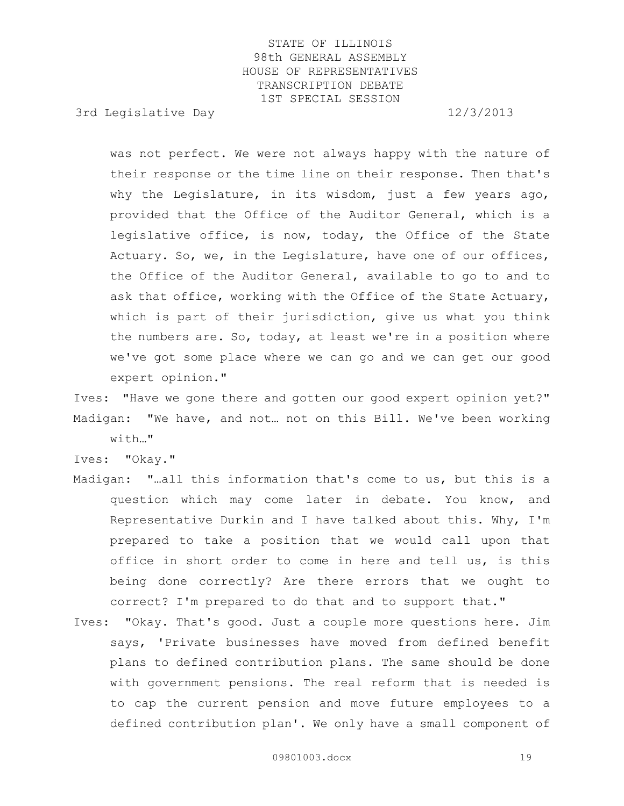3rd Legislative Day 12/3/2013

was not perfect. We were not always happy with the nature of their response or the time line on their response. Then that's why the Legislature, in its wisdom, just a few years ago, provided that the Office of the Auditor General, which is a legislative office, is now, today, the Office of the State Actuary. So, we, in the Legislature, have one of our offices, the Office of the Auditor General, available to go to and to ask that office, working with the Office of the State Actuary, which is part of their jurisdiction, give us what you think the numbers are. So, today, at least we're in a position where we've got some place where we can go and we can get our good expert opinion."

Ives: "Have we gone there and gotten our good expert opinion yet?" Madigan: "We have, and not… not on this Bill. We've been working with…"

Ives: "Okay."

- Madigan: "…all this information that's come to us, but this is a question which may come later in debate. You know, and Representative Durkin and I have talked about this. Why, I'm prepared to take a position that we would call upon that office in short order to come in here and tell us, is this being done correctly? Are there errors that we ought to correct? I'm prepared to do that and to support that."
- Ives: "Okay. That's good. Just a couple more questions here. Jim says, 'Private businesses have moved from defined benefit plans to defined contribution plans. The same should be done with government pensions. The real reform that is needed is to cap the current pension and move future employees to a defined contribution plan'. We only have a small component of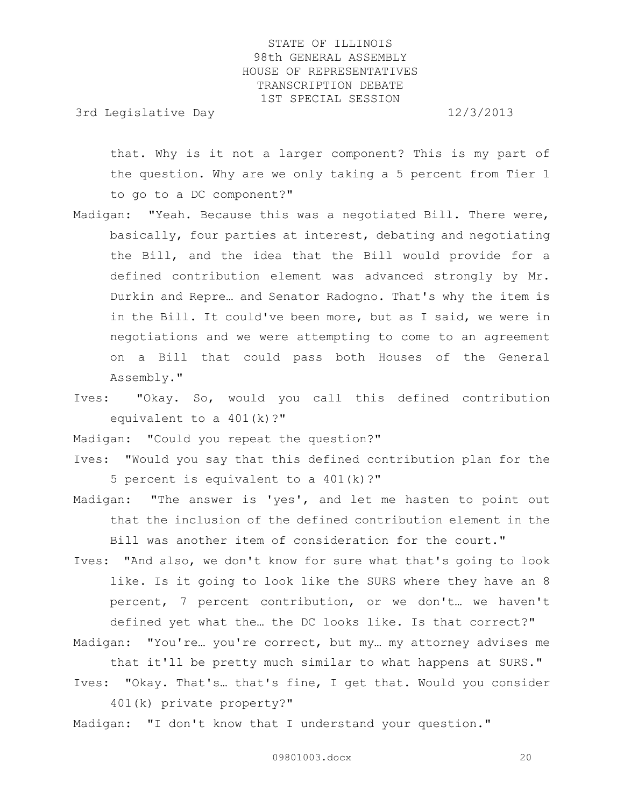3rd Legislative Day 12/3/2013

that. Why is it not a larger component? This is my part of the question. Why are we only taking a 5 percent from Tier 1 to go to a DC component?"

Madigan: "Yeah. Because this was a negotiated Bill. There were, basically, four parties at interest, debating and negotiating the Bill, and the idea that the Bill would provide for a defined contribution element was advanced strongly by Mr. Durkin and Repre… and Senator Radogno. That's why the item is in the Bill. It could've been more, but as I said, we were in negotiations and we were attempting to come to an agreement on a Bill that could pass both Houses of the General Assembly."

Ives: "Okay. So, would you call this defined contribution equivalent to a 401(k)?"

Madigan: "Could you repeat the question?"

- Ives: "Would you say that this defined contribution plan for the 5 percent is equivalent to a 401(k)?"
- Madigan: "The answer is 'yes', and let me hasten to point out that the inclusion of the defined contribution element in the Bill was another item of consideration for the court."
- Ives: "And also, we don't know for sure what that's going to look like. Is it going to look like the SURS where they have an 8 percent, 7 percent contribution, or we don't… we haven't defined yet what the… the DC looks like. Is that correct?"

Madigan: "You're… you're correct, but my… my attorney advises me that it'll be pretty much similar to what happens at SURS."

- Ives: "Okay. That's… that's fine, I get that. Would you consider 401(k) private property?"
- Madigan: "I don't know that I understand your question."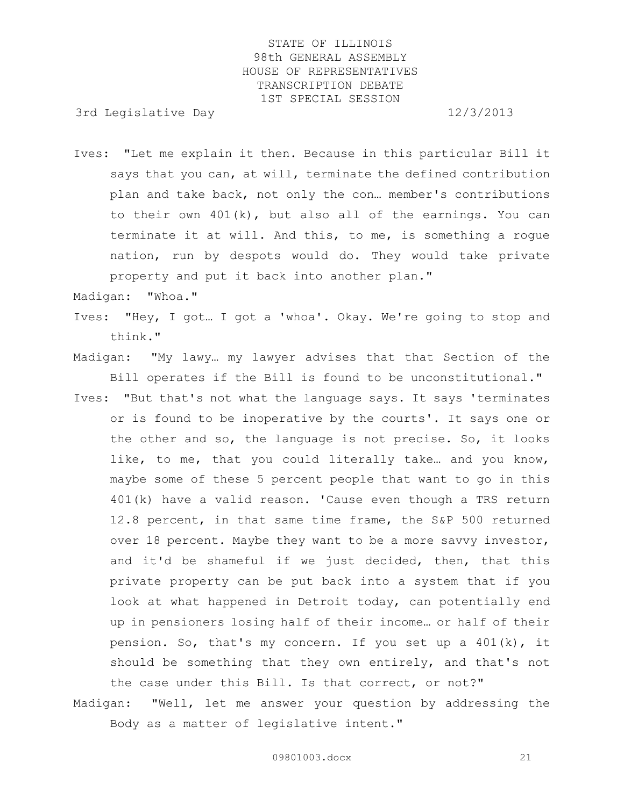3rd Legislative Day 12/3/2013

Ives: "Let me explain it then. Because in this particular Bill it says that you can, at will, terminate the defined contribution plan and take back, not only the con… member's contributions to their own 401(k), but also all of the earnings. You can terminate it at will. And this, to me, is something a rogue nation, run by despots would do. They would take private property and put it back into another plan."

Madigan: "Whoa."

- Ives: "Hey, I got… I got a 'whoa'. Okay. We're going to stop and think."
- Madigan: "My lawy… my lawyer advises that that Section of the Bill operates if the Bill is found to be unconstitutional."
- Ives: "But that's not what the language says. It says 'terminates or is found to be inoperative by the courts'. It says one or the other and so, the language is not precise. So, it looks like, to me, that you could literally take... and you know, maybe some of these 5 percent people that want to go in this 401(k) have a valid reason. 'Cause even though a TRS return 12.8 percent, in that same time frame, the S&P 500 returned over 18 percent. Maybe they want to be a more savvy investor, and it'd be shameful if we just decided, then, that this private property can be put back into a system that if you look at what happened in Detroit today, can potentially end up in pensioners losing half of their income… or half of their pension. So, that's my concern. If you set up a 401(k), it should be something that they own entirely, and that's not the case under this Bill. Is that correct, or not?"
- Madigan: "Well, let me answer your question by addressing the Body as a matter of legislative intent."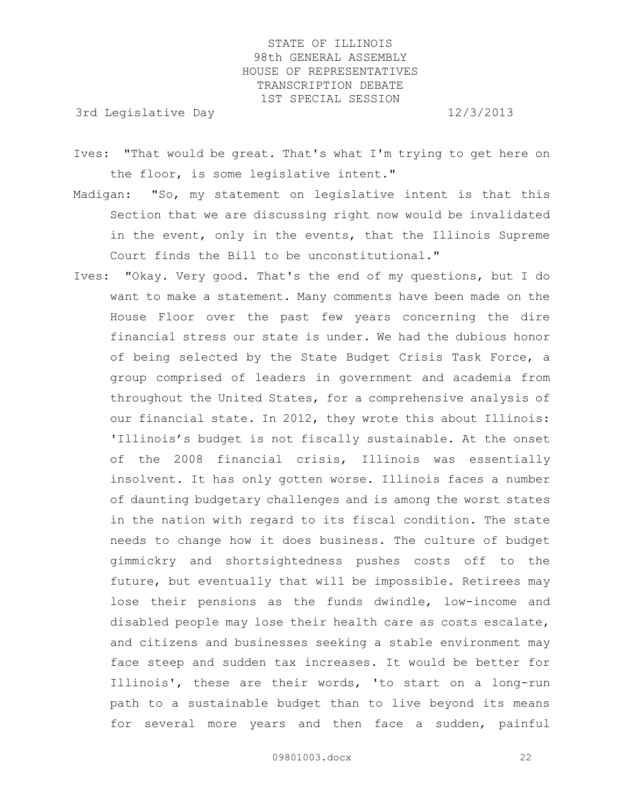3rd Legislative Day 12/3/2013

- Ives: "That would be great. That's what I'm trying to get here on the floor, is some legislative intent."
- Madigan: "So, my statement on legislative intent is that this Section that we are discussing right now would be invalidated in the event, only in the events, that the Illinois Supreme Court finds the Bill to be unconstitutional."
- Ives: "Okay. Very good. That's the end of my questions, but I do want to make a statement. Many comments have been made on the House Floor over the past few years concerning the dire financial stress our state is under. We had the dubious honor of being selected by the State Budget Crisis Task Force, a group comprised of leaders in government and academia from throughout the United States, for a comprehensive analysis of our financial state. In 2012, they wrote this about Illinois: 'Illinois's budget is not fiscally sustainable. At the onset of the 2008 financial crisis, Illinois was essentially insolvent. It has only gotten worse. Illinois faces a number of daunting budgetary challenges and is among the worst states in the nation with regard to its fiscal condition. The state needs to change how it does business. The culture of budget gimmickry and shortsightedness pushes costs off to the future, but eventually that will be impossible. Retirees may lose their pensions as the funds dwindle, low-income and disabled people may lose their health care as costs escalate, and citizens and businesses seeking a stable environment may face steep and sudden tax increases. It would be better for Illinois', these are their words, 'to start on a long-run path to a sustainable budget than to live beyond its means for several more years and then face a sudden, painful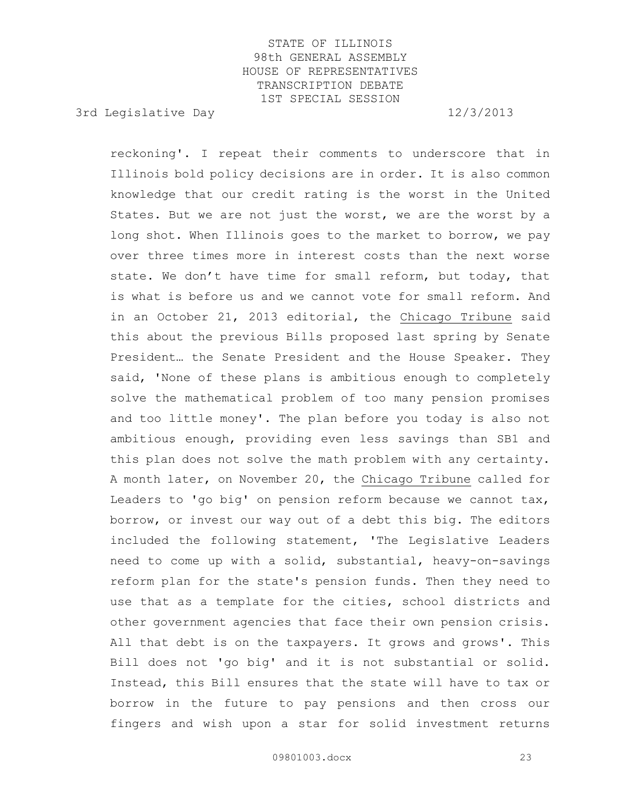3rd Legislative Day 12/3/2013

reckoning'. I repeat their comments to underscore that in Illinois bold policy decisions are in order. It is also common knowledge that our credit rating is the worst in the United States. But we are not just the worst, we are the worst by a long shot. When Illinois goes to the market to borrow, we pay over three times more in interest costs than the next worse state. We don't have time for small reform, but today, that is what is before us and we cannot vote for small reform. And in an October 21, 2013 editorial, the Chicago Tribune said this about the previous Bills proposed last spring by Senate President… the Senate President and the House Speaker. They said, 'None of these plans is ambitious enough to completely solve the mathematical problem of too many pension promises and too little money'. The plan before you today is also not ambitious enough, providing even less savings than SB1 and this plan does not solve the math problem with any certainty. A month later, on November 20, the Chicago Tribune called for Leaders to 'qo big' on pension reform because we cannot  $\text{tax}_1$ , borrow, or invest our way out of a debt this big. The editors included the following statement, 'The Legislative Leaders need to come up with a solid, substantial, heavy-on-savings reform plan for the state's pension funds. Then they need to use that as a template for the cities, school districts and other government agencies that face their own pension crisis. All that debt is on the taxpayers. It grows and grows'. This Bill does not 'go big' and it is not substantial or solid. Instead, this Bill ensures that the state will have to tax or borrow in the future to pay pensions and then cross our fingers and wish upon a star for solid investment returns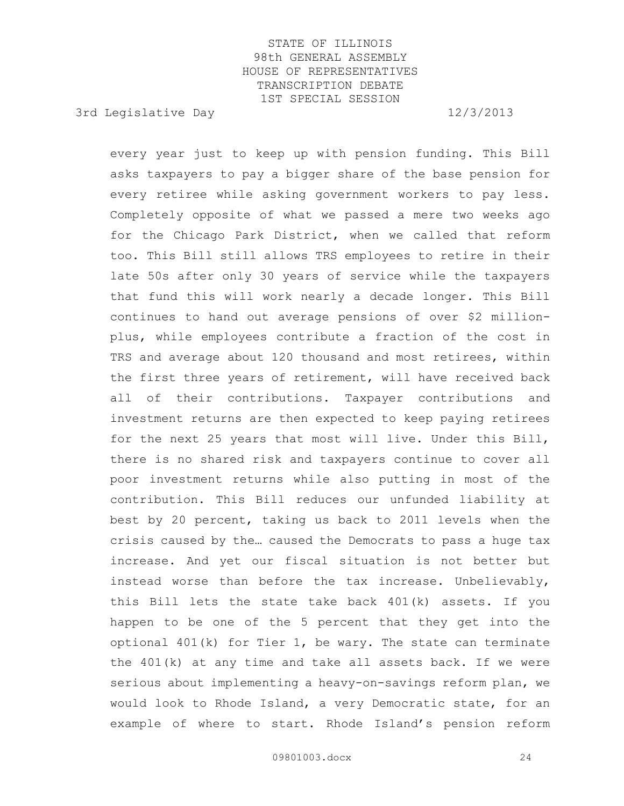3rd Legislative Day 12/3/2013

every year just to keep up with pension funding. This Bill asks taxpayers to pay a bigger share of the base pension for every retiree while asking government workers to pay less. Completely opposite of what we passed a mere two weeks ago for the Chicago Park District, when we called that reform too. This Bill still allows TRS employees to retire in their late 50s after only 30 years of service while the taxpayers that fund this will work nearly a decade longer. This Bill continues to hand out average pensions of over \$2 millionplus, while employees contribute a fraction of the cost in TRS and average about 120 thousand and most retirees, within the first three years of retirement, will have received back all of their contributions. Taxpayer contributions and investment returns are then expected to keep paying retirees for the next 25 years that most will live. Under this Bill, there is no shared risk and taxpayers continue to cover all poor investment returns while also putting in most of the contribution. This Bill reduces our unfunded liability at best by 20 percent, taking us back to 2011 levels when the crisis caused by the… caused the Democrats to pass a huge tax increase. And yet our fiscal situation is not better but instead worse than before the tax increase. Unbelievably, this Bill lets the state take back 401(k) assets. If you happen to be one of the 5 percent that they get into the optional  $401(k)$  for Tier 1, be wary. The state can terminate the 401(k) at any time and take all assets back. If we were serious about implementing a heavy-on-savings reform plan, we would look to Rhode Island, a very Democratic state, for an example of where to start. Rhode Island's pension reform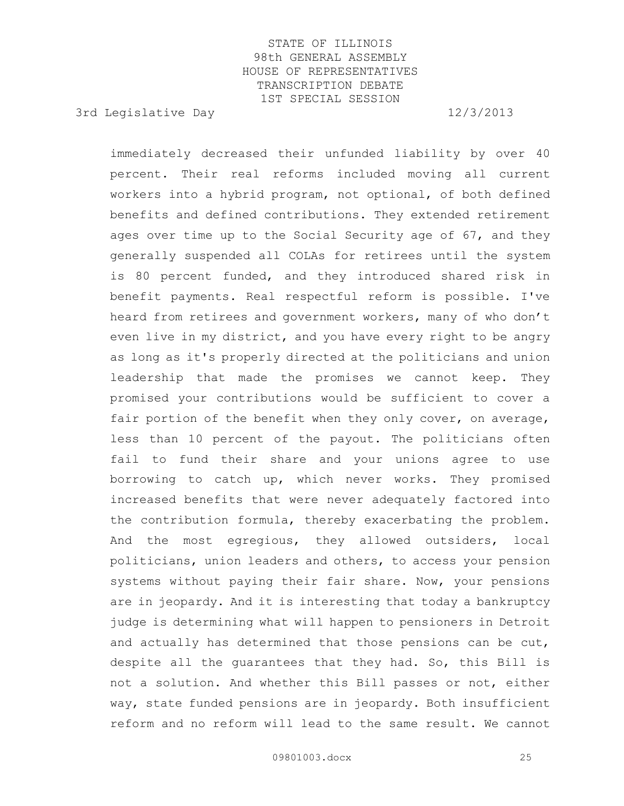3rd Legislative Day 12/3/2013

immediately decreased their unfunded liability by over 40 percent. Their real reforms included moving all current workers into a hybrid program, not optional, of both defined benefits and defined contributions. They extended retirement ages over time up to the Social Security age of 67, and they generally suspended all COLAs for retirees until the system is 80 percent funded, and they introduced shared risk in benefit payments. Real respectful reform is possible. I've heard from retirees and government workers, many of who don't even live in my district, and you have every right to be angry as long as it's properly directed at the politicians and union leadership that made the promises we cannot keep. They promised your contributions would be sufficient to cover a fair portion of the benefit when they only cover, on average, less than 10 percent of the payout. The politicians often fail to fund their share and your unions agree to use borrowing to catch up, which never works. They promised increased benefits that were never adequately factored into the contribution formula, thereby exacerbating the problem. And the most egregious, they allowed outsiders, local politicians, union leaders and others, to access your pension systems without paying their fair share. Now, your pensions are in jeopardy. And it is interesting that today a bankruptcy judge is determining what will happen to pensioners in Detroit and actually has determined that those pensions can be cut, despite all the guarantees that they had. So, this Bill is not a solution. And whether this Bill passes or not, either way, state funded pensions are in jeopardy. Both insufficient reform and no reform will lead to the same result. We cannot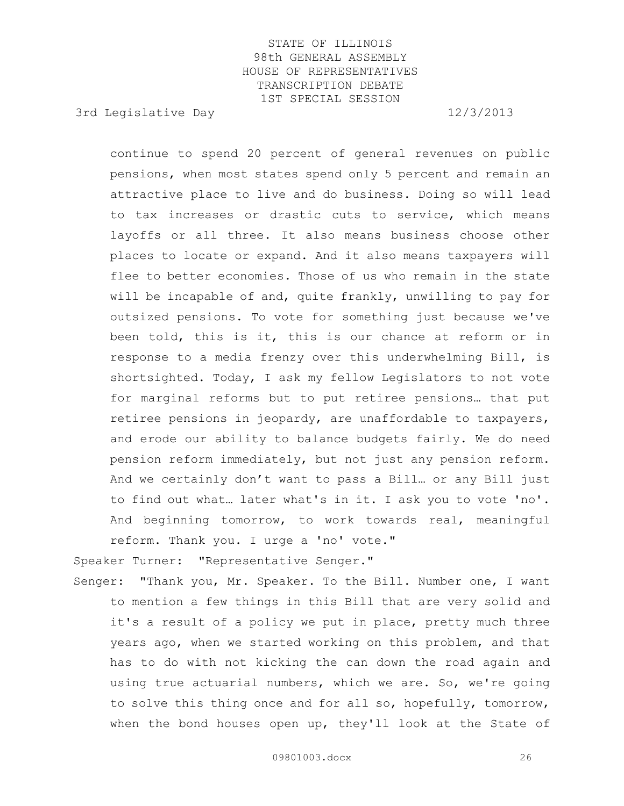3rd Legislative Day 12/3/2013

continue to spend 20 percent of general revenues on public pensions, when most states spend only 5 percent and remain an attractive place to live and do business. Doing so will lead to tax increases or drastic cuts to service, which means layoffs or all three. It also means business choose other places to locate or expand. And it also means taxpayers will flee to better economies. Those of us who remain in the state will be incapable of and, quite frankly, unwilling to pay for outsized pensions. To vote for something just because we've been told, this is it, this is our chance at reform or in response to a media frenzy over this underwhelming Bill, is shortsighted. Today, I ask my fellow Legislators to not vote for marginal reforms but to put retiree pensions… that put retiree pensions in jeopardy, are unaffordable to taxpayers, and erode our ability to balance budgets fairly. We do need pension reform immediately, but not just any pension reform. And we certainly don't want to pass a Bill… or any Bill just to find out what… later what's in it. I ask you to vote 'no'. And beginning tomorrow, to work towards real, meaningful reform. Thank you. I urge a 'no' vote."

Speaker Turner: "Representative Senger."

Senger: "Thank you, Mr. Speaker. To the Bill. Number one, I want to mention a few things in this Bill that are very solid and it's a result of a policy we put in place, pretty much three years ago, when we started working on this problem, and that has to do with not kicking the can down the road again and using true actuarial numbers, which we are. So, we're going to solve this thing once and for all so, hopefully, tomorrow, when the bond houses open up, they'll look at the State of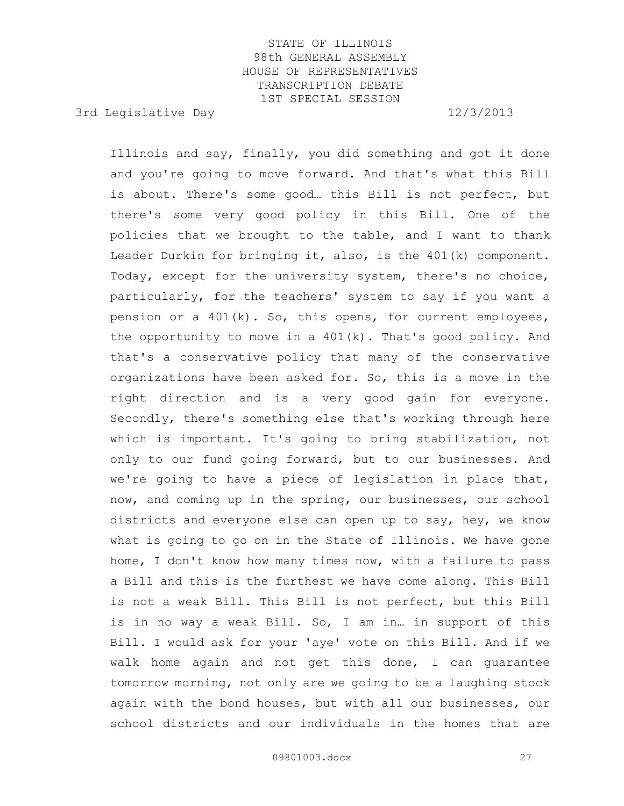3rd Legislative Day 12/3/2013

Illinois and say, finally, you did something and got it done and you're going to move forward. And that's what this Bill is about. There's some good… this Bill is not perfect, but there's some very good policy in this Bill. One of the policies that we brought to the table, and I want to thank Leader Durkin for bringing it, also, is the 401(k) component. Today, except for the university system, there's no choice, particularly, for the teachers' system to say if you want a pension or a 401(k). So, this opens, for current employees, the opportunity to move in a 401(k). That's good policy. And that's a conservative policy that many of the conservative organizations have been asked for. So, this is a move in the right direction and is a very good gain for everyone. Secondly, there's something else that's working through here which is important. It's going to bring stabilization, not only to our fund going forward, but to our businesses. And we're going to have a piece of legislation in place that, now, and coming up in the spring, our businesses, our school districts and everyone else can open up to say, hey, we know what is going to go on in the State of Illinois. We have gone home, I don't know how many times now, with a failure to pass a Bill and this is the furthest we have come along. This Bill is not a weak Bill. This Bill is not perfect, but this Bill is in no way a weak Bill. So, I am in… in support of this Bill. I would ask for your 'aye' vote on this Bill. And if we walk home again and not get this done, I can guarantee tomorrow morning, not only are we going to be a laughing stock again with the bond houses, but with all our businesses, our school districts and our individuals in the homes that are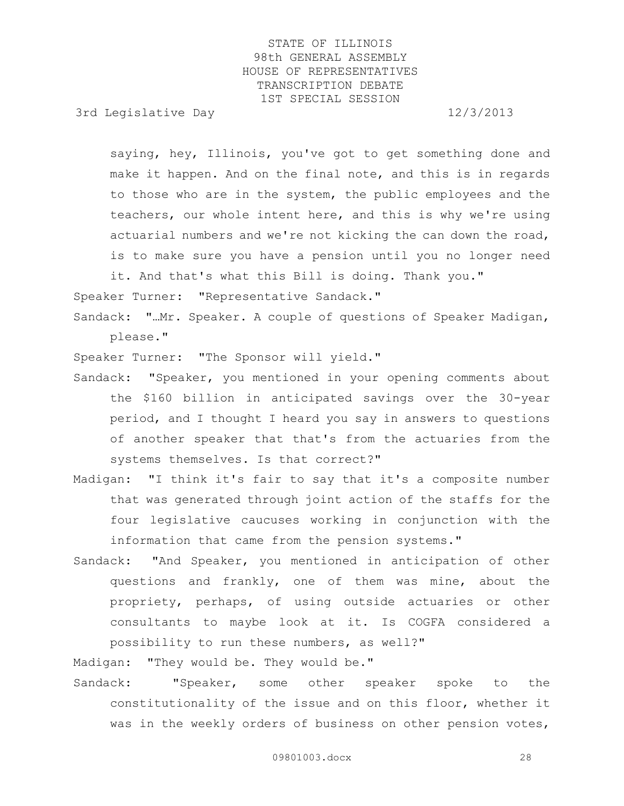3rd Legislative Day 12/3/2013

saying, hey, Illinois, you've got to get something done and make it happen. And on the final note, and this is in regards to those who are in the system, the public employees and the teachers, our whole intent here, and this is why we're using actuarial numbers and we're not kicking the can down the road, is to make sure you have a pension until you no longer need it. And that's what this Bill is doing. Thank you."

Speaker Turner: "Representative Sandack."

Sandack: "…Mr. Speaker. A couple of questions of Speaker Madigan, please."

Speaker Turner: "The Sponsor will yield."

- Sandack: "Speaker, you mentioned in your opening comments about the \$160 billion in anticipated savings over the 30-year period, and I thought I heard you say in answers to questions of another speaker that that's from the actuaries from the systems themselves. Is that correct?"
- Madigan: "I think it's fair to say that it's a composite number that was generated through joint action of the staffs for the four legislative caucuses working in conjunction with the information that came from the pension systems."
- Sandack: "And Speaker, you mentioned in anticipation of other questions and frankly, one of them was mine, about the propriety, perhaps, of using outside actuaries or other consultants to maybe look at it. Is COGFA considered a possibility to run these numbers, as well?"

Madigan: "They would be. They would be."

Sandack: "Speaker, some other speaker spoke to the constitutionality of the issue and on this floor, whether it was in the weekly orders of business on other pension votes,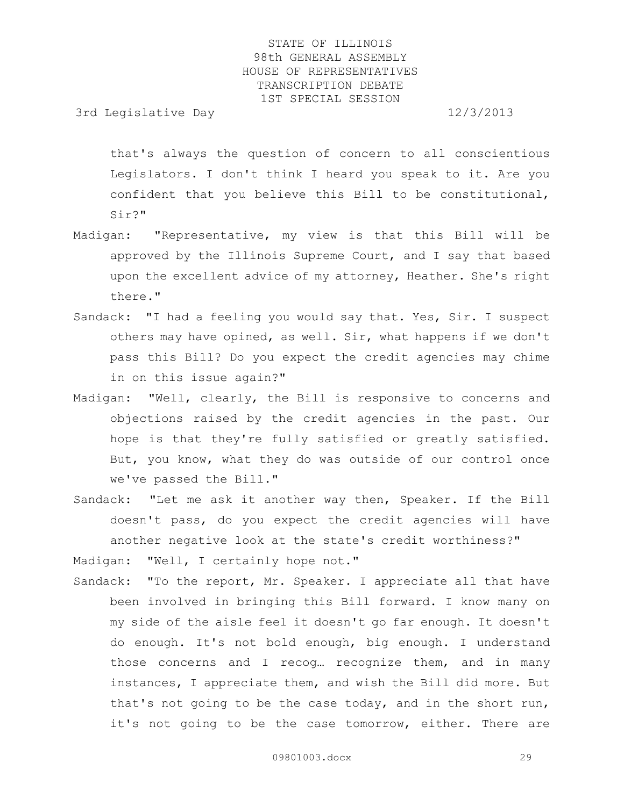3rd Legislative Day 12/3/2013

that's always the question of concern to all conscientious Legislators. I don't think I heard you speak to it. Are you confident that you believe this Bill to be constitutional, Sir?"

- Madigan: "Representative, my view is that this Bill will be approved by the Illinois Supreme Court, and I say that based upon the excellent advice of my attorney, Heather. She's right there."
- Sandack: "I had a feeling you would say that. Yes, Sir. I suspect others may have opined, as well. Sir, what happens if we don't pass this Bill? Do you expect the credit agencies may chime in on this issue again?"
- Madigan: "Well, clearly, the Bill is responsive to concerns and objections raised by the credit agencies in the past. Our hope is that they're fully satisfied or greatly satisfied. But, you know, what they do was outside of our control once we've passed the Bill."
- Sandack: "Let me ask it another way then, Speaker. If the Bill doesn't pass, do you expect the credit agencies will have another negative look at the state's credit worthiness?"

Madigan: "Well, I certainly hope not."

Sandack: "To the report, Mr. Speaker. I appreciate all that have been involved in bringing this Bill forward. I know many on my side of the aisle feel it doesn't go far enough. It doesn't do enough. It's not bold enough, big enough. I understand those concerns and I recog… recognize them, and in many instances, I appreciate them, and wish the Bill did more. But that's not going to be the case today, and in the short run, it's not going to be the case tomorrow, either. There are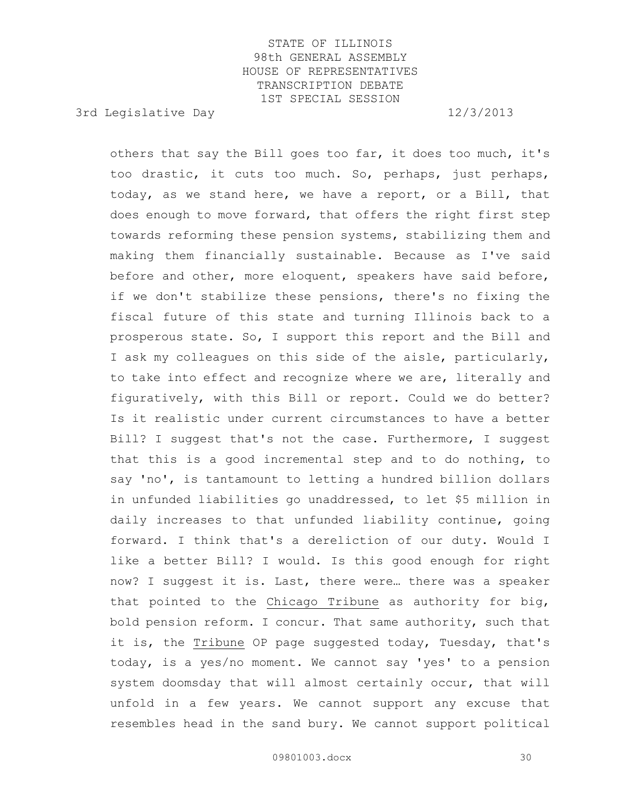3rd Legislative Day 12/3/2013

others that say the Bill goes too far, it does too much, it's too drastic, it cuts too much. So, perhaps, just perhaps, today, as we stand here, we have a report, or a Bill, that does enough to move forward, that offers the right first step towards reforming these pension systems, stabilizing them and making them financially sustainable. Because as I've said before and other, more eloquent, speakers have said before, if we don't stabilize these pensions, there's no fixing the fiscal future of this state and turning Illinois back to a prosperous state. So, I support this report and the Bill and I ask my colleagues on this side of the aisle, particularly, to take into effect and recognize where we are, literally and figuratively, with this Bill or report. Could we do better? Is it realistic under current circumstances to have a better Bill? I suggest that's not the case. Furthermore, I suggest that this is a good incremental step and to do nothing, to say 'no', is tantamount to letting a hundred billion dollars in unfunded liabilities go unaddressed, to let \$5 million in daily increases to that unfunded liability continue, going forward. I think that's a dereliction of our duty. Would I like a better Bill? I would. Is this good enough for right now? I suggest it is. Last, there were… there was a speaker that pointed to the Chicago Tribune as authority for big, bold pension reform. I concur. That same authority, such that it is, the Tribune OP page suggested today, Tuesday, that's today, is a yes/no moment. We cannot say 'yes' to a pension system doomsday that will almost certainly occur, that will unfold in a few years. We cannot support any excuse that resembles head in the sand bury. We cannot support political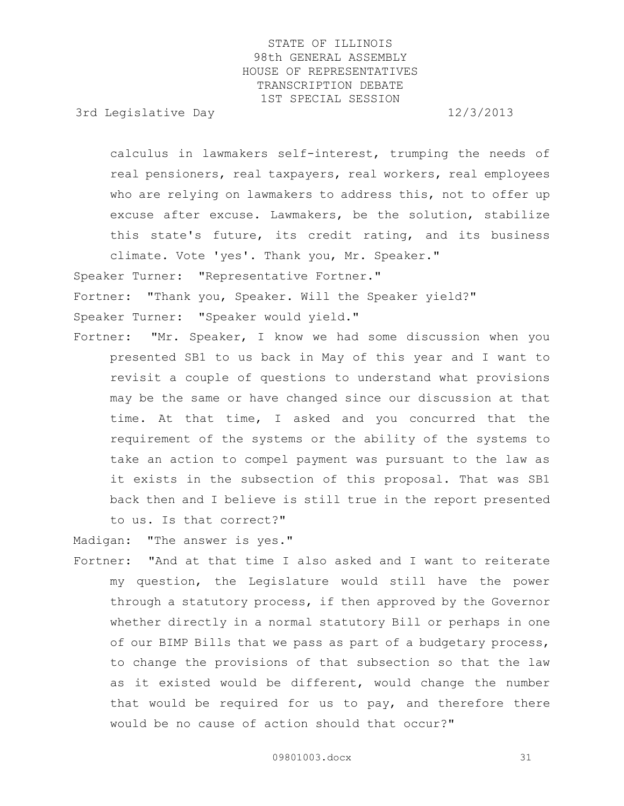3rd Legislative Day 12/3/2013

calculus in lawmakers self-interest, trumping the needs of real pensioners, real taxpayers, real workers, real employees who are relying on lawmakers to address this, not to offer up excuse after excuse. Lawmakers, be the solution, stabilize this state's future, its credit rating, and its business climate. Vote 'yes'. Thank you, Mr. Speaker." Speaker Turner: "Representative Fortner." Fortner: "Thank you, Speaker. Will the Speaker yield?" Speaker Turner: "Speaker would yield."

Fortner: "Mr. Speaker, I know we had some discussion when you presented SB1 to us back in May of this year and I want to revisit a couple of questions to understand what provisions may be the same or have changed since our discussion at that time. At that time, I asked and you concurred that the requirement of the systems or the ability of the systems to take an action to compel payment was pursuant to the law as it exists in the subsection of this proposal. That was SB1 back then and I believe is still true in the report presented to us. Is that correct?"

Madigan: "The answer is yes."

Fortner: "And at that time I also asked and I want to reiterate my question, the Legislature would still have the power through a statutory process, if then approved by the Governor whether directly in a normal statutory Bill or perhaps in one of our BIMP Bills that we pass as part of a budgetary process, to change the provisions of that subsection so that the law as it existed would be different, would change the number that would be required for us to pay, and therefore there would be no cause of action should that occur?"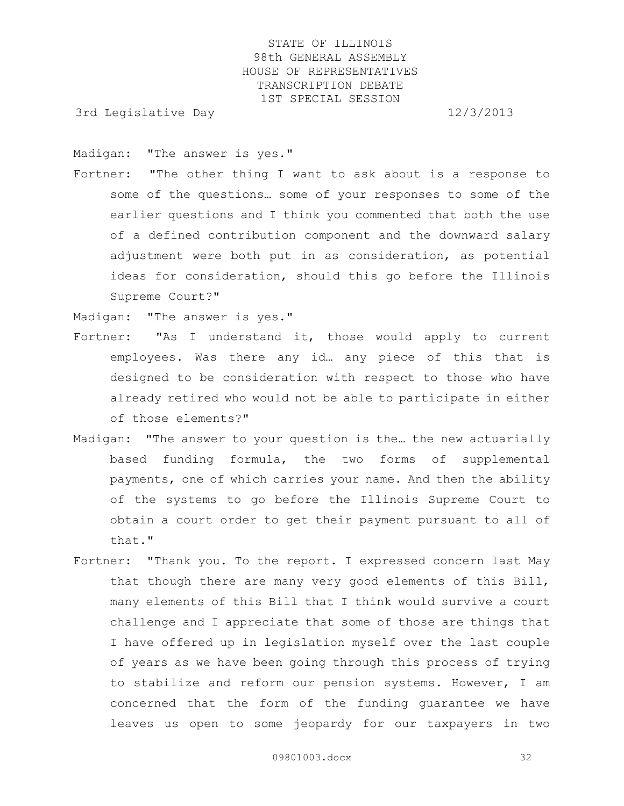3rd Legislative Day 12/3/2013

Madigan: "The answer is yes."

Fortner: "The other thing I want to ask about is a response to some of the questions… some of your responses to some of the earlier questions and I think you commented that both the use of a defined contribution component and the downward salary adjustment were both put in as consideration, as potential ideas for consideration, should this go before the Illinois Supreme Court?"

Madigan: "The answer is yes."

- Fortner: "As I understand it, those would apply to current employees. Was there any id… any piece of this that is designed to be consideration with respect to those who have already retired who would not be able to participate in either of those elements?"
- Madigan: "The answer to your question is the… the new actuarially based funding formula, the two forms of supplemental payments, one of which carries your name. And then the ability of the systems to go before the Illinois Supreme Court to obtain a court order to get their payment pursuant to all of that."
- Fortner: "Thank you. To the report. I expressed concern last May that though there are many very good elements of this Bill, many elements of this Bill that I think would survive a court challenge and I appreciate that some of those are things that I have offered up in legislation myself over the last couple of years as we have been going through this process of trying to stabilize and reform our pension systems. However, I am concerned that the form of the funding guarantee we have leaves us open to some jeopardy for our taxpayers in two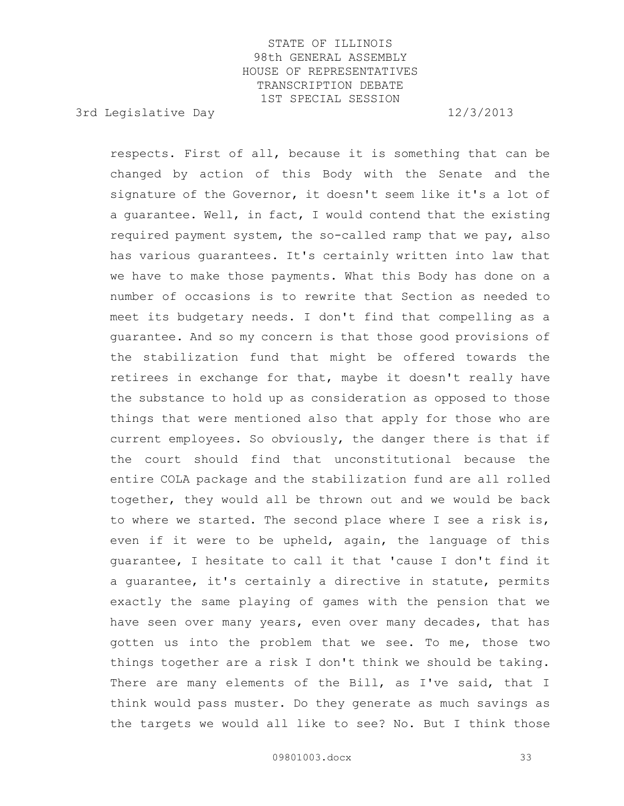3rd Legislative Day 12/3/2013

respects. First of all, because it is something that can be changed by action of this Body with the Senate and the signature of the Governor, it doesn't seem like it's a lot of a guarantee. Well, in fact, I would contend that the existing required payment system, the so-called ramp that we pay, also has various guarantees. It's certainly written into law that we have to make those payments. What this Body has done on a number of occasions is to rewrite that Section as needed to meet its budgetary needs. I don't find that compelling as a guarantee. And so my concern is that those good provisions of the stabilization fund that might be offered towards the retirees in exchange for that, maybe it doesn't really have the substance to hold up as consideration as opposed to those things that were mentioned also that apply for those who are current employees. So obviously, the danger there is that if the court should find that unconstitutional because the entire COLA package and the stabilization fund are all rolled together, they would all be thrown out and we would be back to where we started. The second place where I see a risk is, even if it were to be upheld, again, the language of this guarantee, I hesitate to call it that 'cause I don't find it a guarantee, it's certainly a directive in statute, permits exactly the same playing of games with the pension that we have seen over many years, even over many decades, that has gotten us into the problem that we see. To me, those two things together are a risk I don't think we should be taking. There are many elements of the Bill, as I've said, that I think would pass muster. Do they generate as much savings as the targets we would all like to see? No. But I think those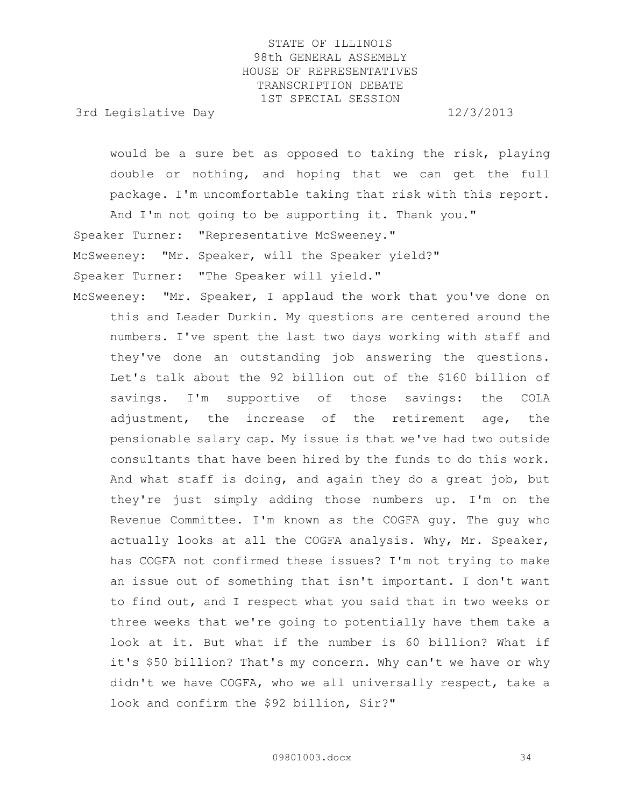3rd Legislative Day 12/3/2013

would be a sure bet as opposed to taking the risk, playing double or nothing, and hoping that we can get the full package. I'm uncomfortable taking that risk with this report. And I'm not going to be supporting it. Thank you."

Speaker Turner: "Representative McSweeney."

McSweeney: "Mr. Speaker, will the Speaker yield?"

Speaker Turner: "The Speaker will yield."

McSweeney: "Mr. Speaker, I applaud the work that you've done on this and Leader Durkin. My questions are centered around the numbers. I've spent the last two days working with staff and they've done an outstanding job answering the questions. Let's talk about the 92 billion out of the \$160 billion of savings. I'm supportive of those savings: the COLA adjustment, the increase of the retirement age, the pensionable salary cap. My issue is that we've had two outside consultants that have been hired by the funds to do this work. And what staff is doing, and again they do a great job, but they're just simply adding those numbers up. I'm on the Revenue Committee. I'm known as the COGFA guy. The guy who actually looks at all the COGFA analysis. Why, Mr. Speaker, has COGFA not confirmed these issues? I'm not trying to make an issue out of something that isn't important. I don't want to find out, and I respect what you said that in two weeks or three weeks that we're going to potentially have them take a look at it. But what if the number is 60 billion? What if it's \$50 billion? That's my concern. Why can't we have or why didn't we have COGFA, who we all universally respect, take a look and confirm the \$92 billion, Sir?"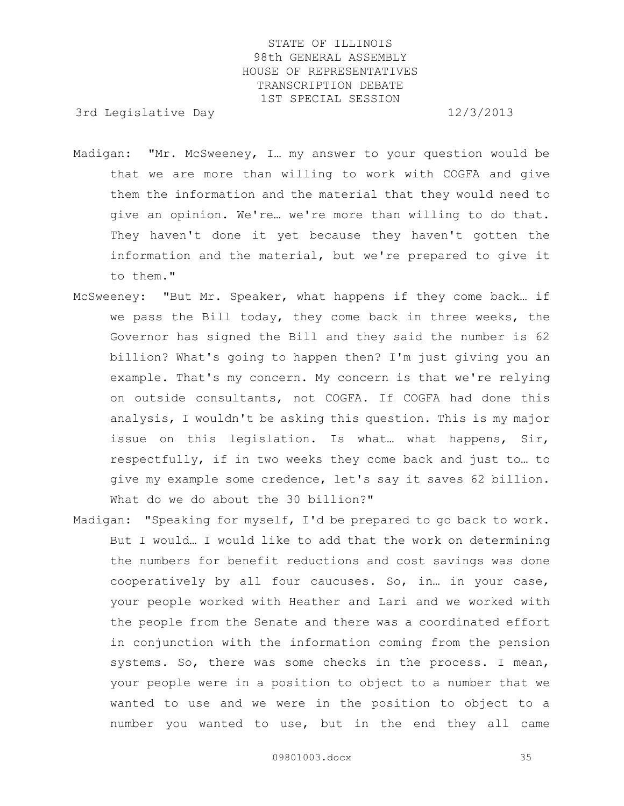3rd Legislative Day 12/3/2013

- Madigan: "Mr. McSweeney, I… my answer to your question would be that we are more than willing to work with COGFA and give them the information and the material that they would need to give an opinion. We're… we're more than willing to do that. They haven't done it yet because they haven't gotten the information and the material, but we're prepared to give it to them."
- McSweeney: "But Mr. Speaker, what happens if they come back… if we pass the Bill today, they come back in three weeks, the Governor has signed the Bill and they said the number is 62 billion? What's going to happen then? I'm just giving you an example. That's my concern. My concern is that we're relying on outside consultants, not COGFA. If COGFA had done this analysis, I wouldn't be asking this question. This is my major issue on this legislation. Is what… what happens, Sir, respectfully, if in two weeks they come back and just to… to give my example some credence, let's say it saves 62 billion. What do we do about the 30 billion?"
- Madigan: "Speaking for myself, I'd be prepared to go back to work. But I would… I would like to add that the work on determining the numbers for benefit reductions and cost savings was done cooperatively by all four caucuses. So, in… in your case, your people worked with Heather and Lari and we worked with the people from the Senate and there was a coordinated effort in conjunction with the information coming from the pension systems. So, there was some checks in the process. I mean, your people were in a position to object to a number that we wanted to use and we were in the position to object to a number you wanted to use, but in the end they all came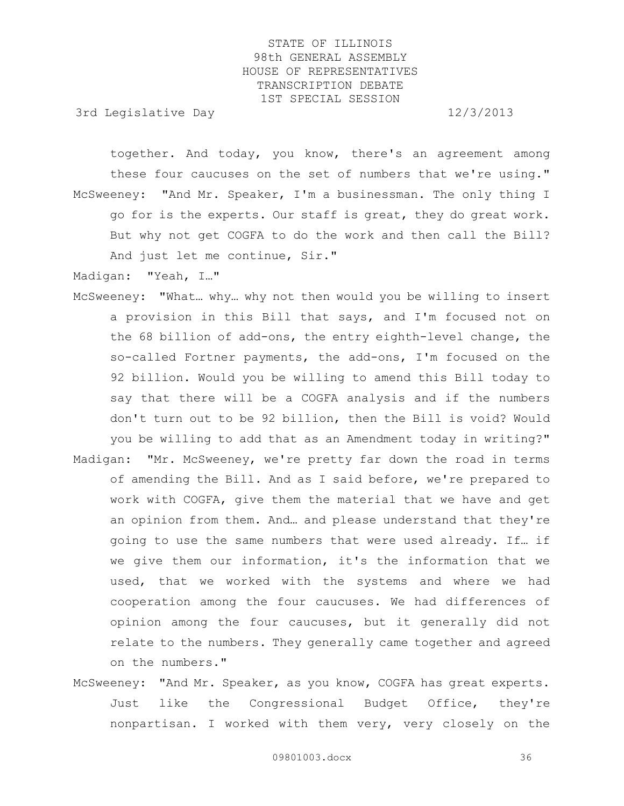3rd Legislative Day 12/3/2013

together. And today, you know, there's an agreement among these four caucuses on the set of numbers that we're using." McSweeney: "And Mr. Speaker, I'm a businessman. The only thing I go for is the experts. Our staff is great, they do great work. But why not get COGFA to do the work and then call the Bill? And just let me continue, Sir."

Madigan: "Yeah, I…"

- McSweeney: "What… why… why not then would you be willing to insert a provision in this Bill that says, and I'm focused not on the 68 billion of add-ons, the entry eighth-level change, the so-called Fortner payments, the add-ons, I'm focused on the 92 billion. Would you be willing to amend this Bill today to say that there will be a COGFA analysis and if the numbers don't turn out to be 92 billion, then the Bill is void? Would you be willing to add that as an Amendment today in writing?"
- Madigan: "Mr. McSweeney, we're pretty far down the road in terms of amending the Bill. And as I said before, we're prepared to work with COGFA, give them the material that we have and get an opinion from them. And… and please understand that they're going to use the same numbers that were used already. If… if we give them our information, it's the information that we used, that we worked with the systems and where we had cooperation among the four caucuses. We had differences of opinion among the four caucuses, but it generally did not relate to the numbers. They generally came together and agreed on the numbers."
- McSweeney: "And Mr. Speaker, as you know, COGFA has great experts. Just like the Congressional Budget Office, they're nonpartisan. I worked with them very, very closely on the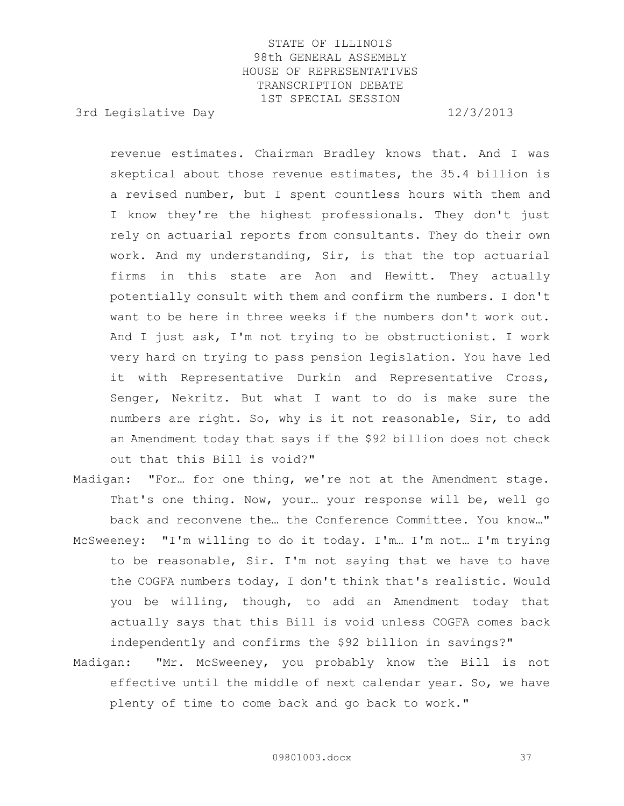3rd Legislative Day 12/3/2013

revenue estimates. Chairman Bradley knows that. And I was skeptical about those revenue estimates, the 35.4 billion is a revised number, but I spent countless hours with them and I know they're the highest professionals. They don't just rely on actuarial reports from consultants. They do their own work. And my understanding, Sir, is that the top actuarial firms in this state are Aon and Hewitt. They actually potentially consult with them and confirm the numbers. I don't want to be here in three weeks if the numbers don't work out. And I just ask, I'm not trying to be obstructionist. I work very hard on trying to pass pension legislation. You have led it with Representative Durkin and Representative Cross, Senger, Nekritz. But what I want to do is make sure the numbers are right. So, why is it not reasonable, Sir, to add an Amendment today that says if the \$92 billion does not check out that this Bill is void?"

- Madigan: "For… for one thing, we're not at the Amendment stage. That's one thing. Now, your… your response will be, well go back and reconvene the… the Conference Committee. You know…" McSweeney: "I'm willing to do it today. I'm… I'm not… I'm trying to be reasonable, Sir. I'm not saying that we have to have the COGFA numbers today, I don't think that's realistic. Would you be willing, though, to add an Amendment today that actually says that this Bill is void unless COGFA comes back independently and confirms the \$92 billion in savings?"
- Madigan: "Mr. McSweeney, you probably know the Bill is not effective until the middle of next calendar year. So, we have plenty of time to come back and go back to work."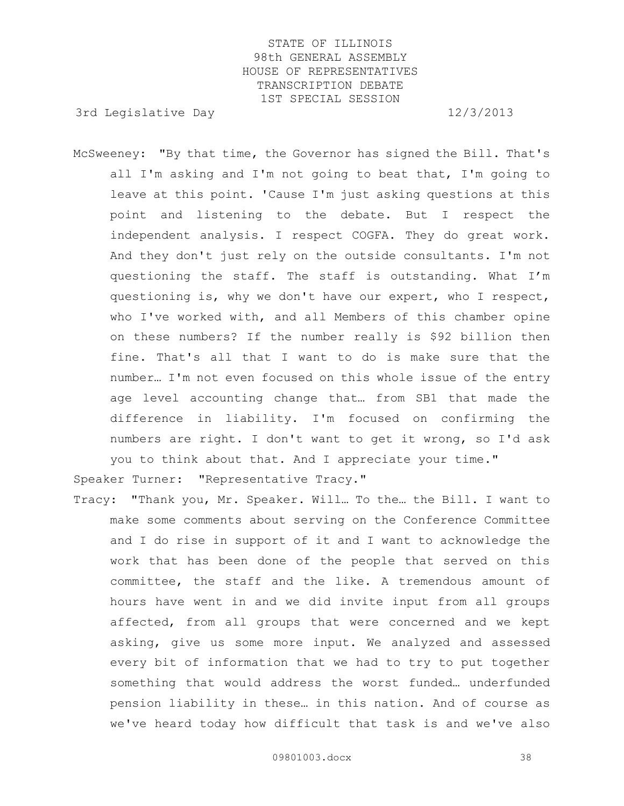3rd Legislative Day 12/3/2013

McSweeney: "By that time, the Governor has signed the Bill. That's all I'm asking and I'm not going to beat that, I'm going to leave at this point. 'Cause I'm just asking questions at this point and listening to the debate. But I respect the independent analysis. I respect COGFA. They do great work. And they don't just rely on the outside consultants. I'm not questioning the staff. The staff is outstanding. What I'm questioning is, why we don't have our expert, who I respect, who I've worked with, and all Members of this chamber opine on these numbers? If the number really is \$92 billion then fine. That's all that I want to do is make sure that the number… I'm not even focused on this whole issue of the entry age level accounting change that… from SB1 that made the difference in liability. I'm focused on confirming the numbers are right. I don't want to get it wrong, so I'd ask you to think about that. And I appreciate your time."

Speaker Turner: "Representative Tracy."

Tracy: "Thank you, Mr. Speaker. Will… To the… the Bill. I want to make some comments about serving on the Conference Committee and I do rise in support of it and I want to acknowledge the work that has been done of the people that served on this committee, the staff and the like. A tremendous amount of hours have went in and we did invite input from all groups affected, from all groups that were concerned and we kept asking, give us some more input. We analyzed and assessed every bit of information that we had to try to put together something that would address the worst funded… underfunded pension liability in these… in this nation. And of course as we've heard today how difficult that task is and we've also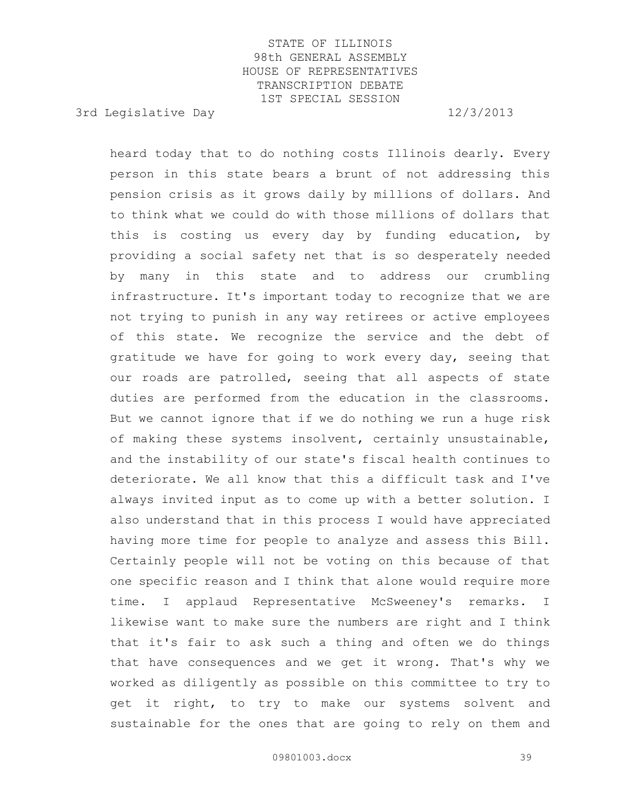3rd Legislative Day 12/3/2013

heard today that to do nothing costs Illinois dearly. Every person in this state bears a brunt of not addressing this pension crisis as it grows daily by millions of dollars. And to think what we could do with those millions of dollars that this is costing us every day by funding education, by providing a social safety net that is so desperately needed by many in this state and to address our crumbling infrastructure. It's important today to recognize that we are not trying to punish in any way retirees or active employees of this state. We recognize the service and the debt of gratitude we have for going to work every day, seeing that our roads are patrolled, seeing that all aspects of state duties are performed from the education in the classrooms. But we cannot ignore that if we do nothing we run a huge risk of making these systems insolvent, certainly unsustainable, and the instability of our state's fiscal health continues to deteriorate. We all know that this a difficult task and I've always invited input as to come up with a better solution. I also understand that in this process I would have appreciated having more time for people to analyze and assess this Bill. Certainly people will not be voting on this because of that one specific reason and I think that alone would require more time. I applaud Representative McSweeney's remarks. I likewise want to make sure the numbers are right and I think that it's fair to ask such a thing and often we do things that have consequences and we get it wrong. That's why we worked as diligently as possible on this committee to try to get it right, to try to make our systems solvent and sustainable for the ones that are going to rely on them and

09801003.docx 39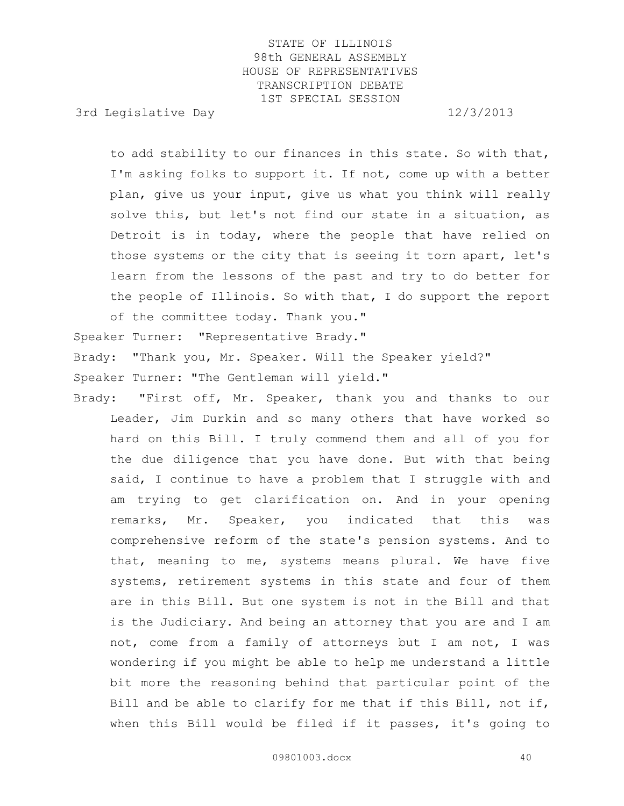3rd Legislative Day 12/3/2013

to add stability to our finances in this state. So with that, I'm asking folks to support it. If not, come up with a better plan, give us your input, give us what you think will really solve this, but let's not find our state in a situation, as Detroit is in today, where the people that have relied on those systems or the city that is seeing it torn apart, let's learn from the lessons of the past and try to do better for the people of Illinois. So with that, I do support the report of the committee today. Thank you."

Speaker Turner: "Representative Brady."

Brady: "Thank you, Mr. Speaker. Will the Speaker yield?"

Speaker Turner: "The Gentleman will yield."

Brady: "First off, Mr. Speaker, thank you and thanks to our Leader, Jim Durkin and so many others that have worked so hard on this Bill. I truly commend them and all of you for the due diligence that you have done. But with that being said, I continue to have a problem that I struggle with and am trying to get clarification on. And in your opening remarks, Mr. Speaker, you indicated that this was comprehensive reform of the state's pension systems. And to that, meaning to me, systems means plural. We have five systems, retirement systems in this state and four of them are in this Bill. But one system is not in the Bill and that is the Judiciary. And being an attorney that you are and I am not, come from a family of attorneys but I am not, I was wondering if you might be able to help me understand a little bit more the reasoning behind that particular point of the Bill and be able to clarify for me that if this Bill, not if, when this Bill would be filed if it passes, it's going to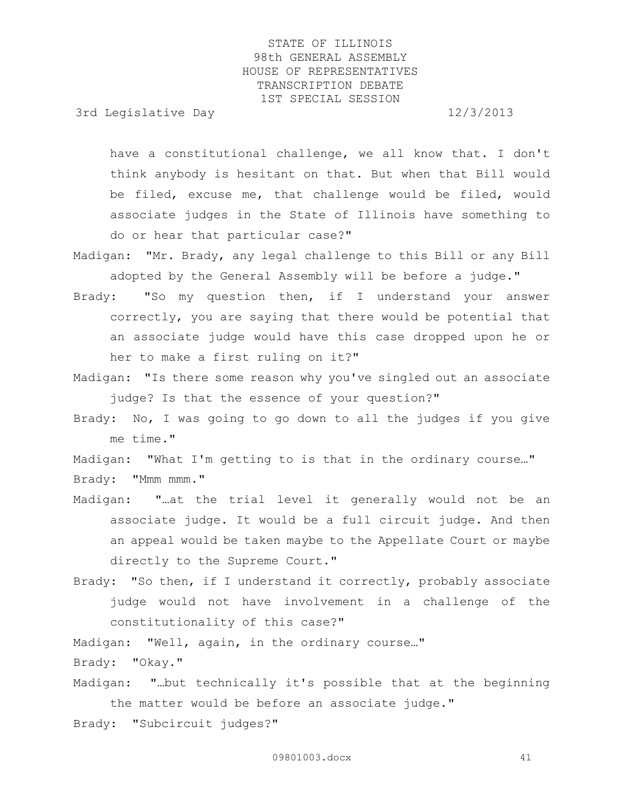3rd Legislative Day 12/3/2013

have a constitutional challenge, we all know that. I don't think anybody is hesitant on that. But when that Bill would be filed, excuse me, that challenge would be filed, would associate judges in the State of Illinois have something to do or hear that particular case?"

- Madigan: "Mr. Brady, any legal challenge to this Bill or any Bill adopted by the General Assembly will be before a judge."
- Brady: "So my question then, if I understand your answer correctly, you are saying that there would be potential that an associate judge would have this case dropped upon he or her to make a first ruling on it?"
- Madigan: "Is there some reason why you've singled out an associate judge? Is that the essence of your question?"
- Brady: No, I was going to go down to all the judges if you give me time."
- Madigan: "What I'm getting to is that in the ordinary course…"

Brady: "Mmm mmm."

- Madigan: "…at the trial level it generally would not be an associate judge. It would be a full circuit judge. And then an appeal would be taken maybe to the Appellate Court or maybe directly to the Supreme Court."
- Brady: "So then, if I understand it correctly, probably associate judge would not have involvement in a challenge of the constitutionality of this case?"
- Madigan: "Well, again, in the ordinary course…"

Brady: "Okay."

- Madigan: "…but technically it's possible that at the beginning the matter would be before an associate judge."
- Brady: "Subcircuit judges?"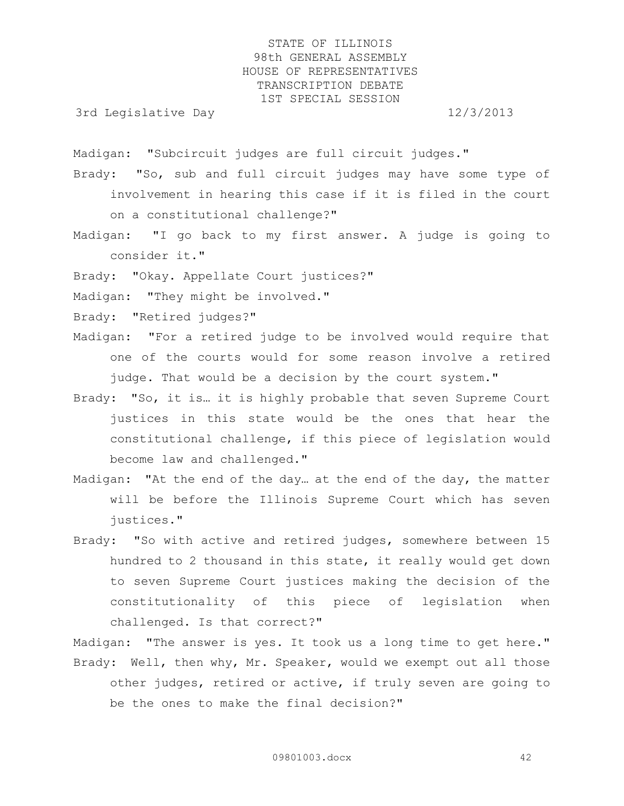3rd Legislative Day 12/3/2013

Madigan: "Subcircuit judges are full circuit judges."

- Brady: "So, sub and full circuit judges may have some type of involvement in hearing this case if it is filed in the court on a constitutional challenge?"
- Madigan: "I go back to my first answer. A judge is going to consider it."

Brady: "Okay. Appellate Court justices?"

Madigan: "They might be involved."

Brady: "Retired judges?"

Madigan: "For a retired judge to be involved would require that one of the courts would for some reason involve a retired judge. That would be a decision by the court system."

- Brady: "So, it is… it is highly probable that seven Supreme Court justices in this state would be the ones that hear the constitutional challenge, if this piece of legislation would become law and challenged."
- Madigan: "At the end of the day… at the end of the day, the matter will be before the Illinois Supreme Court which has seven justices."
- Brady: "So with active and retired judges, somewhere between 15 hundred to 2 thousand in this state, it really would get down to seven Supreme Court justices making the decision of the constitutionality of this piece of legislation when challenged. Is that correct?"

Madigan: "The answer is yes. It took us a long time to get here." Brady: Well, then why, Mr. Speaker, would we exempt out all those other judges, retired or active, if truly seven are going to be the ones to make the final decision?"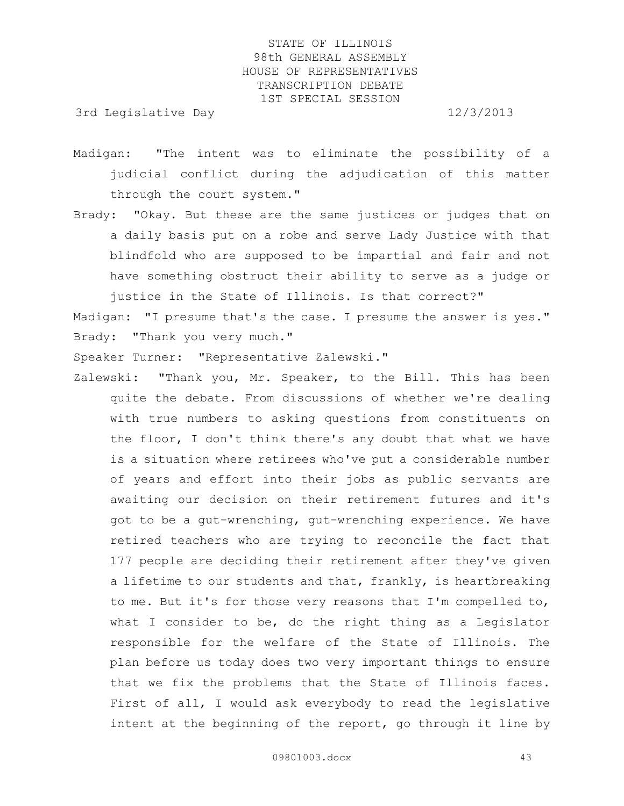3rd Legislative Day 12/3/2013

- Madigan: "The intent was to eliminate the possibility of a judicial conflict during the adjudication of this matter through the court system."
- Brady: "Okay. But these are the same justices or judges that on a daily basis put on a robe and serve Lady Justice with that blindfold who are supposed to be impartial and fair and not have something obstruct their ability to serve as a judge or justice in the State of Illinois. Is that correct?"

Madigan: "I presume that's the case. I presume the answer is yes." Brady: "Thank you very much."

Speaker Turner: "Representative Zalewski."

Zalewski: "Thank you, Mr. Speaker, to the Bill. This has been quite the debate. From discussions of whether we're dealing with true numbers to asking questions from constituents on the floor, I don't think there's any doubt that what we have is a situation where retirees who've put a considerable number of years and effort into their jobs as public servants are awaiting our decision on their retirement futures and it's got to be a gut-wrenching, gut-wrenching experience. We have retired teachers who are trying to reconcile the fact that 177 people are deciding their retirement after they've given a lifetime to our students and that, frankly, is heartbreaking to me. But it's for those very reasons that I'm compelled to, what I consider to be, do the right thing as a Legislator responsible for the welfare of the State of Illinois. The plan before us today does two very important things to ensure that we fix the problems that the State of Illinois faces. First of all, I would ask everybody to read the legislative intent at the beginning of the report, go through it line by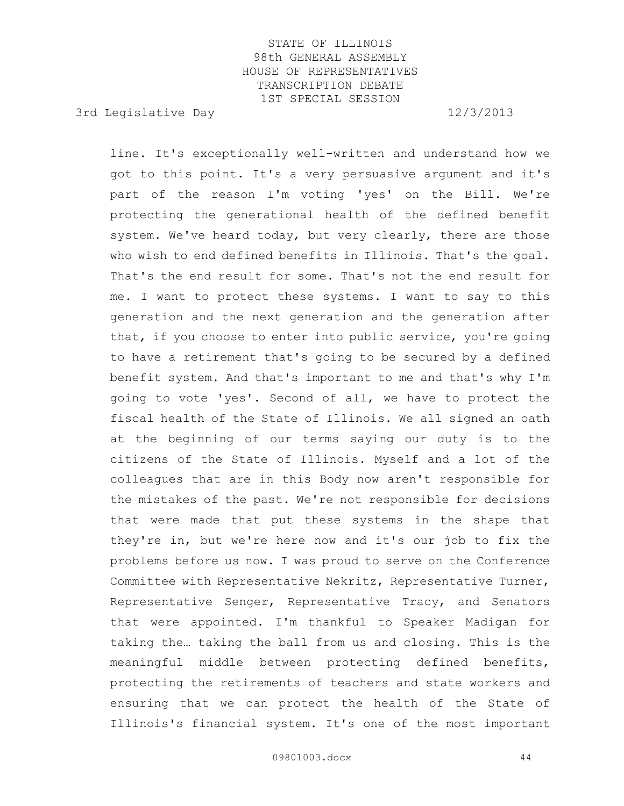3rd Legislative Day 12/3/2013

line. It's exceptionally well-written and understand how we got to this point. It's a very persuasive argument and it's part of the reason I'm voting 'yes' on the Bill. We're protecting the generational health of the defined benefit system. We've heard today, but very clearly, there are those who wish to end defined benefits in Illinois. That's the goal. That's the end result for some. That's not the end result for me. I want to protect these systems. I want to say to this generation and the next generation and the generation after that, if you choose to enter into public service, you're going to have a retirement that's going to be secured by a defined benefit system. And that's important to me and that's why I'm going to vote 'yes'. Second of all, we have to protect the fiscal health of the State of Illinois. We all signed an oath at the beginning of our terms saying our duty is to the citizens of the State of Illinois. Myself and a lot of the colleagues that are in this Body now aren't responsible for the mistakes of the past. We're not responsible for decisions that were made that put these systems in the shape that they're in, but we're here now and it's our job to fix the problems before us now. I was proud to serve on the Conference Committee with Representative Nekritz, Representative Turner, Representative Senger, Representative Tracy, and Senators that were appointed. I'm thankful to Speaker Madigan for taking the… taking the ball from us and closing. This is the meaningful middle between protecting defined benefits, protecting the retirements of teachers and state workers and ensuring that we can protect the health of the State of Illinois's financial system. It's one of the most important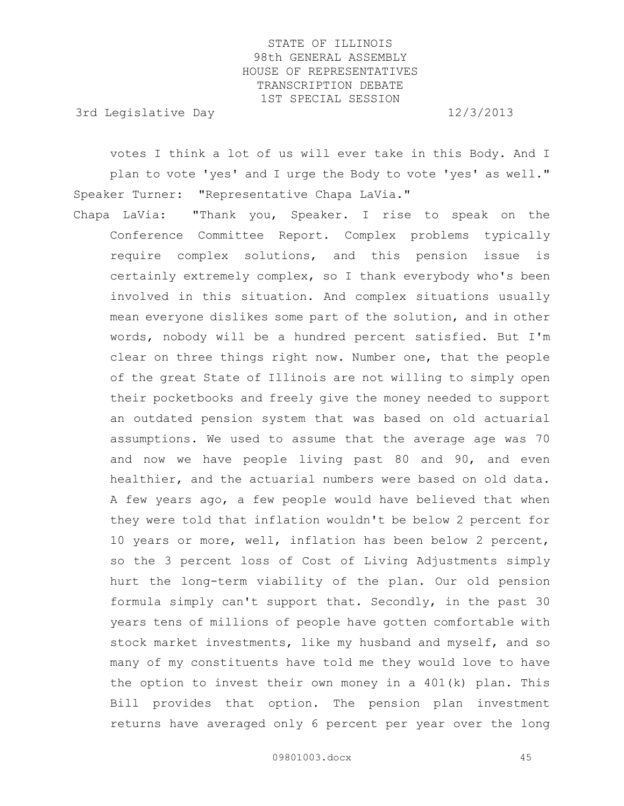3rd Legislative Day 12/3/2013

votes I think a lot of us will ever take in this Body. And I plan to vote 'yes' and I urge the Body to vote 'yes' as well." Speaker Turner: "Representative Chapa LaVia."

Chapa LaVia: "Thank you, Speaker. I rise to speak on the Conference Committee Report. Complex problems typically require complex solutions, and this pension issue is certainly extremely complex, so I thank everybody who's been involved in this situation. And complex situations usually mean everyone dislikes some part of the solution, and in other words, nobody will be a hundred percent satisfied. But I'm clear on three things right now. Number one, that the people of the great State of Illinois are not willing to simply open their pocketbooks and freely give the money needed to support an outdated pension system that was based on old actuarial assumptions. We used to assume that the average age was 70 and now we have people living past 80 and 90, and even healthier, and the actuarial numbers were based on old data. A few years ago, a few people would have believed that when they were told that inflation wouldn't be below 2 percent for 10 years or more, well, inflation has been below 2 percent, so the 3 percent loss of Cost of Living Adjustments simply hurt the long-term viability of the plan. Our old pension formula simply can't support that. Secondly, in the past 30 years tens of millions of people have gotten comfortable with stock market investments, like my husband and myself, and so many of my constituents have told me they would love to have the option to invest their own money in a 401(k) plan. This Bill provides that option. The pension plan investment returns have averaged only 6 percent per year over the long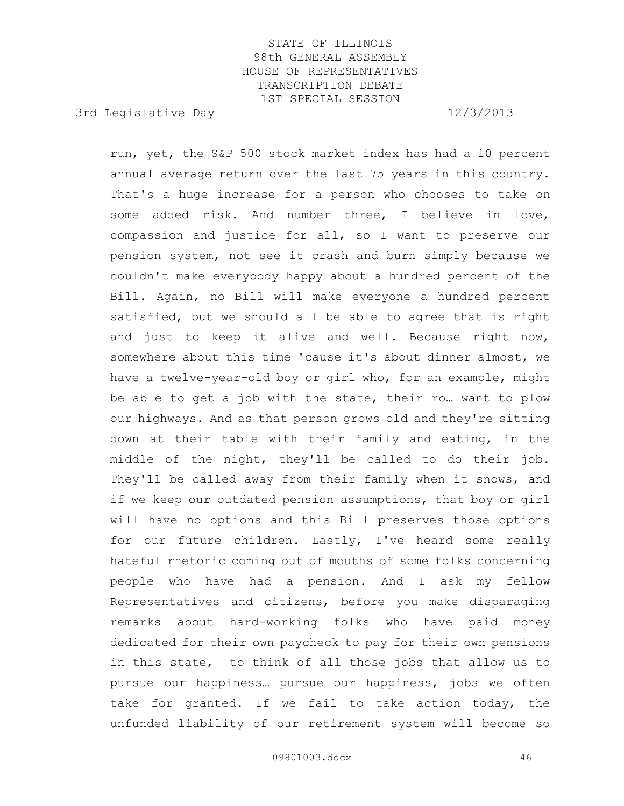3rd Legislative Day 12/3/2013

run, yet, the S&P 500 stock market index has had a 10 percent annual average return over the last 75 years in this country. That's a huge increase for a person who chooses to take on some added risk. And number three, I believe in love, compassion and justice for all, so I want to preserve our pension system, not see it crash and burn simply because we couldn't make everybody happy about a hundred percent of the Bill. Again, no Bill will make everyone a hundred percent satisfied, but we should all be able to agree that is right and just to keep it alive and well. Because right now, somewhere about this time 'cause it's about dinner almost, we have a twelve-year-old boy or girl who, for an example, might be able to get a job with the state, their ro… want to plow our highways. And as that person grows old and they're sitting down at their table with their family and eating, in the middle of the night, they'll be called to do their job. They'll be called away from their family when it snows, and if we keep our outdated pension assumptions, that boy or girl will have no options and this Bill preserves those options for our future children. Lastly, I've heard some really hateful rhetoric coming out of mouths of some folks concerning people who have had a pension. And I ask my fellow Representatives and citizens, before you make disparaging remarks about hard-working folks who have paid money dedicated for their own paycheck to pay for their own pensions in this state, to think of all those jobs that allow us to pursue our happiness… pursue our happiness, jobs we often take for granted. If we fail to take action today, the unfunded liability of our retirement system will become so

09801003.docx 46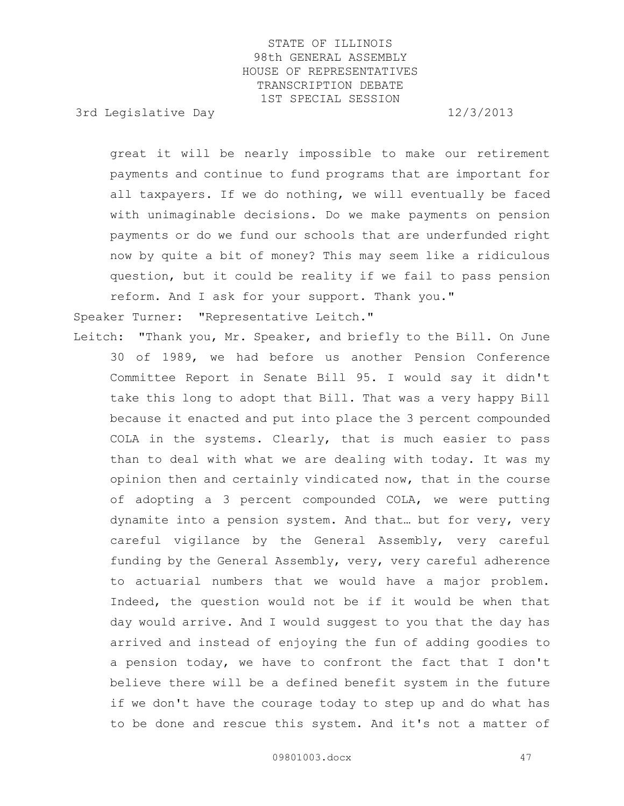3rd Legislative Day 12/3/2013

great it will be nearly impossible to make our retirement payments and continue to fund programs that are important for all taxpayers. If we do nothing, we will eventually be faced with unimaginable decisions. Do we make payments on pension payments or do we fund our schools that are underfunded right now by quite a bit of money? This may seem like a ridiculous question, but it could be reality if we fail to pass pension reform. And I ask for your support. Thank you."

Speaker Turner: "Representative Leitch."

Leitch: "Thank you, Mr. Speaker, and briefly to the Bill. On June 30 of 1989, we had before us another Pension Conference Committee Report in Senate Bill 95. I would say it didn't take this long to adopt that Bill. That was a very happy Bill because it enacted and put into place the 3 percent compounded COLA in the systems. Clearly, that is much easier to pass than to deal with what we are dealing with today. It was my opinion then and certainly vindicated now, that in the course of adopting a 3 percent compounded COLA, we were putting dynamite into a pension system. And that… but for very, very careful vigilance by the General Assembly, very careful funding by the General Assembly, very, very careful adherence to actuarial numbers that we would have a major problem. Indeed, the question would not be if it would be when that day would arrive. And I would suggest to you that the day has arrived and instead of enjoying the fun of adding goodies to a pension today, we have to confront the fact that I don't believe there will be a defined benefit system in the future if we don't have the courage today to step up and do what has to be done and rescue this system. And it's not a matter of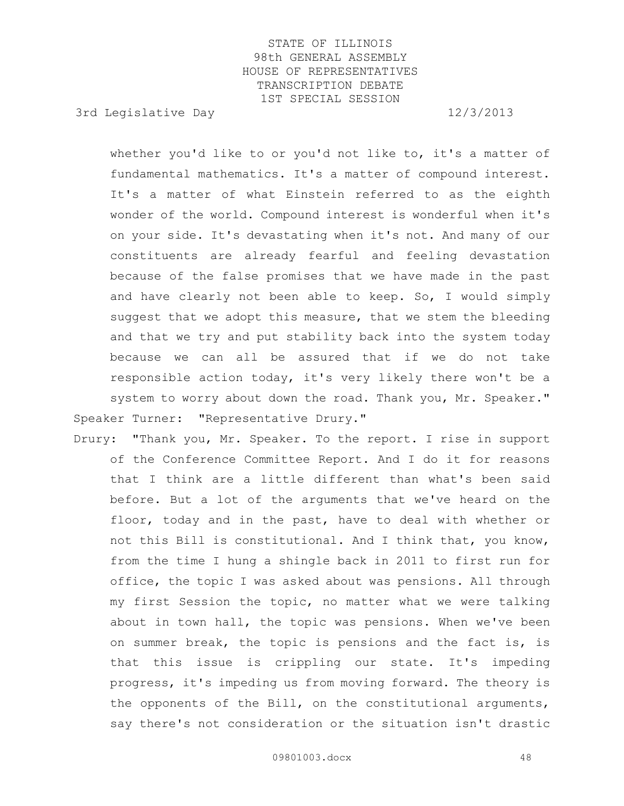3rd Legislative Day 12/3/2013

whether you'd like to or you'd not like to, it's a matter of fundamental mathematics. It's a matter of compound interest. It's a matter of what Einstein referred to as the eighth wonder of the world. Compound interest is wonderful when it's on your side. It's devastating when it's not. And many of our constituents are already fearful and feeling devastation because of the false promises that we have made in the past and have clearly not been able to keep. So, I would simply suggest that we adopt this measure, that we stem the bleeding and that we try and put stability back into the system today because we can all be assured that if we do not take responsible action today, it's very likely there won't be a system to worry about down the road. Thank you, Mr. Speaker." Speaker Turner: "Representative Drury."

Drury: "Thank you, Mr. Speaker. To the report. I rise in support of the Conference Committee Report. And I do it for reasons that I think are a little different than what's been said before. But a lot of the arguments that we've heard on the floor, today and in the past, have to deal with whether or not this Bill is constitutional. And I think that, you know, from the time I hung a shingle back in 2011 to first run for office, the topic I was asked about was pensions. All through my first Session the topic, no matter what we were talking about in town hall, the topic was pensions. When we've been on summer break, the topic is pensions and the fact is, is that this issue is crippling our state. It's impeding progress, it's impeding us from moving forward. The theory is the opponents of the Bill, on the constitutional arguments, say there's not consideration or the situation isn't drastic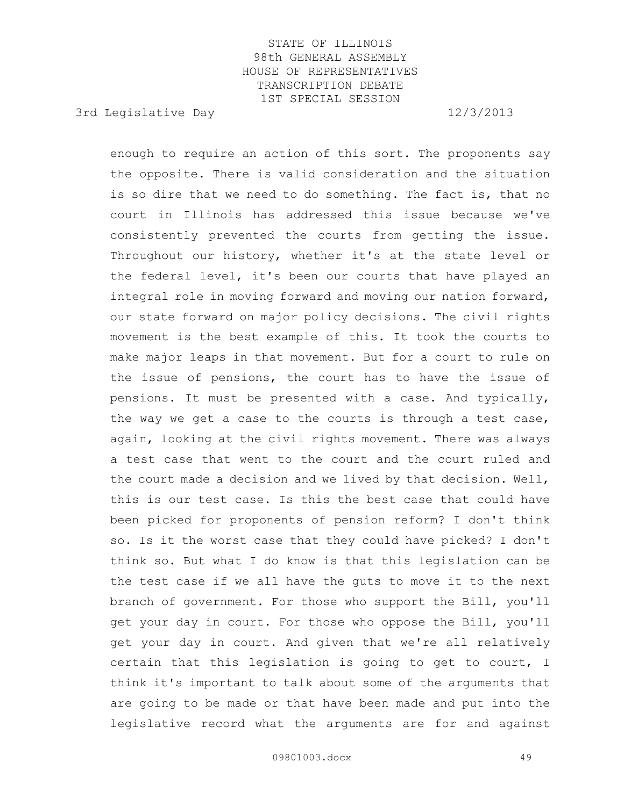3rd Legislative Day 12/3/2013

enough to require an action of this sort. The proponents say the opposite. There is valid consideration and the situation is so dire that we need to do something. The fact is, that no court in Illinois has addressed this issue because we've consistently prevented the courts from getting the issue. Throughout our history, whether it's at the state level or the federal level, it's been our courts that have played an integral role in moving forward and moving our nation forward, our state forward on major policy decisions. The civil rights movement is the best example of this. It took the courts to make major leaps in that movement. But for a court to rule on the issue of pensions, the court has to have the issue of pensions. It must be presented with a case. And typically, the way we get a case to the courts is through a test case, again, looking at the civil rights movement. There was always a test case that went to the court and the court ruled and the court made a decision and we lived by that decision. Well, this is our test case. Is this the best case that could have been picked for proponents of pension reform? I don't think so. Is it the worst case that they could have picked? I don't think so. But what I do know is that this legislation can be the test case if we all have the guts to move it to the next branch of government. For those who support the Bill, you'll get your day in court. For those who oppose the Bill, you'll get your day in court. And given that we're all relatively certain that this legislation is going to get to court, I think it's important to talk about some of the arguments that are going to be made or that have been made and put into the legislative record what the arguments are for and against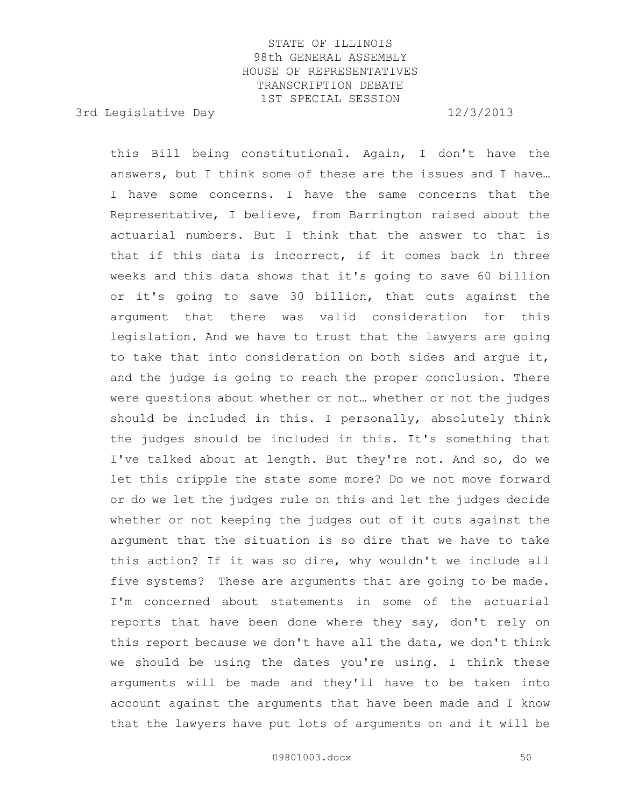3rd Legislative Day 12/3/2013

this Bill being constitutional. Again, I don't have the answers, but I think some of these are the issues and I have… I have some concerns. I have the same concerns that the Representative, I believe, from Barrington raised about the actuarial numbers. But I think that the answer to that is that if this data is incorrect, if it comes back in three weeks and this data shows that it's going to save 60 billion or it's going to save 30 billion, that cuts against the argument that there was valid consideration for this legislation. And we have to trust that the lawyers are going to take that into consideration on both sides and argue it, and the judge is going to reach the proper conclusion. There were questions about whether or not… whether or not the judges should be included in this. I personally, absolutely think the judges should be included in this. It's something that I've talked about at length. But they're not. And so, do we let this cripple the state some more? Do we not move forward or do we let the judges rule on this and let the judges decide whether or not keeping the judges out of it cuts against the argument that the situation is so dire that we have to take this action? If it was so dire, why wouldn't we include all five systems? These are arguments that are going to be made. I'm concerned about statements in some of the actuarial reports that have been done where they say, don't rely on this report because we don't have all the data, we don't think we should be using the dates you're using. I think these arguments will be made and they'll have to be taken into account against the arguments that have been made and I know that the lawyers have put lots of arguments on and it will be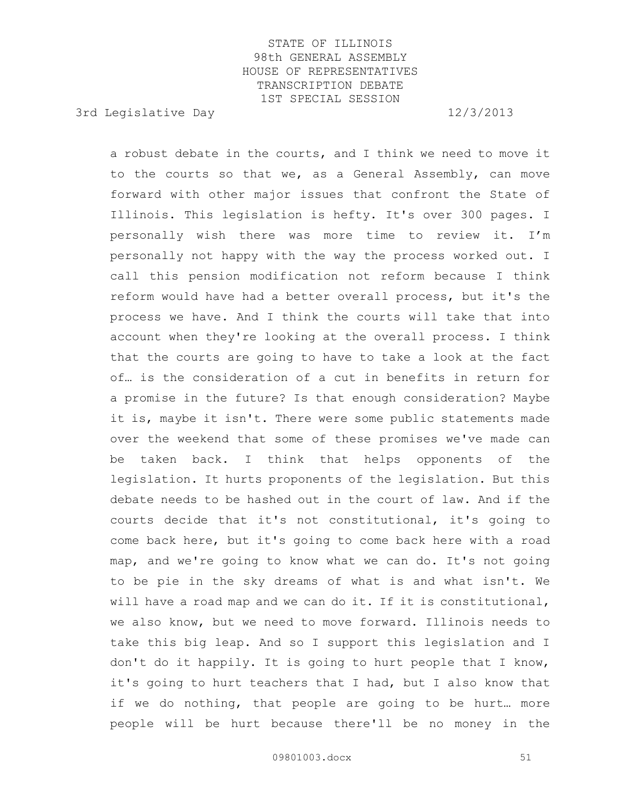3rd Legislative Day 12/3/2013

a robust debate in the courts, and I think we need to move it to the courts so that we, as a General Assembly, can move forward with other major issues that confront the State of Illinois. This legislation is hefty. It's over 300 pages. I personally wish there was more time to review it. I'm personally not happy with the way the process worked out. I call this pension modification not reform because I think reform would have had a better overall process, but it's the process we have. And I think the courts will take that into account when they're looking at the overall process. I think that the courts are going to have to take a look at the fact of… is the consideration of a cut in benefits in return for a promise in the future? Is that enough consideration? Maybe it is, maybe it isn't. There were some public statements made over the weekend that some of these promises we've made can be taken back. I think that helps opponents of the legislation. It hurts proponents of the legislation. But this debate needs to be hashed out in the court of law. And if the courts decide that it's not constitutional, it's going to come back here, but it's going to come back here with a road map, and we're going to know what we can do. It's not going to be pie in the sky dreams of what is and what isn't. We will have a road map and we can do it. If it is constitutional, we also know, but we need to move forward. Illinois needs to take this big leap. And so I support this legislation and I don't do it happily. It is going to hurt people that I know, it's going to hurt teachers that I had, but I also know that if we do nothing, that people are going to be hurt… more people will be hurt because there'll be no money in the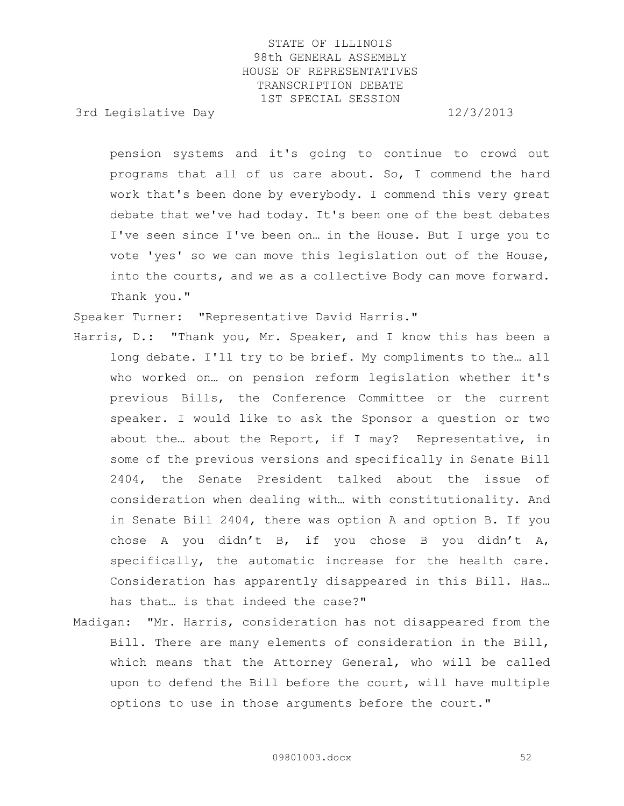3rd Legislative Day 12/3/2013

pension systems and it's going to continue to crowd out programs that all of us care about. So, I commend the hard work that's been done by everybody. I commend this very great debate that we've had today. It's been one of the best debates I've seen since I've been on… in the House. But I urge you to vote 'yes' so we can move this legislation out of the House, into the courts, and we as a collective Body can move forward. Thank you."

Speaker Turner: "Representative David Harris."

- Harris, D.: "Thank you, Mr. Speaker, and I know this has been a long debate. I'll try to be brief. My compliments to the… all who worked on… on pension reform legislation whether it's previous Bills, the Conference Committee or the current speaker. I would like to ask the Sponsor a question or two about the… about the Report, if I may? Representative, in some of the previous versions and specifically in Senate Bill 2404, the Senate President talked about the issue of consideration when dealing with… with constitutionality. And in Senate Bill 2404, there was option A and option B. If you chose A you didn't B, if you chose B you didn't A, specifically, the automatic increase for the health care. Consideration has apparently disappeared in this Bill. Has… has that… is that indeed the case?"
- Madigan: "Mr. Harris, consideration has not disappeared from the Bill. There are many elements of consideration in the Bill, which means that the Attorney General, who will be called upon to defend the Bill before the court, will have multiple options to use in those arguments before the court."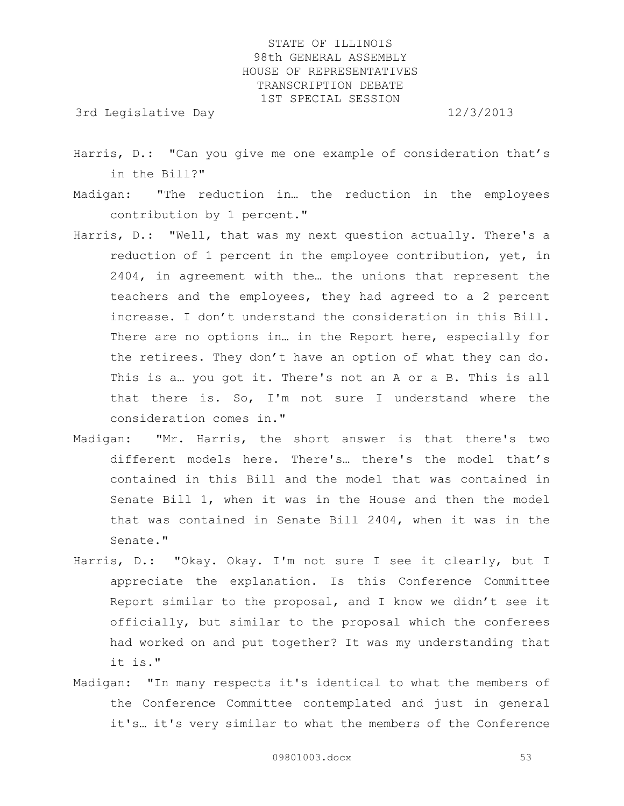3rd Legislative Day 12/3/2013

- Harris, D.: "Can you give me one example of consideration that's in the Bill?"
- Madigan: "The reduction in… the reduction in the employees contribution by 1 percent."
- Harris, D.: "Well, that was my next question actually. There's a reduction of 1 percent in the employee contribution, yet, in 2404, in agreement with the… the unions that represent the teachers and the employees, they had agreed to a 2 percent increase. I don't understand the consideration in this Bill. There are no options in... in the Report here, especially for the retirees. They don't have an option of what they can do. This is a… you got it. There's not an A or a B. This is all that there is. So, I'm not sure I understand where the consideration comes in."
- Madigan: "Mr. Harris, the short answer is that there's two different models here. There's… there's the model that's contained in this Bill and the model that was contained in Senate Bill 1, when it was in the House and then the model that was contained in Senate Bill 2404, when it was in the Senate."
- Harris, D.: "Okay. Okay. I'm not sure I see it clearly, but I appreciate the explanation. Is this Conference Committee Report similar to the proposal, and I know we didn't see it officially, but similar to the proposal which the conferees had worked on and put together? It was my understanding that it is."
- Madigan: "In many respects it's identical to what the members of the Conference Committee contemplated and just in general it's… it's very similar to what the members of the Conference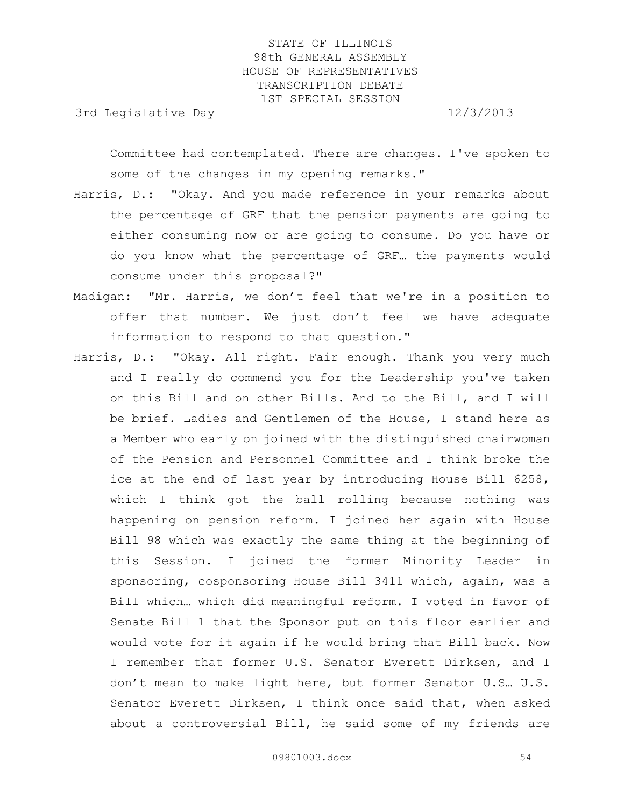3rd Legislative Day 12/3/2013

Committee had contemplated. There are changes. I've spoken to some of the changes in my opening remarks."

- Harris, D.: "Okay. And you made reference in your remarks about the percentage of GRF that the pension payments are going to either consuming now or are going to consume. Do you have or do you know what the percentage of GRF… the payments would consume under this proposal?"
- Madigan: "Mr. Harris, we don't feel that we're in a position to offer that number. We just don't feel we have adequate information to respond to that question."
- Harris, D.: "Okay. All right. Fair enough. Thank you very much and I really do commend you for the Leadership you've taken on this Bill and on other Bills. And to the Bill, and I will be brief. Ladies and Gentlemen of the House, I stand here as a Member who early on joined with the distinguished chairwoman of the Pension and Personnel Committee and I think broke the ice at the end of last year by introducing House Bill 6258, which I think got the ball rolling because nothing was happening on pension reform. I joined her again with House Bill 98 which was exactly the same thing at the beginning of this Session. I joined the former Minority Leader in sponsoring, cosponsoring House Bill 3411 which, again, was a Bill which… which did meaningful reform. I voted in favor of Senate Bill 1 that the Sponsor put on this floor earlier and would vote for it again if he would bring that Bill back. Now I remember that former U.S. Senator Everett Dirksen, and I don't mean to make light here, but former Senator U.S… U.S. Senator Everett Dirksen, I think once said that, when asked about a controversial Bill, he said some of my friends are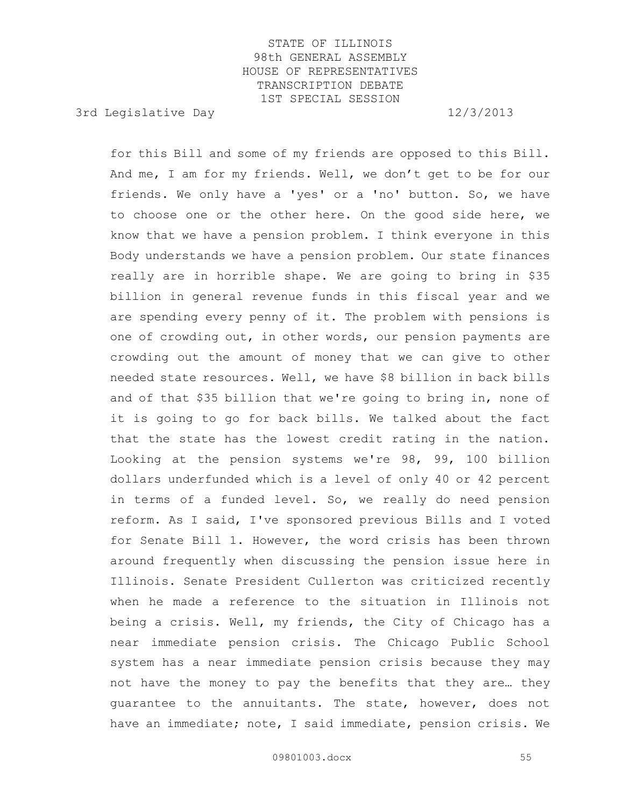3rd Legislative Day 12/3/2013

for this Bill and some of my friends are opposed to this Bill. And me, I am for my friends. Well, we don't get to be for our friends. We only have a 'yes' or a 'no' button. So, we have to choose one or the other here. On the good side here, we know that we have a pension problem. I think everyone in this Body understands we have a pension problem. Our state finances really are in horrible shape. We are going to bring in \$35 billion in general revenue funds in this fiscal year and we are spending every penny of it. The problem with pensions is one of crowding out, in other words, our pension payments are crowding out the amount of money that we can give to other needed state resources. Well, we have \$8 billion in back bills and of that \$35 billion that we're going to bring in, none of it is going to go for back bills. We talked about the fact that the state has the lowest credit rating in the nation. Looking at the pension systems we're 98, 99, 100 billion dollars underfunded which is a level of only 40 or 42 percent in terms of a funded level. So, we really do need pension reform. As I said, I've sponsored previous Bills and I voted for Senate Bill 1. However, the word crisis has been thrown around frequently when discussing the pension issue here in Illinois. Senate President Cullerton was criticized recently when he made a reference to the situation in Illinois not being a crisis. Well, my friends, the City of Chicago has a near immediate pension crisis. The Chicago Public School system has a near immediate pension crisis because they may not have the money to pay the benefits that they are… they guarantee to the annuitants. The state, however, does not have an immediate; note, I said immediate, pension crisis. We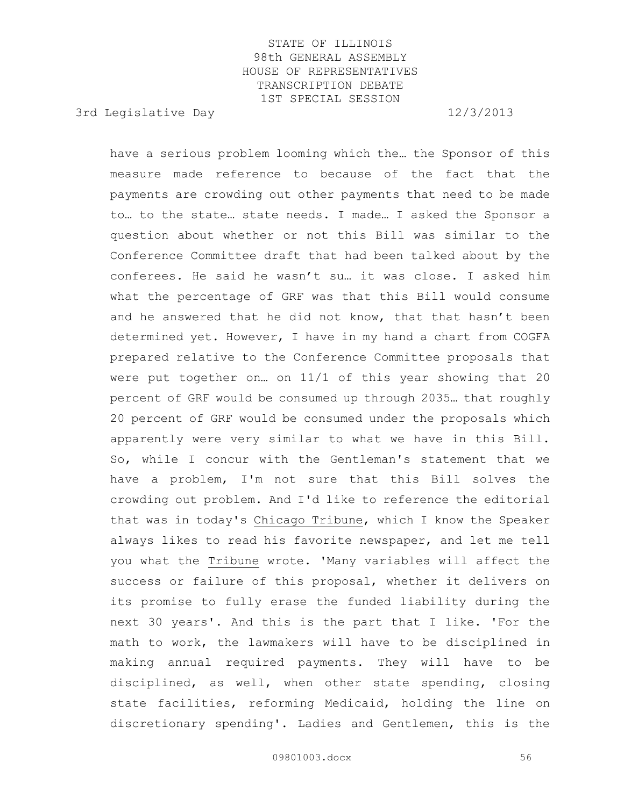3rd Legislative Day 12/3/2013

have a serious problem looming which the… the Sponsor of this measure made reference to because of the fact that the payments are crowding out other payments that need to be made to… to the state… state needs. I made… I asked the Sponsor a question about whether or not this Bill was similar to the Conference Committee draft that had been talked about by the conferees. He said he wasn't su… it was close. I asked him what the percentage of GRF was that this Bill would consume and he answered that he did not know, that that hasn't been determined yet. However, I have in my hand a chart from COGFA prepared relative to the Conference Committee proposals that were put together on… on 11/1 of this year showing that 20 percent of GRF would be consumed up through 2035… that roughly 20 percent of GRF would be consumed under the proposals which apparently were very similar to what we have in this Bill. So, while I concur with the Gentleman's statement that we have a problem, I'm not sure that this Bill solves the crowding out problem. And I'd like to reference the editorial that was in today's Chicago Tribune, which I know the Speaker always likes to read his favorite newspaper, and let me tell you what the Tribune wrote. 'Many variables will affect the success or failure of this proposal, whether it delivers on its promise to fully erase the funded liability during the next 30 years'. And this is the part that I like. 'For the math to work, the lawmakers will have to be disciplined in making annual required payments. They will have to be disciplined, as well, when other state spending, closing state facilities, reforming Medicaid, holding the line on discretionary spending'. Ladies and Gentlemen, this is the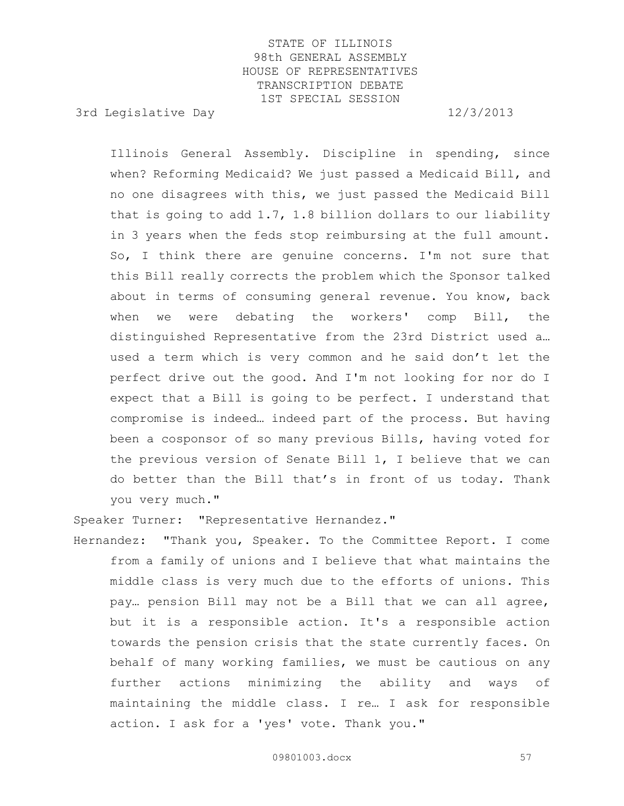3rd Legislative Day 12/3/2013

Illinois General Assembly. Discipline in spending, since when? Reforming Medicaid? We just passed a Medicaid Bill, and no one disagrees with this, we just passed the Medicaid Bill that is going to add 1.7, 1.8 billion dollars to our liability in 3 years when the feds stop reimbursing at the full amount. So, I think there are genuine concerns. I'm not sure that this Bill really corrects the problem which the Sponsor talked about in terms of consuming general revenue. You know, back when we were debating the workers' comp Bill, the distinguished Representative from the 23rd District used a… used a term which is very common and he said don't let the perfect drive out the good. And I'm not looking for nor do I expect that a Bill is going to be perfect. I understand that compromise is indeed… indeed part of the process. But having been a cosponsor of so many previous Bills, having voted for the previous version of Senate Bill 1, I believe that we can do better than the Bill that's in front of us today. Thank you very much."

Speaker Turner: "Representative Hernandez."

Hernandez: "Thank you, Speaker. To the Committee Report. I come from a family of unions and I believe that what maintains the middle class is very much due to the efforts of unions. This pay… pension Bill may not be a Bill that we can all agree, but it is a responsible action. It's a responsible action towards the pension crisis that the state currently faces. On behalf of many working families, we must be cautious on any further actions minimizing the ability and ways of maintaining the middle class. I re… I ask for responsible action. I ask for a 'yes' vote. Thank you."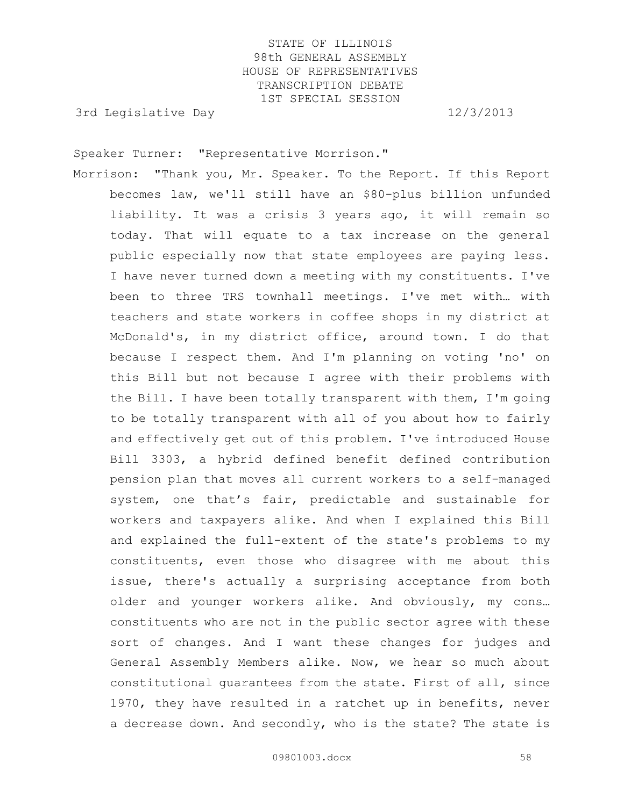3rd Legislative Day 12/3/2013

Speaker Turner: "Representative Morrison."

Morrison: "Thank you, Mr. Speaker. To the Report. If this Report becomes law, we'll still have an \$80-plus billion unfunded liability. It was a crisis 3 years ago, it will remain so today. That will equate to a tax increase on the general public especially now that state employees are paying less. I have never turned down a meeting with my constituents. I've been to three TRS townhall meetings. I've met with… with teachers and state workers in coffee shops in my district at McDonald's, in my district office, around town. I do that because I respect them. And I'm planning on voting 'no' on this Bill but not because I agree with their problems with the Bill. I have been totally transparent with them, I'm going to be totally transparent with all of you about how to fairly and effectively get out of this problem. I've introduced House Bill 3303, a hybrid defined benefit defined contribution pension plan that moves all current workers to a self-managed system, one that's fair, predictable and sustainable for workers and taxpayers alike. And when I explained this Bill and explained the full-extent of the state's problems to my constituents, even those who disagree with me about this issue, there's actually a surprising acceptance from both older and younger workers alike. And obviously, my cons… constituents who are not in the public sector agree with these sort of changes. And I want these changes for judges and General Assembly Members alike. Now, we hear so much about constitutional guarantees from the state. First of all, since 1970, they have resulted in a ratchet up in benefits, never a decrease down. And secondly, who is the state? The state is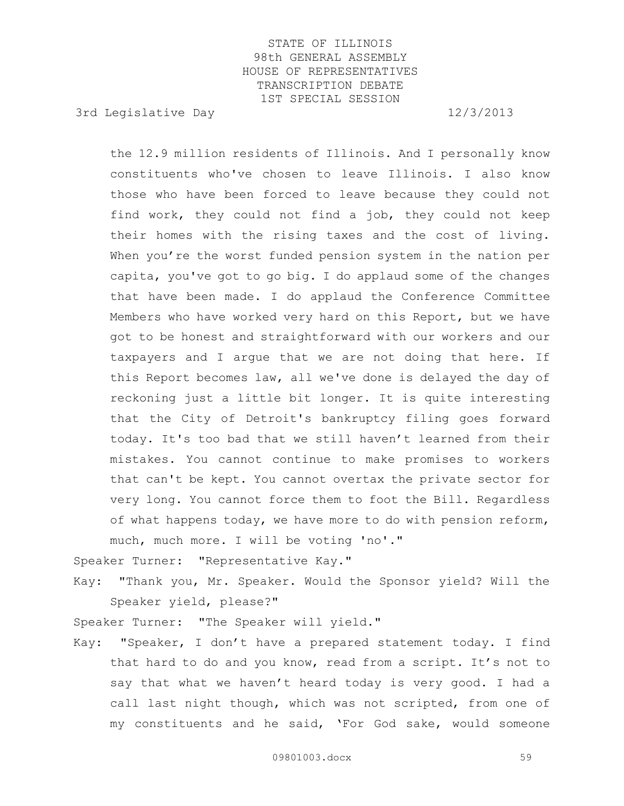3rd Legislative Day 12/3/2013

the 12.9 million residents of Illinois. And I personally know constituents who've chosen to leave Illinois. I also know those who have been forced to leave because they could not find work, they could not find a job, they could not keep their homes with the rising taxes and the cost of living. When you're the worst funded pension system in the nation per capita, you've got to go big. I do applaud some of the changes that have been made. I do applaud the Conference Committee Members who have worked very hard on this Report, but we have got to be honest and straightforward with our workers and our taxpayers and I argue that we are not doing that here. If this Report becomes law, all we've done is delayed the day of reckoning just a little bit longer. It is quite interesting that the City of Detroit's bankruptcy filing goes forward today. It's too bad that we still haven't learned from their mistakes. You cannot continue to make promises to workers that can't be kept. You cannot overtax the private sector for very long. You cannot force them to foot the Bill. Regardless of what happens today, we have more to do with pension reform, much, much more. I will be voting 'no'."

Speaker Turner: "Representative Kay."

Kay: "Thank you, Mr. Speaker. Would the Sponsor yield? Will the Speaker yield, please?"

Speaker Turner: "The Speaker will yield."

Kay: "Speaker, I don't have a prepared statement today. I find that hard to do and you know, read from a script. It's not to say that what we haven't heard today is very good. I had a call last night though, which was not scripted, from one of my constituents and he said, 'For God sake, would someone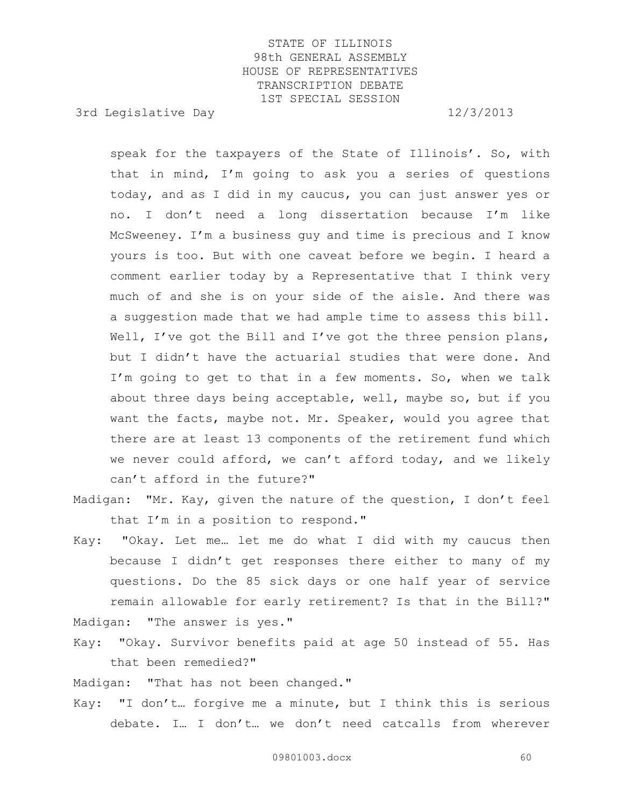3rd Legislative Day 12/3/2013

speak for the taxpayers of the State of Illinois'. So, with that in mind, I'm going to ask you a series of questions today, and as I did in my caucus, you can just answer yes or no. I don't need a long dissertation because I'm like McSweeney. I'm a business guy and time is precious and I know yours is too. But with one caveat before we begin. I heard a comment earlier today by a Representative that I think very much of and she is on your side of the aisle. And there was a suggestion made that we had ample time to assess this bill. Well, I've got the Bill and I've got the three pension plans, but I didn't have the actuarial studies that were done. And I'm going to get to that in a few moments. So, when we talk about three days being acceptable, well, maybe so, but if you want the facts, maybe not. Mr. Speaker, would you agree that there are at least 13 components of the retirement fund which we never could afford, we can't afford today, and we likely can't afford in the future?"

- Madigan: "Mr. Kay, given the nature of the question, I don't feel that I'm in a position to respond."
- Kay: "Okay. Let me… let me do what I did with my caucus then because I didn't get responses there either to many of my questions. Do the 85 sick days or one half year of service remain allowable for early retirement? Is that in the Bill?" Madigan: "The answer is yes."

Kay: "Okay. Survivor benefits paid at age 50 instead of 55. Has that been remedied?"

Madigan: "That has not been changed."

Kay: "I don't… forgive me a minute, but I think this is serious debate. I… I don't… we don't need catcalls from wherever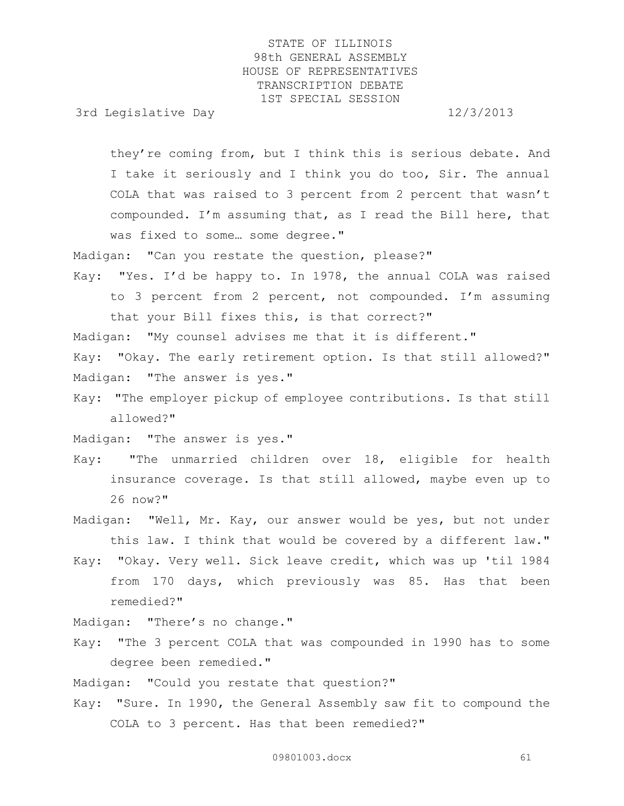3rd Legislative Day 12/3/2013

they're coming from, but I think this is serious debate. And I take it seriously and I think you do too, Sir. The annual COLA that was raised to 3 percent from 2 percent that wasn't compounded. I'm assuming that, as I read the Bill here, that was fixed to some… some degree."

Madigan: "Can you restate the question, please?"

Kay: "Yes. I'd be happy to. In 1978, the annual COLA was raised to 3 percent from 2 percent, not compounded. I'm assuming that your Bill fixes this, is that correct?"

Madigan: "My counsel advises me that it is different."

Kay: "Okay. The early retirement option. Is that still allowed?" Madigan: "The answer is yes."

Kay: "The employer pickup of employee contributions. Is that still allowed?"

Madigan: "The answer is yes."

- Kay: "The unmarried children over 18, eligible for health insurance coverage. Is that still allowed, maybe even up to 26 now?"
- Madigan: "Well, Mr. Kay, our answer would be yes, but not under this law. I think that would be covered by a different law."
- Kay: "Okay. Very well. Sick leave credit, which was up 'til 1984 from 170 days, which previously was 85. Has that been remedied?"

Madigan: "There's no change."

Kay: "The 3 percent COLA that was compounded in 1990 has to some degree been remedied."

Madigan: "Could you restate that question?"

Kay: "Sure. In 1990, the General Assembly saw fit to compound the COLA to 3 percent. Has that been remedied?"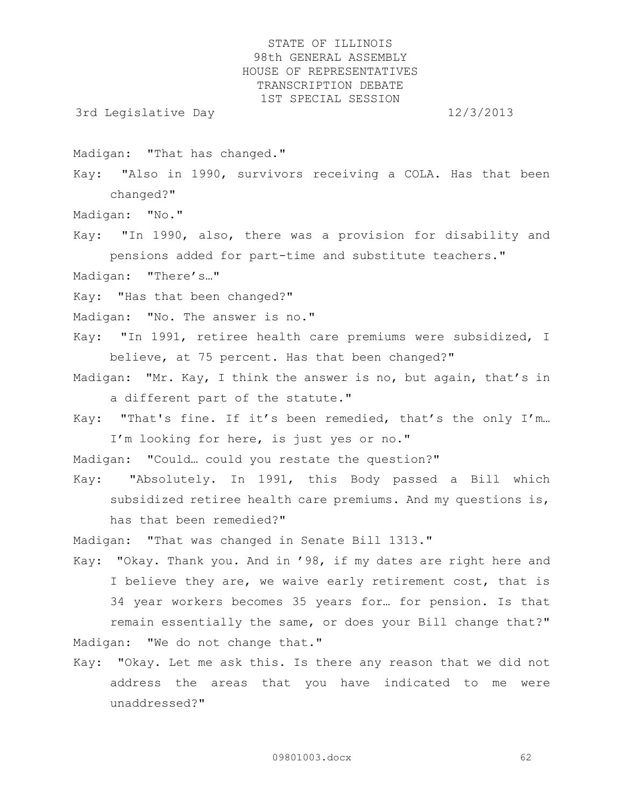3rd Legislative Day 12/3/2013

Madigan: "That has changed."

Kay: "Also in 1990, survivors receiving a COLA. Has that been changed?"

Madigan: "No."

Kay: "In 1990, also, there was a provision for disability and pensions added for part-time and substitute teachers." Madigan: "There's…"

Kay: "Has that been changed?"

Madigan: "No. The answer is no."

Kay: "In 1991, retiree health care premiums were subsidized, I believe, at 75 percent. Has that been changed?"

Madigan: "Mr. Kay, I think the answer is no, but again, that's in a different part of the statute."

Kay: "That's fine. If it's been remedied, that's the only I'm… I'm looking for here, is just yes or no."

Madigan: "Could… could you restate the question?"

Kay: "Absolutely. In 1991, this Body passed a Bill which subsidized retiree health care premiums. And my questions is, has that been remedied?"

Madigan: "That was changed in Senate Bill 1313."

- Kay: "Okay. Thank you. And in '98, if my dates are right here and I believe they are, we waive early retirement cost, that is 34 year workers becomes 35 years for… for pension. Is that remain essentially the same, or does your Bill change that?" Madigan: "We do not change that."
- Kay: "Okay. Let me ask this. Is there any reason that we did not address the areas that you have indicated to me were unaddressed?"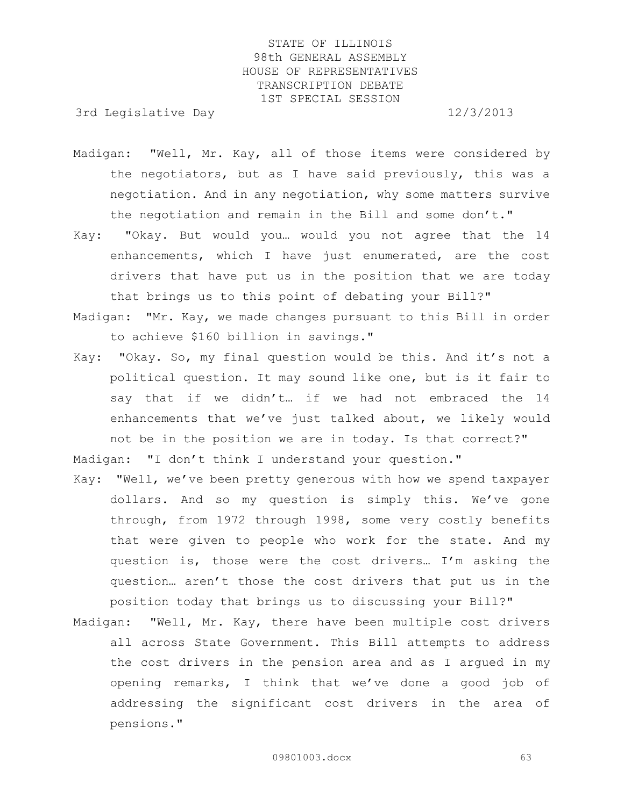3rd Legislative Day 12/3/2013

- Madigan: "Well, Mr. Kay, all of those items were considered by the negotiators, but as I have said previously, this was a negotiation. And in any negotiation, why some matters survive the negotiation and remain in the Bill and some don't."
- Kay: "Okay. But would you… would you not agree that the 14 enhancements, which I have just enumerated, are the cost drivers that have put us in the position that we are today that brings us to this point of debating your Bill?"
- Madigan: "Mr. Kay, we made changes pursuant to this Bill in order to achieve \$160 billion in savings."
- Kay: "Okay. So, my final question would be this. And it's not a political question. It may sound like one, but is it fair to say that if we didn't… if we had not embraced the 14 enhancements that we've just talked about, we likely would not be in the position we are in today. Is that correct?"

Madigan: "I don't think I understand your question."

- Kay: "Well, we've been pretty generous with how we spend taxpayer dollars. And so my question is simply this. We've gone through, from 1972 through 1998, some very costly benefits that were given to people who work for the state. And my question is, those were the cost drivers… I'm asking the question… aren't those the cost drivers that put us in the position today that brings us to discussing your Bill?"
- Madigan: "Well, Mr. Kay, there have been multiple cost drivers all across State Government. This Bill attempts to address the cost drivers in the pension area and as I argued in my opening remarks, I think that we've done a good job of addressing the significant cost drivers in the area of pensions."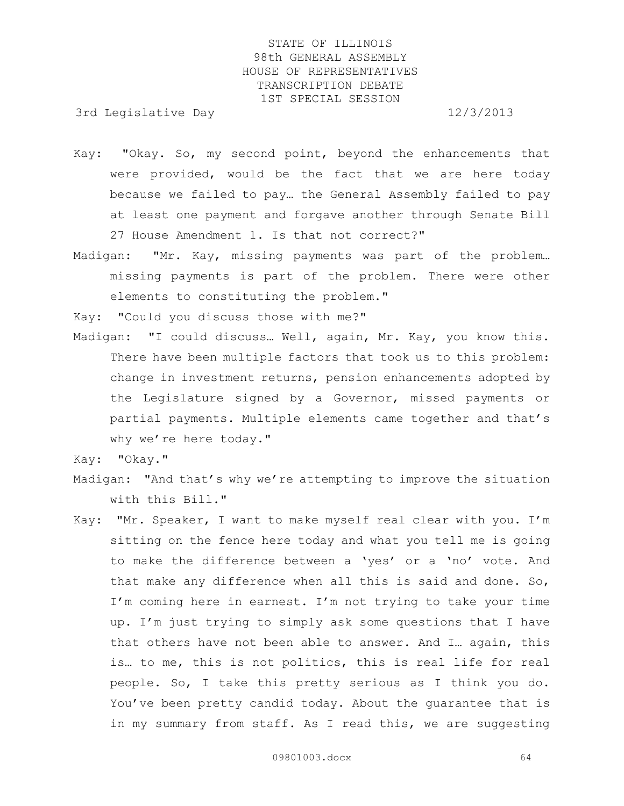3rd Legislative Day 12/3/2013

- Kay: "Okay. So, my second point, beyond the enhancements that were provided, would be the fact that we are here today because we failed to pay… the General Assembly failed to pay at least one payment and forgave another through Senate Bill 27 House Amendment 1. Is that not correct?"
- Madigan: "Mr. Kay, missing payments was part of the problem… missing payments is part of the problem. There were other elements to constituting the problem."

Kay: "Could you discuss those with me?"

Madigan: "I could discuss… Well, again, Mr. Kay, you know this. There have been multiple factors that took us to this problem: change in investment returns, pension enhancements adopted by the Legislature signed by a Governor, missed payments or partial payments. Multiple elements came together and that's why we're here today."

Kay: "Okay."

- Madigan: "And that's why we're attempting to improve the situation with this Bill."
- Kay: "Mr. Speaker, I want to make myself real clear with you. I'm sitting on the fence here today and what you tell me is going to make the difference between a 'yes' or a 'no' vote. And that make any difference when all this is said and done. So, I'm coming here in earnest. I'm not trying to take your time up. I'm just trying to simply ask some questions that I have that others have not been able to answer. And I… again, this is… to me, this is not politics, this is real life for real people. So, I take this pretty serious as I think you do. You've been pretty candid today. About the guarantee that is in my summary from staff. As I read this, we are suggesting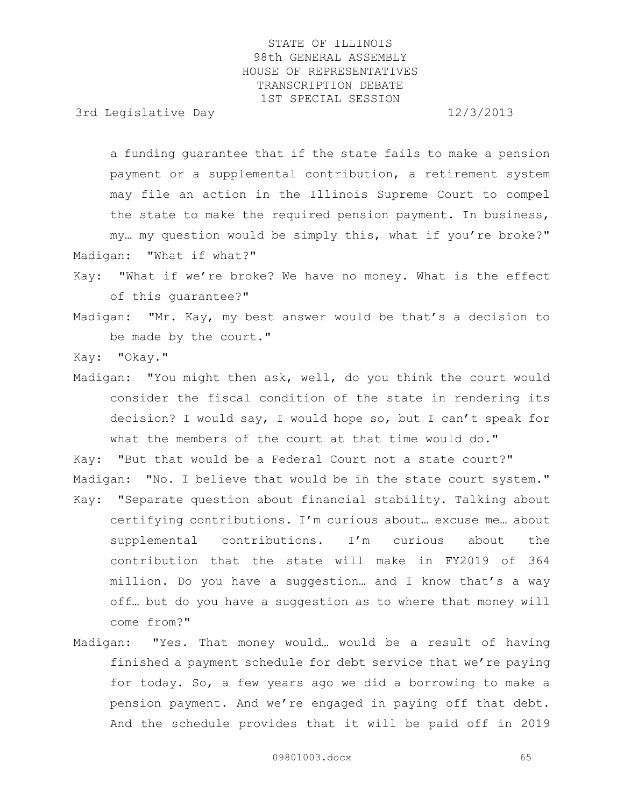3rd Legislative Day 12/3/2013

a funding guarantee that if the state fails to make a pension payment or a supplemental contribution, a retirement system may file an action in the Illinois Supreme Court to compel the state to make the required pension payment. In business,

my… my question would be simply this, what if you're broke?" Madigan: "What if what?"

Kay: "What if we're broke? We have no money. What is the effect of this guarantee?"

Madigan: "Mr. Kay, my best answer would be that's a decision to be made by the court."

Kay: "Okay."

Madigan: "You might then ask, well, do you think the court would consider the fiscal condition of the state in rendering its decision? I would say, I would hope so, but I can't speak for what the members of the court at that time would do."

Kay: "But that would be a Federal Court not a state court?"

- Madigan: "No. I believe that would be in the state court system." Kay: "Separate question about financial stability. Talking about
- certifying contributions. I'm curious about… excuse me… about supplemental contributions. I'm curious about the contribution that the state will make in FY2019 of 364 million. Do you have a suggestion… and I know that's a way off… but do you have a suggestion as to where that money will come from?"
- Madigan: "Yes. That money would… would be a result of having finished a payment schedule for debt service that we're paying for today. So, a few years ago we did a borrowing to make a pension payment. And we're engaged in paying off that debt. And the schedule provides that it will be paid off in 2019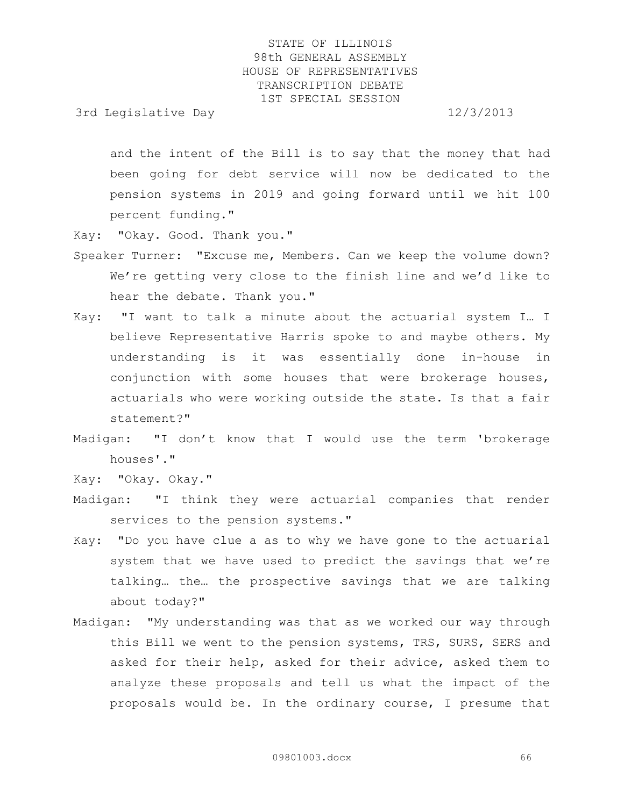3rd Legislative Day 12/3/2013

and the intent of the Bill is to say that the money that had been going for debt service will now be dedicated to the pension systems in 2019 and going forward until we hit 100 percent funding."

Kay: "Okay. Good. Thank you."

- Speaker Turner: "Excuse me, Members. Can we keep the volume down? We're getting very close to the finish line and we'd like to hear the debate. Thank you."
- Kay: "I want to talk a minute about the actuarial system I… I believe Representative Harris spoke to and maybe others. My understanding is it was essentially done in-house in conjunction with some houses that were brokerage houses, actuarials who were working outside the state. Is that a fair statement?"
- Madigan: "I don't know that I would use the term 'brokerage houses'."

Kay: "Okay. Okay."

- Madigan: "I think they were actuarial companies that render services to the pension systems."
- Kay: "Do you have clue a as to why we have gone to the actuarial system that we have used to predict the savings that we're talking… the… the prospective savings that we are talking about today?"
- Madigan: "My understanding was that as we worked our way through this Bill we went to the pension systems, TRS, SURS, SERS and asked for their help, asked for their advice, asked them to analyze these proposals and tell us what the impact of the proposals would be. In the ordinary course, I presume that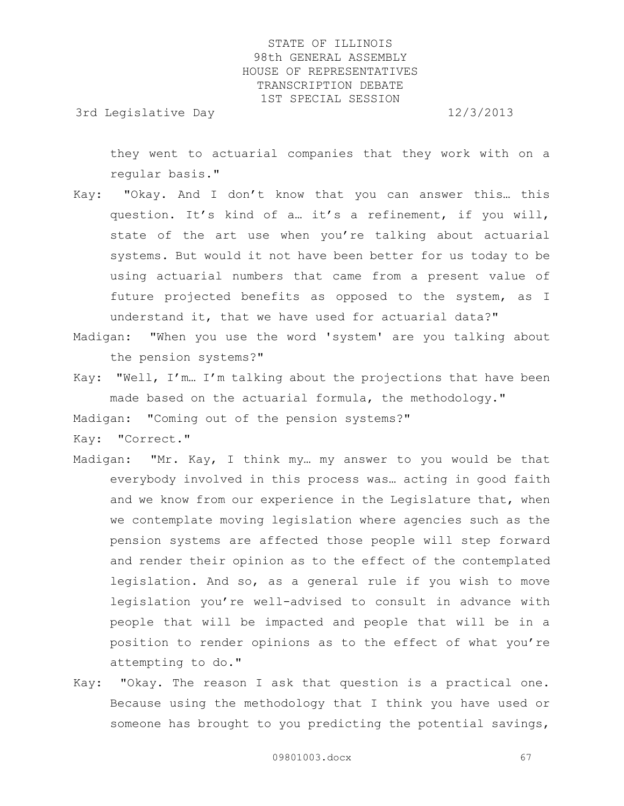3rd Legislative Day 12/3/2013

they went to actuarial companies that they work with on a regular basis."

- Kay: "Okay. And I don't know that you can answer this… this question. It's kind of a… it's a refinement, if you will, state of the art use when you're talking about actuarial systems. But would it not have been better for us today to be using actuarial numbers that came from a present value of future projected benefits as opposed to the system, as I understand it, that we have used for actuarial data?"
- Madigan: "When you use the word 'system' are you talking about the pension systems?"
- Kay: "Well, I'm… I'm talking about the projections that have been made based on the actuarial formula, the methodology."

Madigan: "Coming out of the pension systems?"

Kay: "Correct."

- Madigan: "Mr. Kay, I think my… my answer to you would be that everybody involved in this process was… acting in good faith and we know from our experience in the Legislature that, when we contemplate moving legislation where agencies such as the pension systems are affected those people will step forward and render their opinion as to the effect of the contemplated legislation. And so, as a general rule if you wish to move legislation you're well-advised to consult in advance with people that will be impacted and people that will be in a position to render opinions as to the effect of what you're attempting to do."
- Kay: "Okay. The reason I ask that question is a practical one. Because using the methodology that I think you have used or someone has brought to you predicting the potential savings,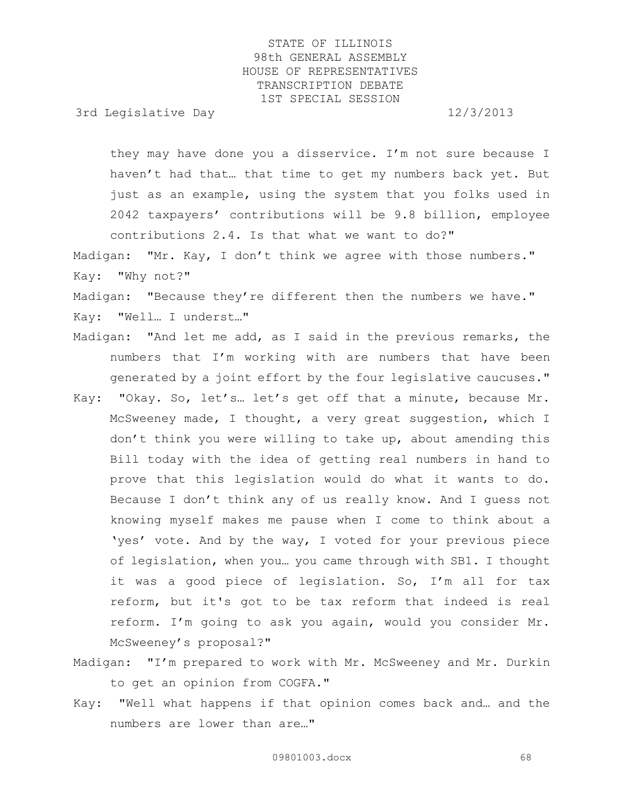3rd Legislative Day 12/3/2013

they may have done you a disservice. I'm not sure because I haven't had that… that time to get my numbers back yet. But just as an example, using the system that you folks used in 2042 taxpayers' contributions will be 9.8 billion, employee contributions 2.4. Is that what we want to do?"

Madigan: "Mr. Kay, I don't think we agree with those numbers." Kay: "Why not?"

Madigan: "Because they're different then the numbers we have." Kay: "Well… I underst…"

- Madigan: "And let me add, as I said in the previous remarks, the numbers that I'm working with are numbers that have been generated by a joint effort by the four legislative caucuses."
- Kay: "Okay. So, let's… let's get off that a minute, because Mr. McSweeney made, I thought, a very great suggestion, which I don't think you were willing to take up, about amending this Bill today with the idea of getting real numbers in hand to prove that this legislation would do what it wants to do. Because I don't think any of us really know. And I guess not knowing myself makes me pause when I come to think about a 'yes' vote. And by the way, I voted for your previous piece of legislation, when you… you came through with SB1. I thought it was a good piece of legislation. So, I'm all for tax reform, but it's got to be tax reform that indeed is real reform. I'm going to ask you again, would you consider Mr. McSweeney's proposal?"
- Madigan: "I'm prepared to work with Mr. McSweeney and Mr. Durkin to get an opinion from COGFA."
- Kay: "Well what happens if that opinion comes back and… and the numbers are lower than are…"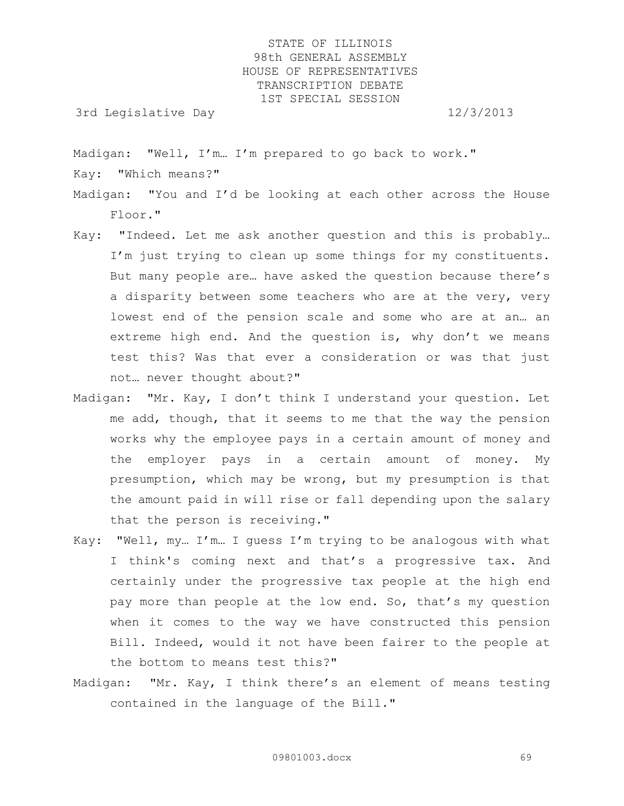3rd Legislative Day 12/3/2013

Madigan: "Well, I'm… I'm prepared to go back to work."

Kay: "Which means?"

Madigan: "You and I'd be looking at each other across the House Floor."

- Kay: "Indeed. Let me ask another question and this is probably… I'm just trying to clean up some things for my constituents. But many people are… have asked the question because there's a disparity between some teachers who are at the very, very lowest end of the pension scale and some who are at an… an extreme high end. And the question is, why don't we means test this? Was that ever a consideration or was that just not… never thought about?"
- Madigan: "Mr. Kay, I don't think I understand your question. Let me add, though, that it seems to me that the way the pension works why the employee pays in a certain amount of money and the employer pays in a certain amount of money. My presumption, which may be wrong, but my presumption is that the amount paid in will rise or fall depending upon the salary that the person is receiving."
- Kay: "Well, my… I'm… I guess I'm trying to be analogous with what I think's coming next and that's a progressive tax. And certainly under the progressive tax people at the high end pay more than people at the low end. So, that's my question when it comes to the way we have constructed this pension Bill. Indeed, would it not have been fairer to the people at the bottom to means test this?"
- Madigan: "Mr. Kay, I think there's an element of means testing contained in the language of the Bill."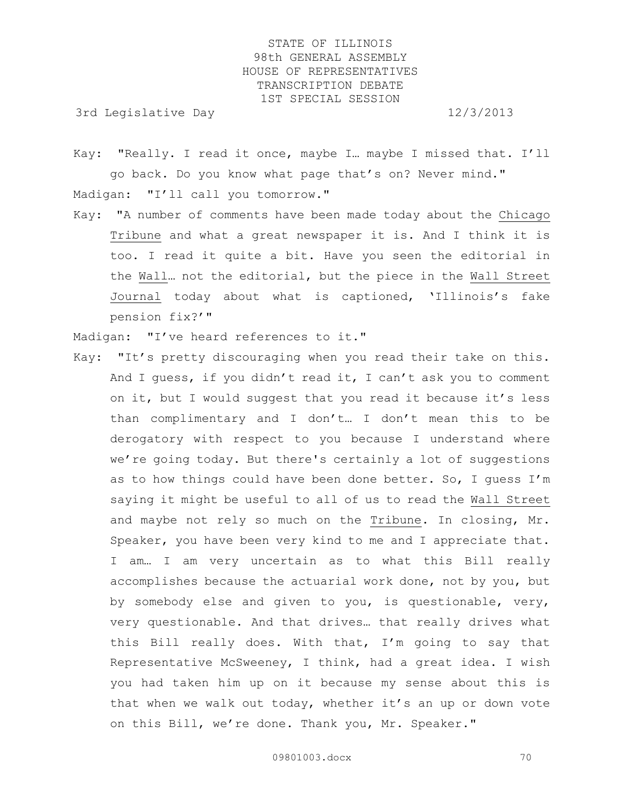3rd Legislative Day 12/3/2013

Kay: "Really. I read it once, maybe I… maybe I missed that. I'll go back. Do you know what page that's on? Never mind." Madigan: "I'll call you tomorrow."

Kay: "A number of comments have been made today about the Chicago Tribune and what a great newspaper it is. And I think it is too. I read it quite a bit. Have you seen the editorial in the Wall… not the editorial, but the piece in the Wall Street Journal today about what is captioned, 'Illinois's fake pension fix?'"

Madigan: "I've heard references to it."

Kay: "It's pretty discouraging when you read their take on this. And I guess, if you didn't read it, I can't ask you to comment on it, but I would suggest that you read it because it's less than complimentary and I don't… I don't mean this to be derogatory with respect to you because I understand where we're going today. But there's certainly a lot of suggestions as to how things could have been done better. So, I guess I'm saying it might be useful to all of us to read the Wall Street and maybe not rely so much on the Tribune. In closing, Mr. Speaker, you have been very kind to me and I appreciate that. I am… I am very uncertain as to what this Bill really accomplishes because the actuarial work done, not by you, but by somebody else and given to you, is questionable, very, very questionable. And that drives… that really drives what this Bill really does. With that, I'm going to say that Representative McSweeney, I think, had a great idea. I wish you had taken him up on it because my sense about this is that when we walk out today, whether it's an up or down vote on this Bill, we're done. Thank you, Mr. Speaker."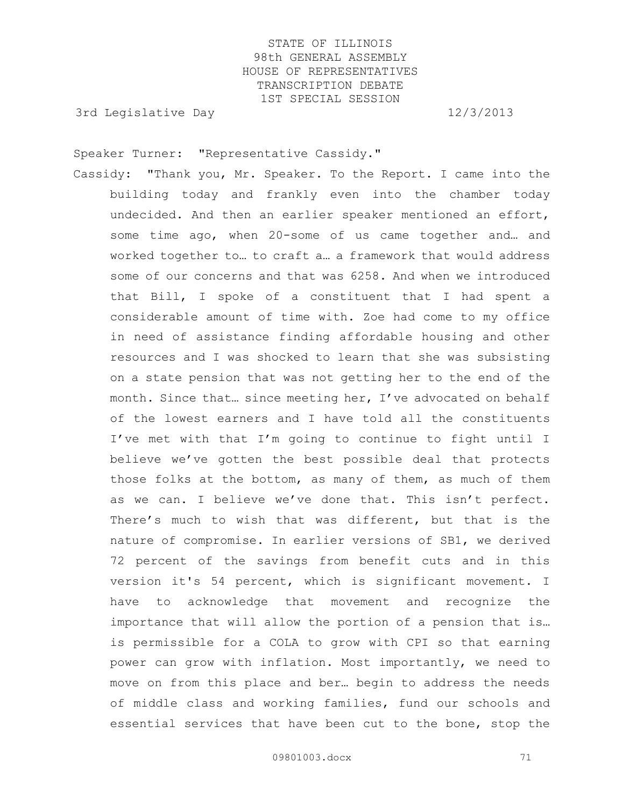3rd Legislative Day 12/3/2013

Speaker Turner: "Representative Cassidy."

Cassidy: "Thank you, Mr. Speaker. To the Report. I came into the building today and frankly even into the chamber today undecided. And then an earlier speaker mentioned an effort, some time ago, when 20-some of us came together and… and worked together to… to craft a… a framework that would address some of our concerns and that was 6258. And when we introduced that Bill, I spoke of a constituent that I had spent a considerable amount of time with. Zoe had come to my office in need of assistance finding affordable housing and other resources and I was shocked to learn that she was subsisting on a state pension that was not getting her to the end of the month. Since that… since meeting her, I've advocated on behalf of the lowest earners and I have told all the constituents I've met with that I'm going to continue to fight until I believe we've gotten the best possible deal that protects those folks at the bottom, as many of them, as much of them as we can. I believe we've done that. This isn't perfect. There's much to wish that was different, but that is the nature of compromise. In earlier versions of SB1, we derived 72 percent of the savings from benefit cuts and in this version it's 54 percent, which is significant movement. I have to acknowledge that movement and recognize the importance that will allow the portion of a pension that is… is permissible for a COLA to grow with CPI so that earning power can grow with inflation. Most importantly, we need to move on from this place and ber… begin to address the needs of middle class and working families, fund our schools and essential services that have been cut to the bone, stop the

09801003.docx 71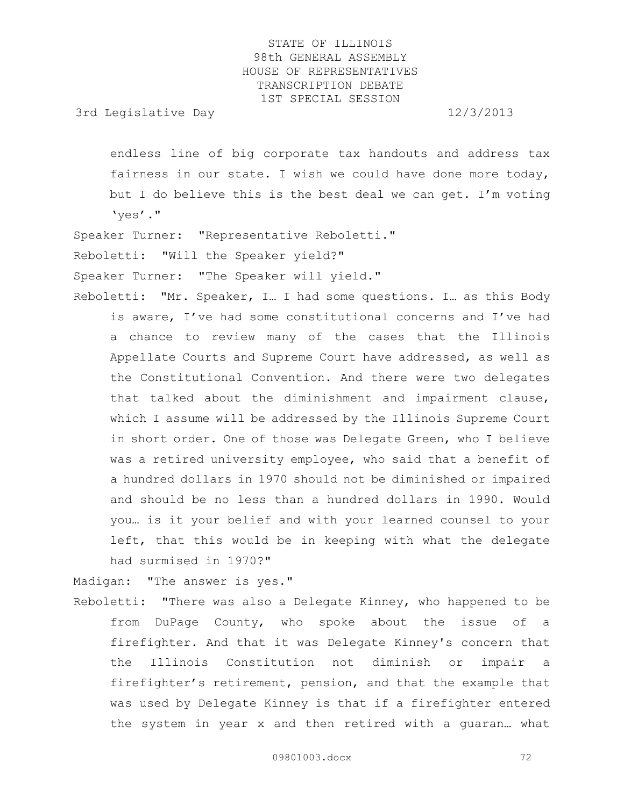3rd Legislative Day 12/3/2013

endless line of big corporate tax handouts and address tax fairness in our state. I wish we could have done more today, but I do believe this is the best deal we can get. I'm voting 'yes'."

Speaker Turner: "Representative Reboletti."

Reboletti: "Will the Speaker yield?"

Speaker Turner: "The Speaker will yield."

Reboletti: "Mr. Speaker, I… I had some questions. I… as this Body is aware, I've had some constitutional concerns and I've had a chance to review many of the cases that the Illinois Appellate Courts and Supreme Court have addressed, as well as the Constitutional Convention. And there were two delegates that talked about the diminishment and impairment clause, which I assume will be addressed by the Illinois Supreme Court in short order. One of those was Delegate Green, who I believe was a retired university employee, who said that a benefit of a hundred dollars in 1970 should not be diminished or impaired and should be no less than a hundred dollars in 1990. Would you… is it your belief and with your learned counsel to your left, that this would be in keeping with what the delegate had surmised in 1970?"

Madigan: "The answer is yes."

Reboletti: "There was also a Delegate Kinney, who happened to be from DuPage County, who spoke about the issue of a firefighter. And that it was Delegate Kinney's concern that the Illinois Constitution not diminish or impair a firefighter's retirement, pension, and that the example that was used by Delegate Kinney is that if a firefighter entered the system in year x and then retired with a guaran… what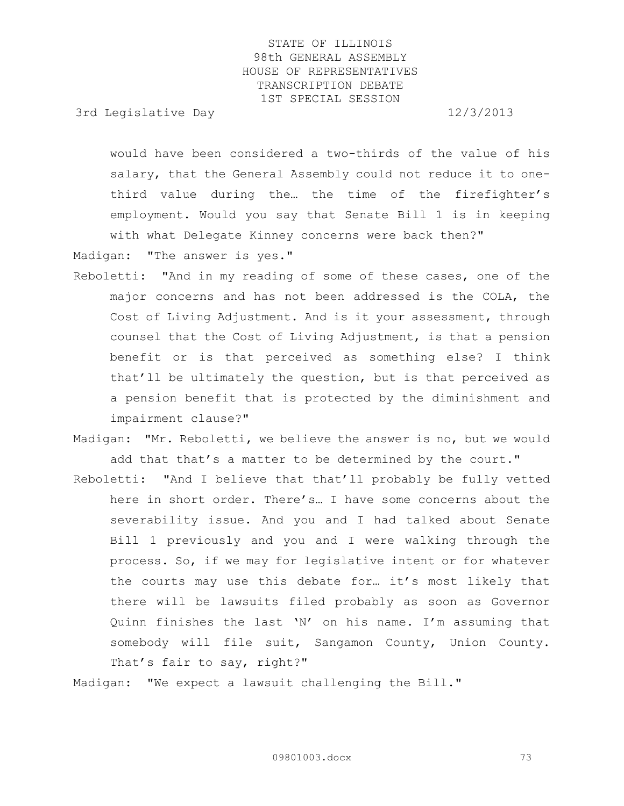3rd Legislative Day 12/3/2013

would have been considered a two-thirds of the value of his salary, that the General Assembly could not reduce it to onethird value during the… the time of the firefighter's employment. Would you say that Senate Bill 1 is in keeping with what Delegate Kinney concerns were back then?"

Madigan: "The answer is yes."

- Reboletti: "And in my reading of some of these cases, one of the major concerns and has not been addressed is the COLA, the Cost of Living Adjustment. And is it your assessment, through counsel that the Cost of Living Adjustment, is that a pension benefit or is that perceived as something else? I think that'll be ultimately the question, but is that perceived as a pension benefit that is protected by the diminishment and impairment clause?"
- Madigan: "Mr. Reboletti, we believe the answer is no, but we would add that that's a matter to be determined by the court."
- Reboletti: "And I believe that that'll probably be fully vetted here in short order. There's… I have some concerns about the severability issue. And you and I had talked about Senate Bill 1 previously and you and I were walking through the process. So, if we may for legislative intent or for whatever the courts may use this debate for… it's most likely that there will be lawsuits filed probably as soon as Governor Quinn finishes the last 'N' on his name. I'm assuming that somebody will file suit, Sangamon County, Union County. That's fair to say, right?"

Madigan: "We expect a lawsuit challenging the Bill."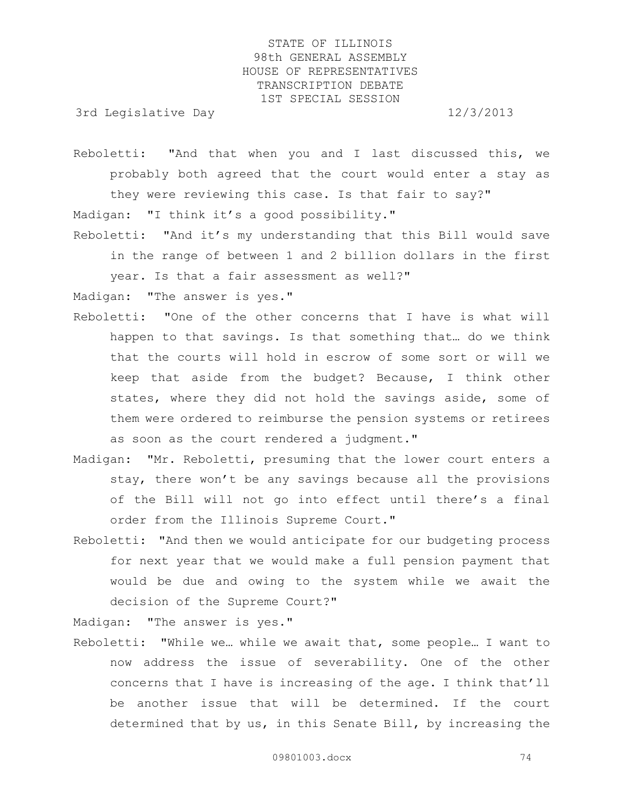3rd Legislative Day 12/3/2013

Reboletti: "And that when you and I last discussed this, we probably both agreed that the court would enter a stay as they were reviewing this case. Is that fair to say?" Madigan: "I think it's a good possibility."

Reboletti: "And it's my understanding that this Bill would save in the range of between 1 and 2 billion dollars in the first year. Is that a fair assessment as well?"

Madigan: "The answer is yes."

- Reboletti: "One of the other concerns that I have is what will happen to that savings. Is that something that… do we think that the courts will hold in escrow of some sort or will we keep that aside from the budget? Because, I think other states, where they did not hold the savings aside, some of them were ordered to reimburse the pension systems or retirees as soon as the court rendered a judgment."
- Madigan: "Mr. Reboletti, presuming that the lower court enters a stay, there won't be any savings because all the provisions of the Bill will not go into effect until there's a final order from the Illinois Supreme Court."
- Reboletti: "And then we would anticipate for our budgeting process for next year that we would make a full pension payment that would be due and owing to the system while we await the decision of the Supreme Court?"

Madigan: "The answer is yes."

Reboletti: "While we… while we await that, some people… I want to now address the issue of severability. One of the other concerns that I have is increasing of the age. I think that'll be another issue that will be determined. If the court determined that by us, in this Senate Bill, by increasing the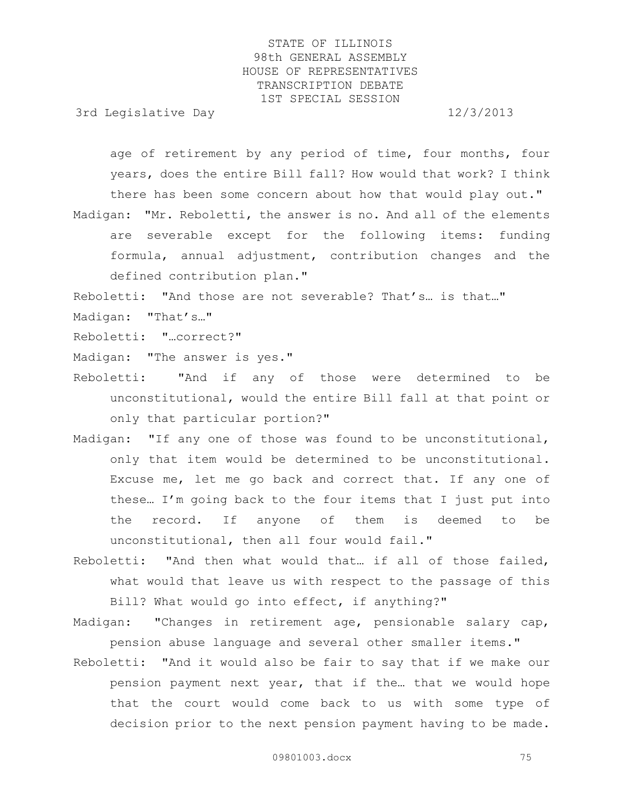3rd Legislative Day 12/3/2013

age of retirement by any period of time, four months, four years, does the entire Bill fall? How would that work? I think there has been some concern about how that would play out."

Madigan: "Mr. Reboletti, the answer is no. And all of the elements are severable except for the following items: funding formula, annual adjustment, contribution changes and the defined contribution plan."

Reboletti: "And those are not severable? That's… is that…"

- Madigan: "That's…"
- Reboletti: "…correct?"

Madigan: "The answer is yes."

- Reboletti: "And if any of those were determined to be unconstitutional, would the entire Bill fall at that point or only that particular portion?"
- Madigan: "If any one of those was found to be unconstitutional, only that item would be determined to be unconstitutional. Excuse me, let me go back and correct that. If any one of these… I'm going back to the four items that I just put into the record. If anyone of them is deemed to be unconstitutional, then all four would fail."
- Reboletti: "And then what would that… if all of those failed, what would that leave us with respect to the passage of this Bill? What would go into effect, if anything?"
- Madigan: "Changes in retirement age, pensionable salary cap, pension abuse language and several other smaller items."
- Reboletti: "And it would also be fair to say that if we make our pension payment next year, that if the… that we would hope that the court would come back to us with some type of decision prior to the next pension payment having to be made.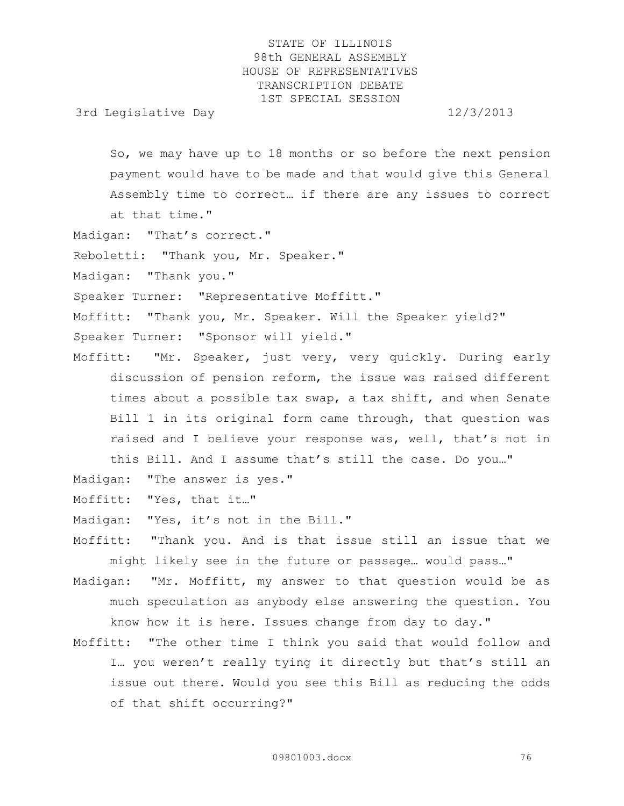3rd Legislative Day 12/3/2013

So, we may have up to 18 months or so before the next pension payment would have to be made and that would give this General Assembly time to correct… if there are any issues to correct at that time."

- Madigan: "That's correct."
- Reboletti: "Thank you, Mr. Speaker."
- Madigan: "Thank you."

Speaker Turner: "Representative Moffitt."

Moffitt: "Thank you, Mr. Speaker. Will the Speaker yield?"

Speaker Turner: "Sponsor will yield."

Moffitt: "Mr. Speaker, just very, very quickly. During early discussion of pension reform, the issue was raised different times about a possible tax swap, a tax shift, and when Senate Bill 1 in its original form came through, that question was raised and I believe your response was, well, that's not in this Bill. And I assume that's still the case. Do you…"

Madigan: "The answer is yes."

- Moffitt: "Yes, that it…"
- Madigan: "Yes, it's not in the Bill."

Moffitt: "Thank you. And is that issue still an issue that we might likely see in the future or passage… would pass…"

- Madigan: "Mr. Moffitt, my answer to that question would be as much speculation as anybody else answering the question. You know how it is here. Issues change from day to day."
- Moffitt: "The other time I think you said that would follow and I… you weren't really tying it directly but that's still an issue out there. Would you see this Bill as reducing the odds of that shift occurring?"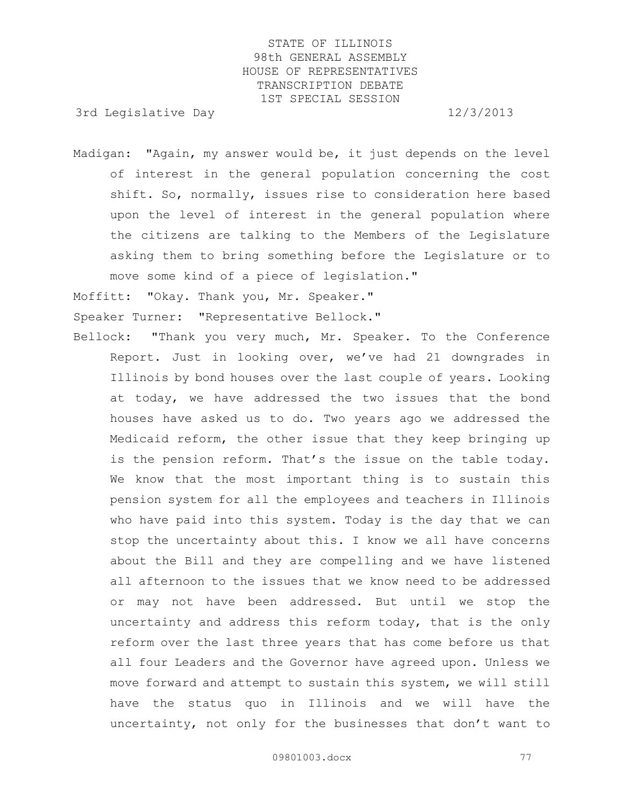3rd Legislative Day 12/3/2013

Madigan: "Again, my answer would be, it just depends on the level of interest in the general population concerning the cost shift. So, normally, issues rise to consideration here based upon the level of interest in the general population where the citizens are talking to the Members of the Legislature asking them to bring something before the Legislature or to move some kind of a piece of legislation."

Moffitt: "Okay. Thank you, Mr. Speaker." Speaker Turner: "Representative Bellock."

Bellock: "Thank you very much, Mr. Speaker. To the Conference Report. Just in looking over, we've had 21 downgrades in Illinois by bond houses over the last couple of years. Looking at today, we have addressed the two issues that the bond houses have asked us to do. Two years ago we addressed the Medicaid reform, the other issue that they keep bringing up is the pension reform. That's the issue on the table today. We know that the most important thing is to sustain this pension system for all the employees and teachers in Illinois who have paid into this system. Today is the day that we can stop the uncertainty about this. I know we all have concerns about the Bill and they are compelling and we have listened all afternoon to the issues that we know need to be addressed or may not have been addressed. But until we stop the uncertainty and address this reform today, that is the only reform over the last three years that has come before us that all four Leaders and the Governor have agreed upon. Unless we move forward and attempt to sustain this system, we will still have the status quo in Illinois and we will have the uncertainty, not only for the businesses that don't want to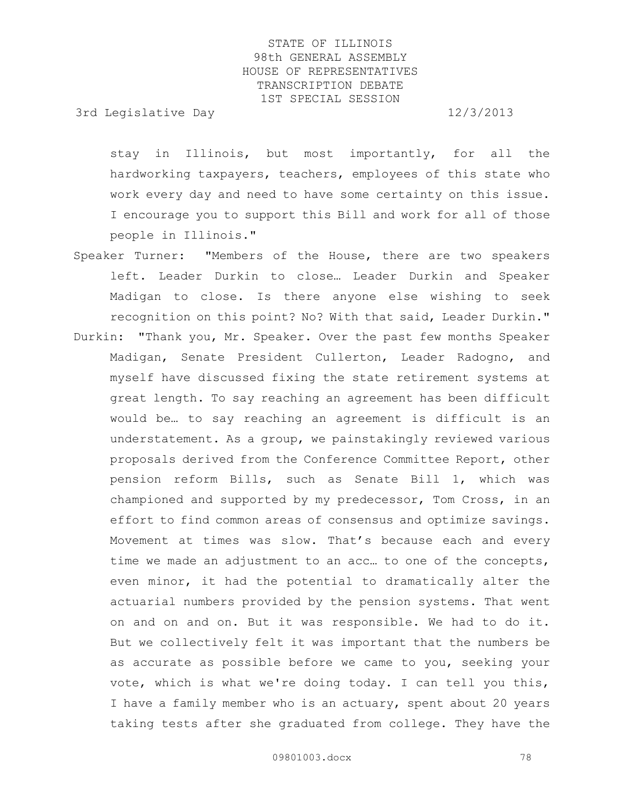3rd Legislative Day 12/3/2013

stay in Illinois, but most importantly, for all the hardworking taxpayers, teachers, employees of this state who work every day and need to have some certainty on this issue. I encourage you to support this Bill and work for all of those people in Illinois."

- Speaker Turner: "Members of the House, there are two speakers left. Leader Durkin to close… Leader Durkin and Speaker Madigan to close. Is there anyone else wishing to seek recognition on this point? No? With that said, Leader Durkin."
- Durkin: "Thank you, Mr. Speaker. Over the past few months Speaker Madigan, Senate President Cullerton, Leader Radogno, and myself have discussed fixing the state retirement systems at great length. To say reaching an agreement has been difficult would be… to say reaching an agreement is difficult is an understatement. As a group, we painstakingly reviewed various proposals derived from the Conference Committee Report, other pension reform Bills, such as Senate Bill 1, which was championed and supported by my predecessor, Tom Cross, in an effort to find common areas of consensus and optimize savings. Movement at times was slow. That's because each and every time we made an adjustment to an acc… to one of the concepts, even minor, it had the potential to dramatically alter the actuarial numbers provided by the pension systems. That went on and on and on. But it was responsible. We had to do it. But we collectively felt it was important that the numbers be as accurate as possible before we came to you, seeking your vote, which is what we're doing today. I can tell you this, I have a family member who is an actuary, spent about 20 years taking tests after she graduated from college. They have the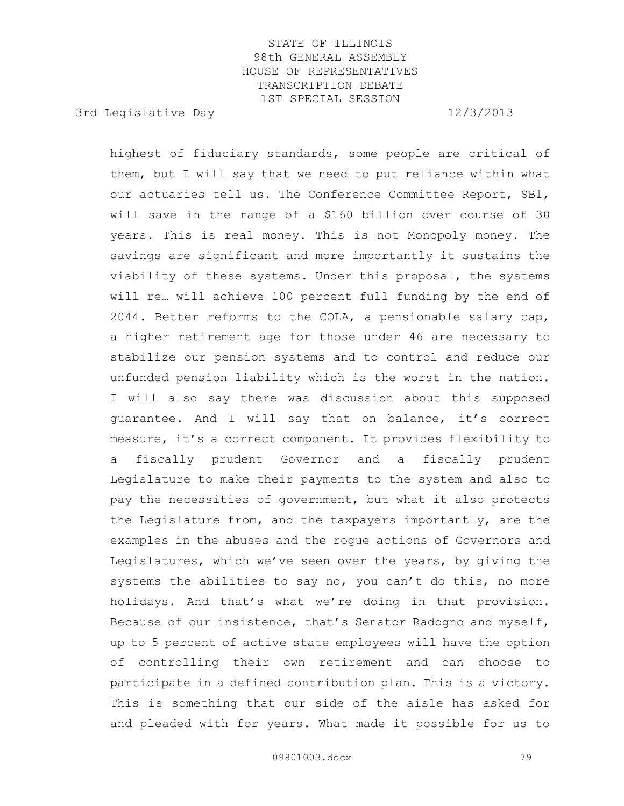3rd Legislative Day 12/3/2013

highest of fiduciary standards, some people are critical of them, but I will say that we need to put reliance within what our actuaries tell us. The Conference Committee Report, SB1, will save in the range of a \$160 billion over course of 30 years. This is real money. This is not Monopoly money. The savings are significant and more importantly it sustains the viability of these systems. Under this proposal, the systems will re… will achieve 100 percent full funding by the end of 2044. Better reforms to the COLA, a pensionable salary cap, a higher retirement age for those under 46 are necessary to stabilize our pension systems and to control and reduce our unfunded pension liability which is the worst in the nation. I will also say there was discussion about this supposed guarantee. And I will say that on balance, it's correct measure, it's a correct component. It provides flexibility to a fiscally prudent Governor and a fiscally prudent Legislature to make their payments to the system and also to pay the necessities of government, but what it also protects the Legislature from, and the taxpayers importantly, are the examples in the abuses and the rogue actions of Governors and Legislatures, which we've seen over the years, by giving the systems the abilities to say no, you can't do this, no more holidays. And that's what we're doing in that provision. Because of our insistence, that's Senator Radogno and myself, up to 5 percent of active state employees will have the option of controlling their own retirement and can choose to participate in a defined contribution plan. This is a victory. This is something that our side of the aisle has asked for and pleaded with for years. What made it possible for us to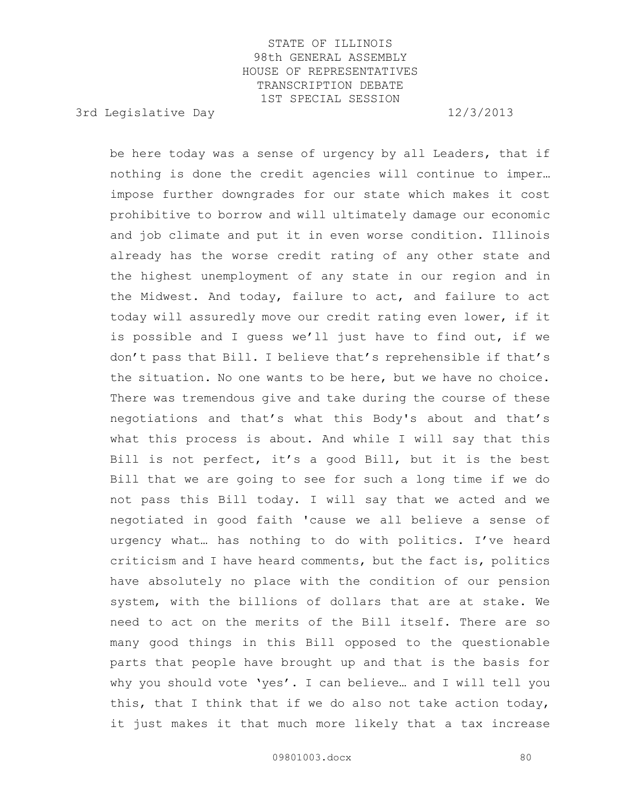3rd Legislative Day 12/3/2013

be here today was a sense of urgency by all Leaders, that if nothing is done the credit agencies will continue to imper… impose further downgrades for our state which makes it cost prohibitive to borrow and will ultimately damage our economic and job climate and put it in even worse condition. Illinois already has the worse credit rating of any other state and the highest unemployment of any state in our region and in the Midwest. And today, failure to act, and failure to act today will assuredly move our credit rating even lower, if it is possible and I guess we'll just have to find out, if we don't pass that Bill. I believe that's reprehensible if that's the situation. No one wants to be here, but we have no choice. There was tremendous give and take during the course of these negotiations and that's what this Body's about and that's what this process is about. And while I will say that this Bill is not perfect, it's a good Bill, but it is the best Bill that we are going to see for such a long time if we do not pass this Bill today. I will say that we acted and we negotiated in good faith 'cause we all believe a sense of urgency what… has nothing to do with politics. I've heard criticism and I have heard comments, but the fact is, politics have absolutely no place with the condition of our pension system, with the billions of dollars that are at stake. We need to act on the merits of the Bill itself. There are so many good things in this Bill opposed to the questionable parts that people have brought up and that is the basis for why you should vote 'yes'. I can believe… and I will tell you this, that I think that if we do also not take action today, it just makes it that much more likely that a tax increase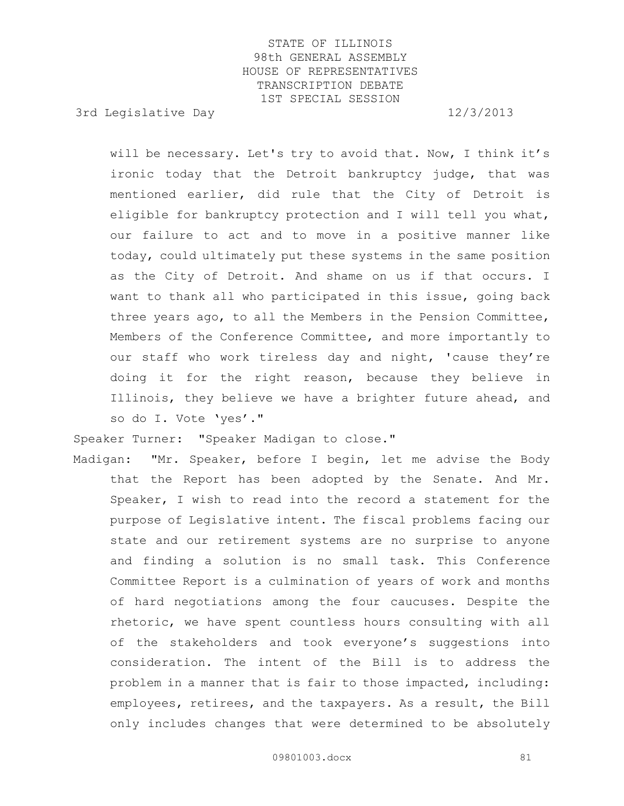3rd Legislative Day 12/3/2013

will be necessary. Let's try to avoid that. Now, I think it's ironic today that the Detroit bankruptcy judge, that was mentioned earlier, did rule that the City of Detroit is eligible for bankruptcy protection and I will tell you what, our failure to act and to move in a positive manner like today, could ultimately put these systems in the same position as the City of Detroit. And shame on us if that occurs. I want to thank all who participated in this issue, going back three years ago, to all the Members in the Pension Committee, Members of the Conference Committee, and more importantly to our staff who work tireless day and night, 'cause they're doing it for the right reason, because they believe in Illinois, they believe we have a brighter future ahead, and so do I. Vote 'yes'."

Speaker Turner: "Speaker Madigan to close."

Madigan: "Mr. Speaker, before I begin, let me advise the Body that the Report has been adopted by the Senate. And Mr. Speaker, I wish to read into the record a statement for the purpose of Legislative intent. The fiscal problems facing our state and our retirement systems are no surprise to anyone and finding a solution is no small task. This Conference Committee Report is a culmination of years of work and months of hard negotiations among the four caucuses. Despite the rhetoric, we have spent countless hours consulting with all of the stakeholders and took everyone's suggestions into consideration. The intent of the Bill is to address the problem in a manner that is fair to those impacted, including: employees, retirees, and the taxpayers. As a result, the Bill only includes changes that were determined to be absolutely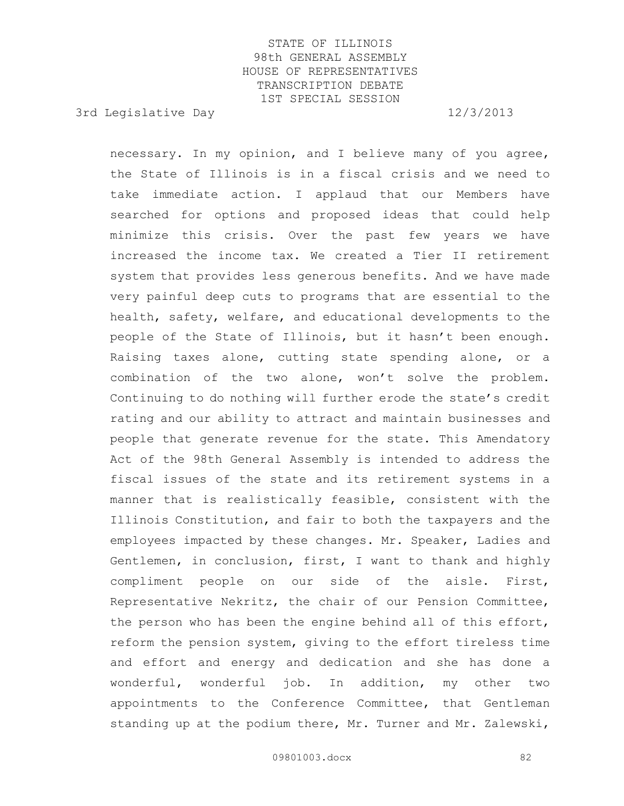3rd Legislative Day 12/3/2013

necessary. In my opinion, and I believe many of you agree, the State of Illinois is in a fiscal crisis and we need to take immediate action. I applaud that our Members have searched for options and proposed ideas that could help minimize this crisis. Over the past few years we have increased the income tax. We created a Tier II retirement system that provides less generous benefits. And we have made very painful deep cuts to programs that are essential to the health, safety, welfare, and educational developments to the people of the State of Illinois, but it hasn't been enough. Raising taxes alone, cutting state spending alone, or a combination of the two alone, won't solve the problem. Continuing to do nothing will further erode the state's credit rating and our ability to attract and maintain businesses and people that generate revenue for the state. This Amendatory Act of the 98th General Assembly is intended to address the fiscal issues of the state and its retirement systems in a manner that is realistically feasible, consistent with the Illinois Constitution, and fair to both the taxpayers and the employees impacted by these changes. Mr. Speaker, Ladies and Gentlemen, in conclusion, first, I want to thank and highly compliment people on our side of the aisle. First, Representative Nekritz, the chair of our Pension Committee, the person who has been the engine behind all of this effort, reform the pension system, giving to the effort tireless time and effort and energy and dedication and she has done a wonderful, wonderful job. In addition, my other two appointments to the Conference Committee, that Gentleman standing up at the podium there, Mr. Turner and Mr. Zalewski,